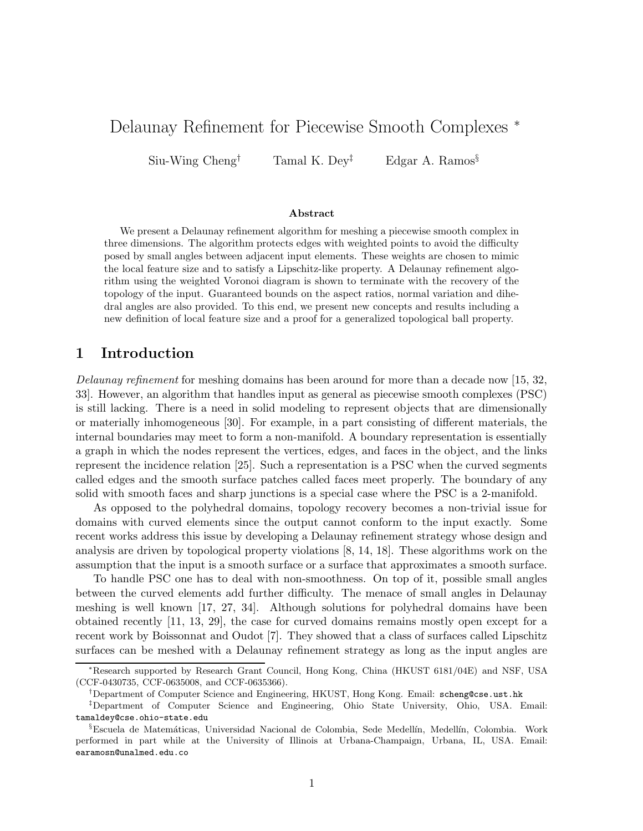# Delaunay Refinement for Piecewise Smooth Complexes <sup>∗</sup>

Siu-Wing Cheng<sup>†</sup> Tamal K. Dey<sup>‡</sup> Edgar A. Ramos<sup>§</sup>

#### Abstract

We present a Delaunay refinement algorithm for meshing a piecewise smooth complex in three dimensions. The algorithm protects edges with weighted points to avoid the difficulty posed by small angles between adjacent input elements. These weights are chosen to mimic the local feature size and to satisfy a Lipschitz-like property. A Delaunay refinement algorithm using the weighted Voronoi diagram is shown to terminate with the recovery of the topology of the input. Guaranteed bounds on the aspect ratios, normal variation and dihedral angles are also provided. To this end, we present new concepts and results including a new definition of local feature size and a proof for a generalized topological ball property.

# 1 Introduction

Delaunay refinement for meshing domains has been around for more than a decade now [15, 32, 33]. However, an algorithm that handles input as general as piecewise smooth complexes (PSC) is still lacking. There is a need in solid modeling to represent objects that are dimensionally or materially inhomogeneous [30]. For example, in a part consisting of different materials, the internal boundaries may meet to form a non-manifold. A boundary representation is essentially a graph in which the nodes represent the vertices, edges, and faces in the object, and the links represent the incidence relation [25]. Such a representation is a PSC when the curved segments called edges and the smooth surface patches called faces meet properly. The boundary of any solid with smooth faces and sharp junctions is a special case where the PSC is a 2-manifold.

As opposed to the polyhedral domains, topology recovery becomes a non-trivial issue for domains with curved elements since the output cannot conform to the input exactly. Some recent works address this issue by developing a Delaunay refinement strategy whose design and analysis are driven by topological property violations [8, 14, 18]. These algorithms work on the assumption that the input is a smooth surface or a surface that approximates a smooth surface.

To handle PSC one has to deal with non-smoothness. On top of it, possible small angles between the curved elements add further difficulty. The menace of small angles in Delaunay meshing is well known [17, 27, 34]. Although solutions for polyhedral domains have been obtained recently [11, 13, 29], the case for curved domains remains mostly open except for a recent work by Boissonnat and Oudot [7]. They showed that a class of surfaces called Lipschitz surfaces can be meshed with a Delaunay refinement strategy as long as the input angles are

<sup>∗</sup>Research supported by Research Grant Council, Hong Kong, China (HKUST 6181/04E) and NSF, USA (CCF-0430735, CCF-0635008, and CCF-0635366).

<sup>†</sup>Department of Computer Science and Engineering, HKUST, Hong Kong. Email: scheng@cse.ust.hk

<sup>‡</sup>Department of Computer Science and Engineering, Ohio State University, Ohio, USA. Email: tamaldey@cse.ohio-state.edu

<sup>§</sup>Escuela de Matemáticas, Universidad Nacional de Colombia, Sede Medellín, Medellín, Colombia. Work performed in part while at the University of Illinois at Urbana-Champaign, Urbana, IL, USA. Email: earamosn@unalmed.edu.co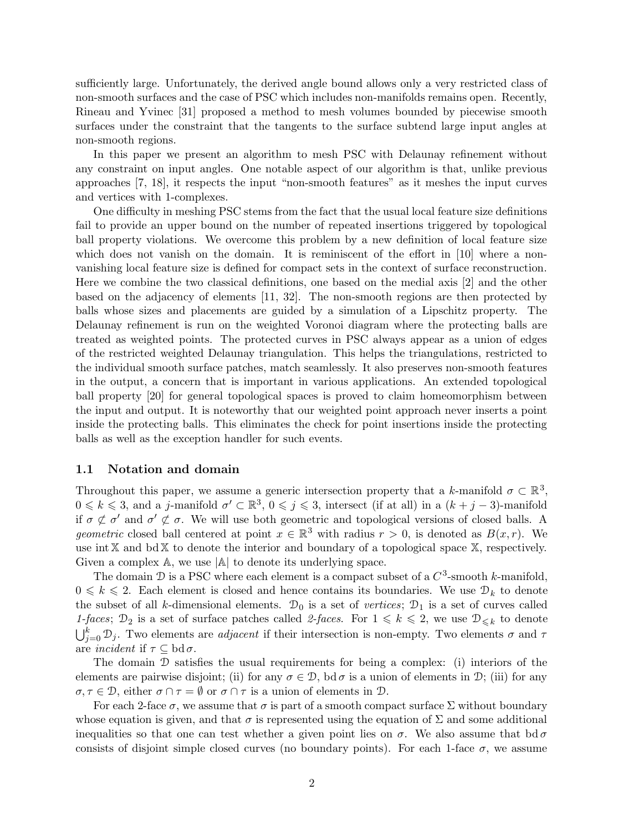sufficiently large. Unfortunately, the derived angle bound allows only a very restricted class of non-smooth surfaces and the case of PSC which includes non-manifolds remains open. Recently, Rineau and Yvinec [31] proposed a method to mesh volumes bounded by piecewise smooth surfaces under the constraint that the tangents to the surface subtend large input angles at non-smooth regions.

In this paper we present an algorithm to mesh PSC with Delaunay refinement without any constraint on input angles. One notable aspect of our algorithm is that, unlike previous approaches [7, 18], it respects the input "non-smooth features" as it meshes the input curves and vertices with 1-complexes.

One difficulty in meshing PSC stems from the fact that the usual local feature size definitions fail to provide an upper bound on the number of repeated insertions triggered by topological ball property violations. We overcome this problem by a new definition of local feature size which does not vanish on the domain. It is reminiscent of the effort in [10] where a nonvanishing local feature size is defined for compact sets in the context of surface reconstruction. Here we combine the two classical definitions, one based on the medial axis [2] and the other based on the adjacency of elements [11, 32]. The non-smooth regions are then protected by balls whose sizes and placements are guided by a simulation of a Lipschitz property. The Delaunay refinement is run on the weighted Voronoi diagram where the protecting balls are treated as weighted points. The protected curves in PSC always appear as a union of edges of the restricted weighted Delaunay triangulation. This helps the triangulations, restricted to the individual smooth surface patches, match seamlessly. It also preserves non-smooth features in the output, a concern that is important in various applications. An extended topological ball property [20] for general topological spaces is proved to claim homeomorphism between the input and output. It is noteworthy that our weighted point approach never inserts a point inside the protecting balls. This eliminates the check for point insertions inside the protecting balls as well as the exception handler for such events.

# 1.1 Notation and domain

Throughout this paper, we assume a generic intersection property that a k-manifold  $\sigma \subset \mathbb{R}^3$ ,  $0 \leq k \leq 3$ , and a j-manifold  $\sigma' \subset \mathbb{R}^3$ ,  $0 \leq j \leq 3$ , intersect (if at all) in a  $(k+j-3)$ -manifold if  $\sigma \not\subset \sigma'$  and  $\sigma' \not\subset \sigma$ . We will use both geometric and topological versions of closed balls. A geometric closed ball centered at point  $x \in \mathbb{R}^3$  with radius  $r > 0$ , is denoted as  $B(x, r)$ . We use int  $X$  and  $\text{bd }X$  to denote the interior and boundary of a topological space  $X$ , respectively. Given a complex  $\mathbb{A}$ , we use  $|\mathbb{A}|$  to denote its underlying space.

The domain  $\mathcal D$  is a PSC where each element is a compact subset of a  $C^3$ -smooth k-manifold,  $0 \leq k \leq 2$ . Each element is closed and hence contains its boundaries. We use  $\mathcal{D}_k$  to denote the subset of all k-dimensional elements.  $\mathcal{D}_0$  is a set of vertices;  $\mathcal{D}_1$  is a set of curves called 1-faces;  $\mathcal{D}_2$  is a set of surface patches called 2-faces. For  $1 \leq k \leq 2$ , we use  $\mathcal{D}_{\leq k}$  to denote  $\bigcup_{j=0}^{k} \mathcal{D}_j$ . Two elements are *adjacent* if their intersection is non-empty. Two elements  $\sigma$  and  $\tau$ are *incident* if  $\tau \subseteq \text{bd } \sigma$ .

The domain D satisfies the usual requirements for being a complex: (i) interiors of the elements are pairwise disjoint; (ii) for any  $\sigma \in \mathcal{D}$ , bd  $\sigma$  is a union of elements in  $\mathcal{D}$ ; (iii) for any  $\sigma, \tau \in \mathcal{D}$ , either  $\sigma \cap \tau = \emptyset$  or  $\sigma \cap \tau$  is a union of elements in  $\mathcal{D}$ .

For each 2-face  $\sigma$ , we assume that  $\sigma$  is part of a smooth compact surface  $\Sigma$  without boundary whose equation is given, and that  $\sigma$  is represented using the equation of  $\Sigma$  and some additional inequalities so that one can test whether a given point lies on  $\sigma$ . We also assume that bd  $\sigma$ consists of disjoint simple closed curves (no boundary points). For each 1-face  $\sigma$ , we assume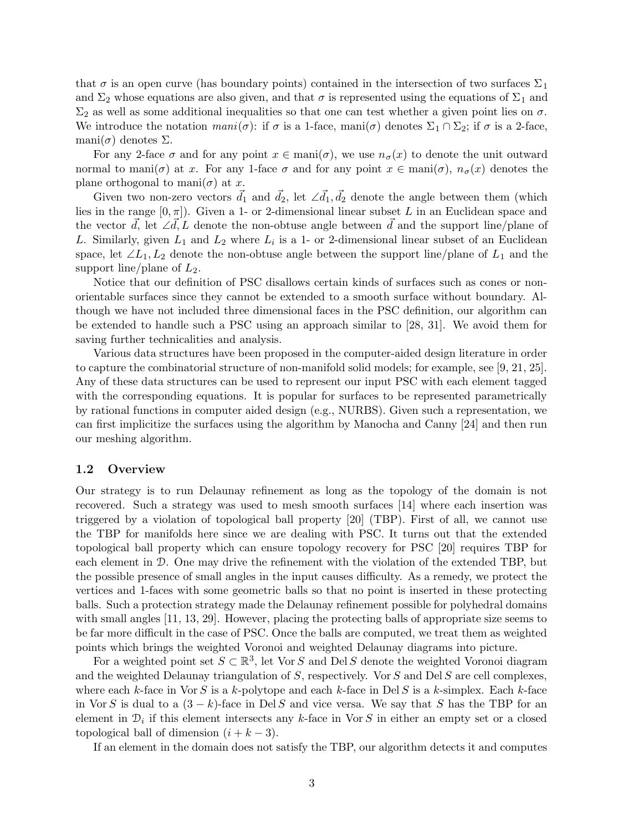that  $\sigma$  is an open curve (has boundary points) contained in the intersection of two surfaces  $\Sigma_1$ and  $\Sigma_2$  whose equations are also given, and that  $\sigma$  is represented using the equations of  $\Sigma_1$  and  $\Sigma_2$  as well as some additional inequalities so that one can test whether a given point lies on  $\sigma$ . We introduce the notation  $mani(\sigma)$ : if  $\sigma$  is a 1-face, mani $(\sigma)$  denotes  $\Sigma_1 \cap \Sigma_2$ ; if  $\sigma$  is a 2-face, mani $(\sigma)$  denotes  $\Sigma$ .

For any 2-face  $\sigma$  and for any point  $x \in \text{mani}(\sigma)$ , we use  $n_{\sigma}(x)$  to denote the unit outward normal to mani $(\sigma)$  at x. For any 1-face  $\sigma$  and for any point  $x \in \text{man}(\sigma)$ ,  $n_{\sigma}(x)$  denotes the plane orthogonal to mani $(\sigma)$  at x.

Given two non-zero vectors  $\vec{d}_1$  and  $\vec{d}_2$ , let  $\angle \vec{d}_1, \vec{d}_2$  denote the angle between them (which lies in the range  $[0, \pi]$ ). Given a 1- or 2-dimensional linear subset L in an Euclidean space and the vector  $\vec{d}$ , let ∠ $\vec{d}$ , L denote the non-obtuse angle between  $\vec{d}$  and the support line/plane of L. Similarly, given  $L_1$  and  $L_2$  where  $L_i$  is a 1- or 2-dimensional linear subset of an Euclidean space, let  $\angle L_1, L_2$  denote the non-obtuse angle between the support line/plane of  $L_1$  and the support line/plane of  $L_2$ .

Notice that our definition of PSC disallows certain kinds of surfaces such as cones or nonorientable surfaces since they cannot be extended to a smooth surface without boundary. Although we have not included three dimensional faces in the PSC definition, our algorithm can be extended to handle such a PSC using an approach similar to [28, 31]. We avoid them for saving further technicalities and analysis.

Various data structures have been proposed in the computer-aided design literature in order to capture the combinatorial structure of non-manifold solid models; for example, see [9, 21, 25]. Any of these data structures can be used to represent our input PSC with each element tagged with the corresponding equations. It is popular for surfaces to be represented parametrically by rational functions in computer aided design (e.g., NURBS). Given such a representation, we can first implicitize the surfaces using the algorithm by Manocha and Canny [24] and then run our meshing algorithm.

### 1.2 Overview

Our strategy is to run Delaunay refinement as long as the topology of the domain is not recovered. Such a strategy was used to mesh smooth surfaces [14] where each insertion was triggered by a violation of topological ball property [20] (TBP). First of all, we cannot use the TBP for manifolds here since we are dealing with PSC. It turns out that the extended topological ball property which can ensure topology recovery for PSC [20] requires TBP for each element in D. One may drive the refinement with the violation of the extended TBP, but the possible presence of small angles in the input causes difficulty. As a remedy, we protect the vertices and 1-faces with some geometric balls so that no point is inserted in these protecting balls. Such a protection strategy made the Delaunay refinement possible for polyhedral domains with small angles [11, 13, 29]. However, placing the protecting balls of appropriate size seems to be far more difficult in the case of PSC. Once the balls are computed, we treat them as weighted points which brings the weighted Voronoi and weighted Delaunay diagrams into picture.

For a weighted point set  $S \subset \mathbb{R}^3$ , let Vor S and Del S denote the weighted Voronoi diagram and the weighted Delaunay triangulation of  $S$ , respectively. Vor  $S$  and Del  $S$  are cell complexes, where each k-face in Vor S is a k-polytope and each k-face in Del S is a k-simplex. Each k-face in Vor S is dual to a  $(3 - k)$ -face in Del S and vice versa. We say that S has the TBP for an element in  $\mathcal{D}_i$  if this element intersects any k-face in Vor S in either an empty set or a closed topological ball of dimension  $(i + k - 3)$ .

If an element in the domain does not satisfy the TBP, our algorithm detects it and computes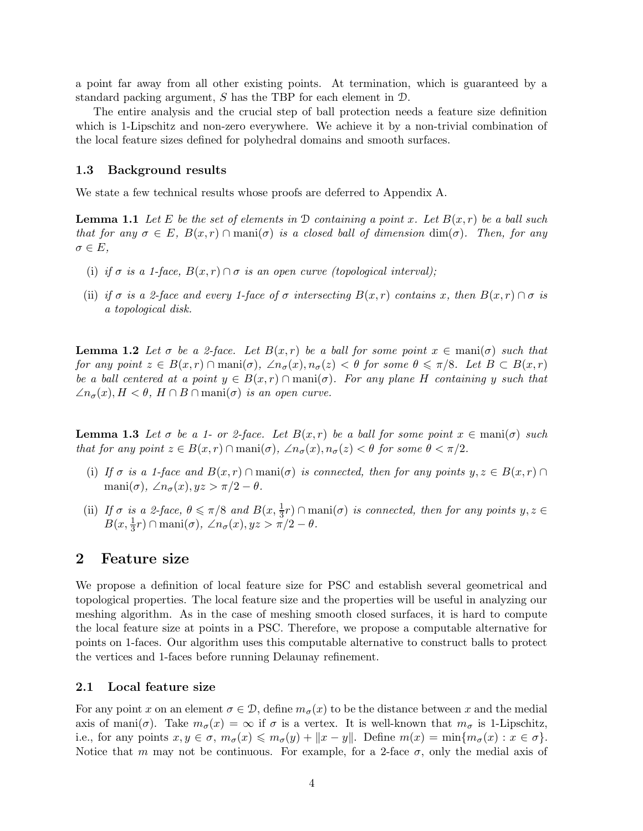a point far away from all other existing points. At termination, which is guaranteed by a standard packing argument, S has the TBP for each element in D.

The entire analysis and the crucial step of ball protection needs a feature size definition which is 1-Lipschitz and non-zero everywhere. We achieve it by a non-trivial combination of the local feature sizes defined for polyhedral domains and smooth surfaces.

#### 1.3 Background results

We state a few technical results whose proofs are deferred to Appendix A.

**Lemma 1.1** Let E be the set of elements in D containing a point x. Let  $B(x, r)$  be a ball such that for any  $\sigma \in E$ ,  $B(x,r) \cap \text{mani}(\sigma)$  is a closed ball of dimension  $\dim(\sigma)$ . Then, for any  $\sigma \in E$ ,

- (i) if  $\sigma$  is a 1-face,  $B(x, r) \cap \sigma$  is an open curve (topological interval);
- (ii) if  $\sigma$  is a 2-face and every 1-face of  $\sigma$  intersecting  $B(x,r)$  contains x, then  $B(x,r) \cap \sigma$  is a topological disk.

**Lemma 1.2** Let  $\sigma$  be a 2-face. Let  $B(x,r)$  be a ball for some point  $x \in \text{mani}(\sigma)$  such that for any point  $z \in B(x,r) \cap \text{man}(\sigma)$ ,  $\angle n_{\sigma}(x), n_{\sigma}(z) < \theta$  for some  $\theta \leq \pi/8$ . Let  $B \subset B(x,r)$ be a ball centered at a point  $y \in B(x,r) \cap \text{mani}(\sigma)$ . For any plane H containing y such that  $\angle n_{\sigma}(x), H < \theta, H \cap B \cap \text{mani}(\sigma)$  is an open curve.

**Lemma 1.3** Let  $\sigma$  be a 1- or 2-face. Let  $B(x, r)$  be a ball for some point  $x \in \text{mani}(\sigma)$  such that for any point  $z \in B(x,r) \cap \text{mani}(\sigma)$ ,  $\angle n_{\sigma}(x), n_{\sigma}(z) < \theta$  for some  $\theta < \pi/2$ .

- (i) If  $\sigma$  is a 1-face and  $B(x, r) \cap \text{mani}(\sigma)$  is connected, then for any points  $y, z \in B(x, r) \cap$ mani $(\sigma)$ ,  $\angle n_{\sigma}(x)$ ,  $yz > \pi/2 - \theta$ .
- (ii) If  $\sigma$  is a 2-face,  $\theta \le \pi/8$  and  $B(x, \frac{1}{3}r) \cap \text{mani}(\sigma)$  is connected, then for any points  $y, z \in$  $B(x, \frac{1}{3}r) \cap \text{mani}(\sigma)$ ,  $\angle n_{\sigma}(x), yz > \pi/2 - \theta$ .

# 2 Feature size

We propose a definition of local feature size for PSC and establish several geometrical and topological properties. The local feature size and the properties will be useful in analyzing our meshing algorithm. As in the case of meshing smooth closed surfaces, it is hard to compute the local feature size at points in a PSC. Therefore, we propose a computable alternative for points on 1-faces. Our algorithm uses this computable alternative to construct balls to protect the vertices and 1-faces before running Delaunay refinement.

#### 2.1 Local feature size

For any point x on an element  $\sigma \in \mathcal{D}$ , define  $m_{\sigma}(x)$  to be the distance between x and the medial axis of mani $(\sigma)$ . Take  $m_{\sigma}(x) = \infty$  if  $\sigma$  is a vertex. It is well-known that  $m_{\sigma}$  is 1-Lipschitz, i.e., for any points  $x, y \in \sigma$ ,  $m_{\sigma}(x) \leq m_{\sigma}(y) + ||x - y||$ . Define  $m(x) = \min\{m_{\sigma}(x) : x \in \sigma\}$ . Notice that m may not be continuous. For example, for a 2-face  $\sigma$ , only the medial axis of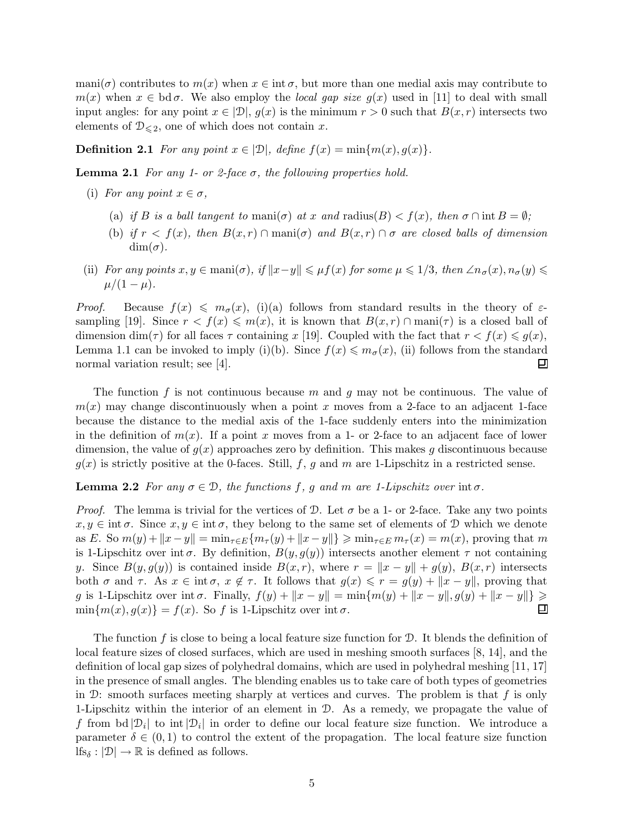mani( $\sigma$ ) contributes to  $m(x)$  when  $x \in \text{int } \sigma$ , but more than one medial axis may contribute to  $m(x)$  when  $x \in \text{bd } \sigma$ . We also employ the *local gap size g(x)* used in [11] to deal with small input angles: for any point  $x \in [D], g(x)$  is the minimum  $r > 0$  such that  $B(x,r)$  intersects two elements of  $\mathcal{D}_{\leq 2}$ , one of which does not contain x.

**Definition 2.1** For any point  $x \in |\mathcal{D}|$ , define  $f(x) = \min\{m(x), g(x)\}.$ 

**Lemma 2.1** For any 1- or 2-face  $\sigma$ , the following properties hold.

- (i) For any point  $x \in \sigma$ ,
	- (a) if B is a ball tangent to mani $(\sigma)$  at x and radius(B)  $\lt f(x)$ , then  $\sigma \cap \text{int } B = \emptyset$ ;
	- (b) if  $r < f(x)$ , then  $B(x,r) \cap \text{mani}(\sigma)$  and  $B(x,r) \cap \sigma$  are closed balls of dimension  $\dim(\sigma)$ .
- (ii) For any points  $x, y \in \text{mani}(\sigma)$ , if  $||x-y|| \leq \mu f(x)$  for some  $\mu \leq 1/3$ , then  $\angle n_{\sigma}(x), n_{\sigma}(y) \leq \mu f(x)$  $\mu/(1-\mu)$ .

*Proof.* Because  $f(x) \leq m_{\sigma}(x)$ , (i)(a) follows from standard results in the theory of  $\varepsilon$ sampling [19]. Since  $r < f(x) \leq m(x)$ , it is known that  $B(x,r) \cap \text{mani}(\tau)$  is a closed ball of dimension dim( $\tau$ ) for all faces  $\tau$  containing x [19]. Coupled with the fact that  $r < f(x) \leq g(x)$ , Lemma 1.1 can be invoked to imply (i)(b). Since  $f(x) \leq m_\sigma(x)$ , (ii) follows from the standard normal variation result; see [4]. ▣

The function f is not continuous because m and g may not be continuous. The value of  $m(x)$  may change discontinuously when a point x moves from a 2-face to an adjacent 1-face because the distance to the medial axis of the 1-face suddenly enters into the minimization in the definition of  $m(x)$ . If a point x moves from a 1- or 2-face to an adjacent face of lower dimension, the value of  $g(x)$  approaches zero by definition. This makes g discontinuous because  $g(x)$  is strictly positive at the 0-faces. Still, f, g and m are 1-Lipschitz in a restricted sense.

**Lemma 2.2** For any  $\sigma \in \mathcal{D}$ , the functions f, g and m are 1-Lipschitz over int  $\sigma$ .

*Proof.* The lemma is trivial for the vertices of D. Let  $\sigma$  be a 1- or 2-face. Take any two points  $x, y \in \text{int } \sigma$ . Since  $x, y \in \text{int } \sigma$ , they belong to the same set of elements of D which we denote as E. So  $m(y)+\|x-y\|=\min_{\tau\in E}\{m_{\tau}(y)+\|x-y\|\}\geqslant \min_{\tau\in E}m_{\tau}(x)=m(x)$ , proving that m is 1-Lipschitz over int  $\sigma$ . By definition,  $B(y, g(y))$  intersects another element  $\tau$  not containing y. Since  $B(y, g(y))$  is contained inside  $B(x, r)$ , where  $r = ||x - y|| + g(y)$ ,  $B(x, r)$  intersects both  $\sigma$  and  $\tau$ . As  $x \in \text{int } \sigma$ ,  $x \notin \tau$ . It follows that  $g(x) \leqslant r = g(y) + ||x - y||$ , proving that g is 1-Lipschitz over int  $\sigma$ . Finally,  $f(y) + ||x - y|| = \min\{m(y) + ||x - y||, g(y) + ||x - y||\} \ge \min\{m(x), a(x)\} = f(x)$ . So f is 1-Lipschitz over int  $\sigma$ .  $\min\{m(x), g(x)\} = f(x)$ . So f is 1-Lipschitz over int  $\sigma$ .

The function f is close to being a local feature size function for  $\mathcal{D}$ . It blends the definition of local feature sizes of closed surfaces, which are used in meshing smooth surfaces [8, 14], and the definition of local gap sizes of polyhedral domains, which are used in polyhedral meshing [11, 17] in the presence of small angles. The blending enables us to take care of both types of geometries in  $\mathcal{D}$ : smooth surfaces meeting sharply at vertices and curves. The problem is that f is only 1-Lipschitz within the interior of an element in D. As a remedy, we propagate the value of f from  $bd |\mathcal{D}_i|$  to int $|\mathcal{D}_i|$  in order to define our local feature size function. We introduce a parameter  $\delta \in (0,1)$  to control the extent of the propagation. The local feature size function  $lfs_\delta: |\mathcal{D}| \to \mathbb{R}$  is defined as follows.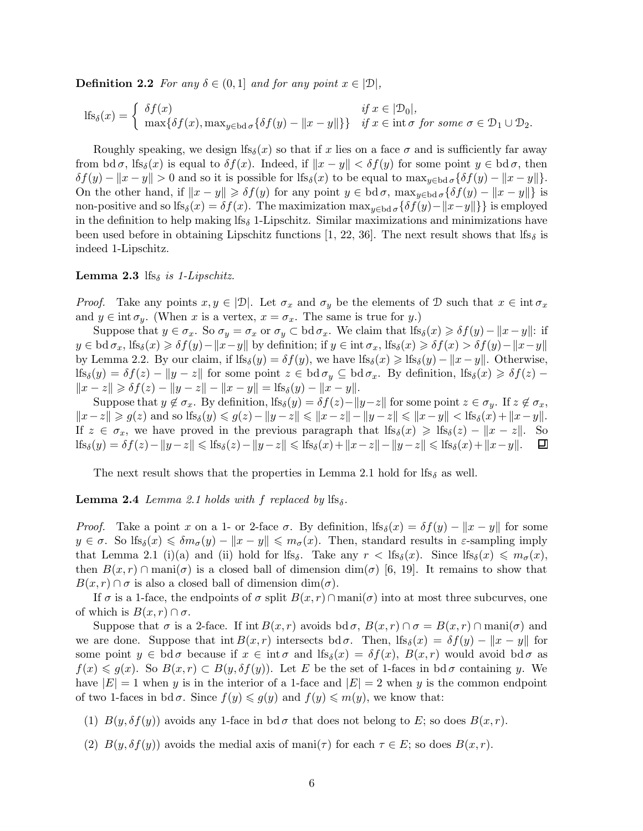**Definition 2.2** For any  $\delta \in (0,1]$  and for any point  $x \in [D]$ ,

$$
\mathrm{lfs}_{\delta}(x) = \begin{cases} \delta f(x) & \text{if } x \in |\mathcal{D}_0|, \\ \max\{\delta f(x), \max_{y \in \mathrm{bd } \sigma} \{\delta f(y) - ||x - y||\}\} & \text{if } x \in \mathrm{int } \sigma \text{ for some } \sigma \in \mathcal{D}_1 \cup \mathcal{D}_2. \end{cases}
$$

Roughly speaking, we design lfs<sub>δ</sub>(x) so that if x lies on a face  $\sigma$  and is sufficiently far away from bd  $\sigma$ , lfs<sub> $\delta(x)$ </sub> is equal to  $\delta f(x)$ . Indeed, if  $||x - y|| < \delta f(y)$  for some point  $y \in \text{bd } \sigma$ , then  $\delta f(y) - ||x - y|| > 0$  and so it is possible for lfs<sub>δ</sub>(x) to be equal to max<sub>y∈bd σ</sub>{ $\delta f(y) - ||x - y||$ }. On the other hand, if  $||x - y|| \geq \delta f(y)$  for any point  $y \in \text{bd }\sigma$ ,  $\max_{y \in \text{bd }\sigma} {\delta f(y) - ||x - y||}$  is non-positive and so lfs<sub>δ</sub>(x) =  $\delta f(x)$ . The maximization max<sub>y∈bd σ</sub>{ $\delta f(y) - ||x-y||$ } is employed in the definition to help making  $lfs_\delta 1$ -Lipschitz. Similar maximizations and minimizations have been used before in obtaining Lipschitz functions [1, 22, 36]. The next result shows that lfs<sub>δ</sub> is indeed 1-Lipschitz.

#### **Lemma 2.3** lfs<sub>δ</sub> is 1-Lipschitz.

*Proof.* Take any points  $x, y \in [D]$ . Let  $\sigma_x$  and  $\sigma_y$  be the elements of D such that  $x \in \text{int } \sigma_x$ and  $y \in \text{int } \sigma_y$ . (When x is a vertex,  $x = \sigma_x$ . The same is true for y.)

Suppose that  $y \in \sigma_x$ . So  $\sigma_y = \sigma_x$  or  $\sigma_y \subset \text{bd } \sigma_x$ . We claim that  $\text{lf}_\delta(x) \geq \delta f(y) - ||x - y||$ : if  $y \in \text{bd }\sigma_x, \text{lf}_\delta(x) \geq \delta f(y)-\|x-y\|$  by definition; if  $y \in \text{int }\sigma_x, \text{lf}_\delta(x) \geq \delta f(x) > \delta f(y)-\|x-y\|$ by Lemma 2.2. By our claim, if  $lfs_{\delta}(y) = \delta f(y)$ , we have  $lfs_{\delta}(x) \geq lfs_{\delta}(y) - ||x - y||$ . Otherwise,  $\text{lf}_\delta(y) = \delta f(z) - \|y - z\|$  for some point  $z \in \text{bd } \sigma_y \subseteq \text{bd } \sigma_x$ . By definition,  $\text{lf}_\delta(x) \geq \delta f(z)$  $||x - z|| \geq \delta f(z) - ||y - z|| - ||x - y|| = \text{lfs}_{\delta}(y) - ||x - y||.$ 

Suppose that  $y \notin \sigma_x$ . By definition,  $\text{If}_\delta(y) = \delta f(z) - ||y - z||$  for some point  $z \in \sigma_y$ . If  $z \notin \sigma_x$ ,  $||x-z|| \ge g(z)$  and so  $\text{lfs}_{\delta}(y) \le g(z)-||y-z|| \le ||x-z||-||y-z|| \le ||x-y|| < \text{lfs}_{\delta}(x)+||x-y||.$ If  $z \in \sigma_x$ , we have proved in the previous paragraph that  $\text{If}_\delta(x) \geq \text{If}_\delta(z) - ||x - z||$ . So  $\text{If}_\delta(y) = \delta f(z) - ||y - z|| \leq \text{If}_\delta(z) - ||y - z|| \leq \text{If}_\delta(x) + ||x - z|| - ||y - z|| \leq \text{If}_\delta(x) + ||x - y||$ .  $\Box$  $\text{lfs}_{\delta}(y) = \delta f(z)-\|y-z\| \leqslant \text{lfs}_{\delta}(z)-\|y-z\| \leqslant \text{lfs}_{\delta}(x)+\|x-z\|-\|y-z\| \leqslant \text{lfs}_{\delta}(x)+\|x-y\|.$ 

The next result shows that the properties in Lemma 2.1 hold for lfs<sub>δ</sub> as well.

#### **Lemma 2.4** Lemma 2.1 holds with f replaced by  $\text{lfs}_{\delta}$ .

*Proof.* Take a point x on a 1- or 2-face  $\sigma$ . By definition, lfs<sub>δ</sub>(x) =  $\delta f(y) - ||x - y||$  for some  $y \in \sigma$ . So  $\text{If}_\delta(x) \leq \delta m_\sigma(y) - \|x - y\| \leq m_\sigma(x)$ . Then, standard results in  $\varepsilon$ -sampling imply that Lemma 2.1 (i)(a) and (ii) hold for lfs<sub>δ</sub>. Take any  $r < \text{lfs}_{\delta}(x)$ . Since  $\text{lf}_{\delta_{\delta}}(x) \leqslant m_{\sigma}(x)$ , then  $B(x, r) \cap \text{man}(\sigma)$  is a closed ball of dimension  $\dim(\sigma)$  [6, 19]. It remains to show that  $B(x, r) \cap \sigma$  is also a closed ball of dimension dim( $\sigma$ ).

If  $\sigma$  is a 1-face, the endpoints of  $\sigma$  split  $B(x, r) \cap \text{mani}(\sigma)$  into at most three subcurves, one of which is  $B(x, r) \cap \sigma$ .

Suppose that  $\sigma$  is a 2-face. If int  $B(x, r)$  avoids bd  $\sigma$ ,  $B(x, r) \cap \sigma = B(x, r) \cap \text{mani}(\sigma)$  and we are done. Suppose that  $\text{int } B(x, r)$  intersects  $\text{bd } \sigma$ . Then,  $\text{lf}_\delta(x) = \delta f(y) - \|x - y\|$  for some point  $y \in \text{bd } \sigma$  because if  $x \in \text{int } \sigma$  and  $\text{lf}_\delta(x) = \delta f(x)$ ,  $B(x, r)$  would avoid  $\text{bd } \sigma$  as  $f(x) \leq g(x)$ . So  $B(x,r) \subset B(y,\delta f(y))$ . Let E be the set of 1-faces in bd $\sigma$  containing y. We have  $|E| = 1$  when y is in the interior of a 1-face and  $|E| = 2$  when y is the common endpoint of two 1-faces in bd  $\sigma$ . Since  $f(y) \leq g(y)$  and  $f(y) \leq m(y)$ , we know that:

- (1)  $B(y, \delta f(y))$  avoids any 1-face in bd $\sigma$  that does not belong to E; so does  $B(x, r)$ .
- (2)  $B(y,\delta f(y))$  avoids the medial axis of mani( $\tau$ ) for each  $\tau \in E$ ; so does  $B(x,r)$ .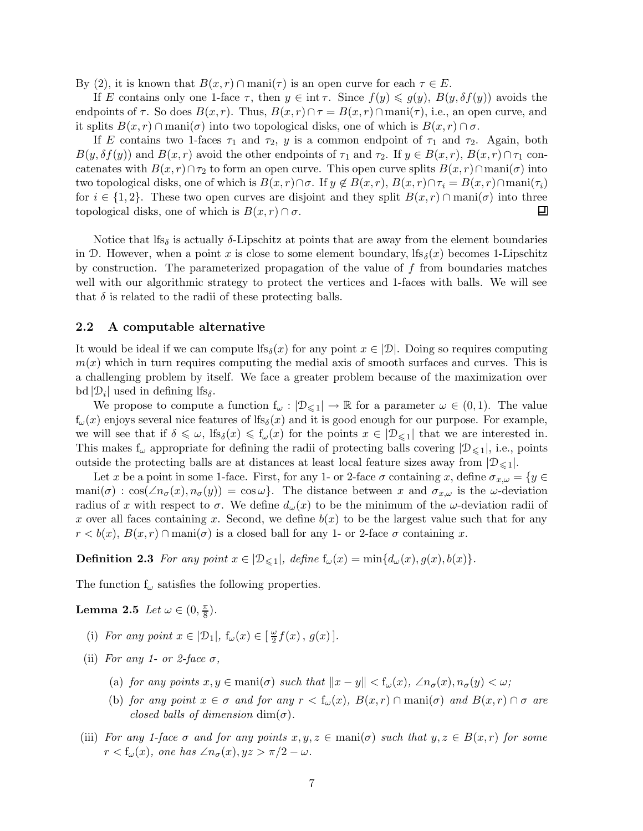By (2), it is known that  $B(x, r) \cap \text{man}(\tau)$  is an open curve for each  $\tau \in E$ .

If E contains only one 1-face  $\tau$ , then  $y \in \text{int }\tau$ . Since  $f(y) \leq g(y)$ ,  $B(y, \delta f(y))$  avoids the endpoints of  $\tau$ . So does  $B(x, r)$ . Thus,  $B(x, r) \cap \tau = B(x, r) \cap \text{mani}(\tau)$ , i.e., an open curve, and it splits  $B(x, r) \cap \text{mani}(\sigma)$  into two topological disks, one of which is  $B(x, r) \cap \sigma$ .

If E contains two 1-faces  $\tau_1$  and  $\tau_2$ , y is a common endpoint of  $\tau_1$  and  $\tau_2$ . Again, both  $B(y,\delta f(y))$  and  $B(x,r)$  avoid the other endpoints of  $\tau_1$  and  $\tau_2$ . If  $y \in B(x,r)$ ,  $B(x,r) \cap \tau_1$  concatenates with  $B(x, r) \cap \tau_2$  to form an open curve. This open curve splits  $B(x, r) \cap \text{mani}(\sigma)$  into two topological disks, one of which is  $B(x, r) \cap \sigma$ . If  $y \notin B(x, r)$ ,  $B(x, r) \cap \tau_i = B(x, r) \cap \text{mani}(\tau_i)$ for  $i \in \{1,2\}$ . These two open curves are disjoint and they split  $B(x,r) \cap \text{mani}(\sigma)$  into three topological disks, one of which is  $B(x,r) \cap \sigma$ . topological disks, one of which is  $B(x, r) \cap \sigma$ .

Notice that lfs<sub>δ</sub> is actually  $\delta$ -Lipschitz at points that are away from the element boundaries in D. However, when a point x is close to some element boundary,  $\text{lf}_\delta(x)$  becomes 1-Lipschitz by construction. The parameterized propagation of the value of f from boundaries matches well with our algorithmic strategy to protect the vertices and 1-faces with balls. We will see that  $\delta$  is related to the radii of these protecting balls.

#### 2.2 A computable alternative

It would be ideal if we can compute lfs<sub>δ</sub>(x) for any point  $x \in [D]$ . Doing so requires computing  $m(x)$  which in turn requires computing the medial axis of smooth surfaces and curves. This is a challenging problem by itself. We face a greater problem because of the maximization over bd  $|\mathcal{D}_i|$  used in defining lfs<sub>δ</sub>.

We propose to compute a function  $f_{\omega}: |\mathcal{D}_{\leq 1}| \to \mathbb{R}$  for a parameter  $\omega \in (0,1)$ . The value  $f_{\omega}(x)$  enjoys several nice features of  $lfs_{\delta}(x)$  and it is good enough for our purpose. For example, we will see that if  $\delta \leq \omega$ ,  $\text{If}_{\delta}(x) \leq \text{f}_{\omega}(x)$  for the points  $x \in |\mathcal{D}_{\leq 1}|$  that we are interested in. This makes  $f_{\omega}$  appropriate for defining the radii of protecting balls covering  $|\mathcal{D}_{\leq 1}|$ , i.e., points outside the protecting balls are at distances at least local feature sizes away from  $|\mathcal{D}_{\leq 1}|$ .

Let x be a point in some 1-face. First, for any 1- or 2-face  $\sigma$  containing x, define  $\sigma_{x,\omega} = \{y \in$ mani( $\sigma$ ) : cos( $\angle n_{\sigma}(x), n_{\sigma}(y)$ ) = cos $\omega$ . The distance between x and  $\sigma_{x,\omega}$  is the  $\omega$ -deviation radius of x with respect to  $\sigma$ . We define  $d_{\omega}(x)$  to be the minimum of the  $\omega$ -deviation radii of x over all faces containing x. Second, we define  $b(x)$  to be the largest value such that for any  $r < b(x), B(x,r) \cap \text{mani}(\sigma)$  is a closed ball for any 1- or 2-face  $\sigma$  containing x.

**Definition 2.3** For any point  $x \in |\mathcal{D}_{\leq 1}|$ , define  $f_{\omega}(x) = \min\{d_{\omega}(x), g(x), b(x)\}.$ 

The function  $f_{\omega}$  satisfies the following properties.

Lemma 2.5 Let  $\omega \in (0, \frac{\pi}{8})$  $\frac{\pi}{8}$ ).

- (i) For any point  $x \in |\mathcal{D}_1|$ ,  $f_\omega(x) \in \left[\frac{\omega}{2}\right]$  $\frac{\omega}{2}f(x), g(x)$ .
- (ii) For any 1- or 2-face  $\sigma$ ,
	- (a) for any points  $x, y \in \text{mani}(\sigma)$  such that  $||x y|| < f_{\omega}(x), \angle n_{\sigma}(x), n_{\sigma}(y) < \omega;$
	- (b) for any point  $x \in \sigma$  and for any  $r < f_{\omega}(x)$ ,  $B(x,r) \cap \text{mani}(\sigma)$  and  $B(x,r) \cap \sigma$  are closed balls of dimension  $\dim(\sigma)$ .
- (iii) For any 1-face  $\sigma$  and for any points  $x, y, z \in \text{mani}(\sigma)$  such that  $y, z \in B(x, r)$  for some  $r < f_{\omega}(x)$ , one has  $\angle n_{\sigma}(x), yz > \pi/2 - \omega$ .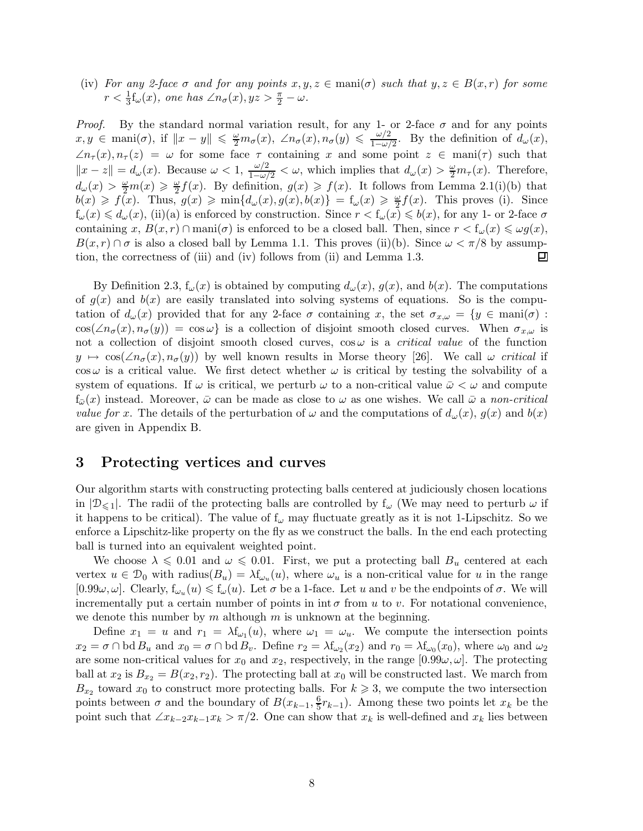(iv) For any 2-face  $\sigma$  and for any points  $x, y, z \in \text{mani}(\sigma)$  such that  $y, z \in B(x,r)$  for some  $r < \frac{1}{3}$  $\frac{1}{3}f_{\omega}(x)$ , one has  $\angle n_{\sigma}(x), yz > \frac{\pi}{2} - \omega$ .

*Proof.* By the standard normal variation result, for any 1- or 2-face  $\sigma$  and for any points  $x, y \in \text{mani}(\sigma)$ , if  $||x - y|| \leqslant \frac{\omega}{2} m_{\sigma}(x), \angle n_{\sigma}(x), n_{\sigma}(y) \leqslant \frac{\omega/2}{1 - \omega/2}$  $\frac{\omega/2}{1-\omega/2}$ . By the definition of  $d_{\omega}(x)$ ,  $\angle n_{\tau}(x), n_{\tau}(z) = \omega$  for some face  $\tau$  containing x and some point  $z \in \text{mani}(\tau)$  such that  $||x - z|| = d_{\omega}(x)$ . Because  $\omega < 1$ ,  $\frac{\omega/2}{1 - \omega/2} < \omega$ , which implies that  $d_{\omega}(x) > \frac{\omega}{2} m_{\tau}(x)$ . Therefore,  $d_{\omega}(x) > \frac{\omega}{2}m(x) \geqslant \frac{\omega}{2}$  $\frac{\omega}{2}f(x)$ . By definition,  $g(x) \geq f(x)$ . It follows from Lemma 2.1(i)(b) that  $b(x) \geqslant f(x)$ . Thus,  $g(x) \geqslant \min\{d_{\omega}(x), g(x), b(x)\} = f_{\omega}(x) \geqslant \frac{\omega}{2}f(x)$ . This proves (i). Since  $f_{\omega}(x) \leq d_{\omega}(x)$ , (ii)(a) is enforced by construction. Since  $r < f_{\omega}(x) \leqslant b(x)$ , for any 1- or 2-face  $\sigma$ containing x,  $B(x, r) \cap \text{mani}(\sigma)$  is enforced to be a closed ball. Then, since  $r < f_{\omega}(x) \leq \omega g(x)$ ,  $B(x, r) \cap \sigma$  is also a closed ball by Lemma 1.1. This proves (ii)(b). Since  $\omega < \pi/8$  by assumption, the correctness of (iii) and (iv) follows from (ii) and Lemma 1.3. tion, the correctness of (iii) and (iv) follows from (ii) and Lemma 1.3.

By Definition 2.3,  $f_\omega(x)$  is obtained by computing  $d_\omega(x)$ ,  $g(x)$ , and  $b(x)$ . The computations of  $g(x)$  and  $b(x)$  are easily translated into solving systems of equations. So is the computation of  $d_{\omega}(x)$  provided that for any 2-face  $\sigma$  containing x, the set  $\sigma_{x,\omega} = \{y \in \text{mani}(\sigma) :$  $\cos(\angle n_{\sigma}(x), n_{\sigma}(y)) = \cos \omega \}$  is a collection of disjoint smooth closed curves. When  $\sigma_{x,\omega}$  is not a collection of disjoint smooth closed curves,  $\cos \omega$  is a *critical value* of the function  $y \mapsto \cos(\angle n_{\sigma}(x), n_{\sigma}(y))$  by well known results in Morse theory [26]. We call  $\omega$  critical if  $\cos \omega$  is a critical value. We first detect whether  $\omega$  is critical by testing the solvability of a system of equations. If  $\omega$  is critical, we perturb  $\omega$  to a non-critical value  $\bar{\omega} < \omega$  and compute  $f_{\tilde{\omega}}(x)$  instead. Moreover,  $\bar{\omega}$  can be made as close to  $\omega$  as one wishes. We call  $\bar{\omega}$  a non-critical value for x. The details of the perturbation of  $\omega$  and the computations of  $d_{\omega}(x)$ ,  $g(x)$  and  $b(x)$ are given in Appendix B.

# 3 Protecting vertices and curves

Our algorithm starts with constructing protecting balls centered at judiciously chosen locations in  $|\mathcal{D}_{\leq 1}|$ . The radii of the protecting balls are controlled by f<sub>ω</sub> (We may need to perturb  $\omega$  if it happens to be critical). The value of  $f_{\omega}$  may fluctuate greatly as it is not 1-Lipschitz. So we enforce a Lipschitz-like property on the fly as we construct the balls. In the end each protecting ball is turned into an equivalent weighted point.

We choose  $\lambda \leq 0.01$  and  $\omega \leq 0.01$ . First, we put a protecting ball  $B_u$  centered at each vertex  $u \in \mathcal{D}_0$  with radius $(B_u) = \lambda f_{\omega_u}(u)$ , where  $\omega_u$  is a non-critical value for u in the range  $[0.99\omega,\omega]$ . Clearly,  $f_{\omega_u}(u) \leq f_{\omega}(u)$ . Let  $\sigma$  be a 1-face. Let u and v be the endpoints of  $\sigma$ . We will incrementally put a certain number of points in  $\pi$  from u to v. For notational convenience, we denote this number by  $m$  although  $m$  is unknown at the beginning.

Define  $x_1 = u$  and  $r_1 = \lambda f_{\omega_1}(u)$ , where  $\omega_1 = \omega_u$ . We compute the intersection points  $x_2 = \sigma \cap \text{bd } B_u$  and  $x_0 = \sigma \cap \text{bd } B_v$ . Define  $r_2 = \lambda f_{\omega_2}(x_2)$  and  $r_0 = \lambda f_{\omega_0}(x_0)$ , where  $\omega_0$  and  $\omega_2$ are some non-critical values for  $x_0$  and  $x_2$ , respectively, in the range  $[0.99\omega, \omega]$ . The protecting ball at  $x_2$  is  $B_{x_2} = B(x_2, r_2)$ . The protecting ball at  $x_0$  will be constructed last. We march from  $B_{x_2}$  toward  $x_0$  to construct more protecting balls. For  $k \geq 3$ , we compute the two intersection points between  $\sigma$  and the boundary of  $B(x_{k-1}, \frac{6}{5})$  $\frac{6}{5}r_{k-1}$ ). Among these two points let  $x_k$  be the point such that  $\angle x_{k-2}x_{k-1}x_k > \pi/2$ . One can show that  $x_k$  is well-defined and  $x_k$  lies between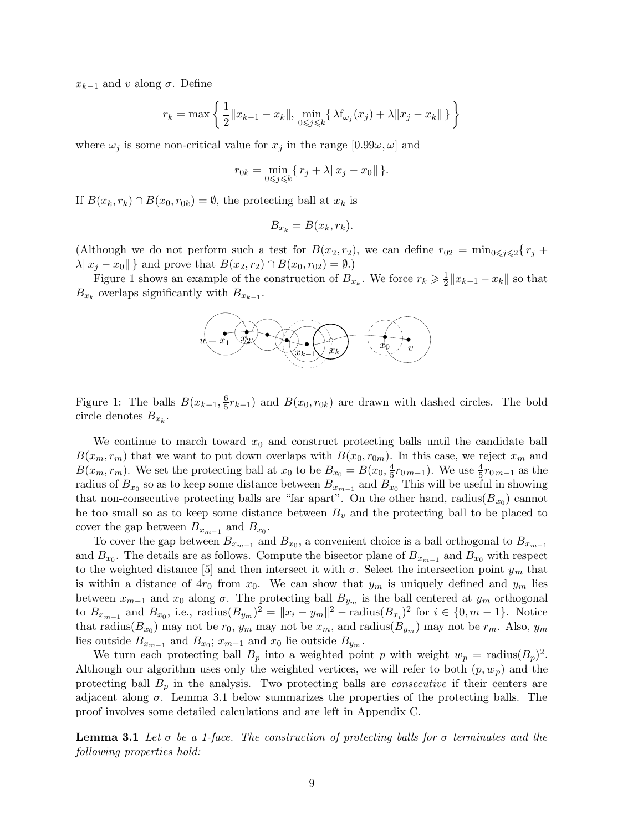$x_{k-1}$  and v along  $\sigma$ . Define

$$
r_k = \max \left\{ \frac{1}{2} ||x_{k-1} - x_k||, \min_{0 \le j \le k} \{ \lambda f_{\omega_j}(x_j) + \lambda ||x_j - x_k|| \} \right\}
$$

where  $\omega_i$  is some non-critical value for  $x_i$  in the range  $[0.99\omega, \omega]$  and

$$
r_{0k} = \min_{0 \leq j \leq k} \{ r_j + \lambda \| x_j - x_0 \| \}.
$$

If  $B(x_k, r_k) \cap B(x_0, r_{0k}) = \emptyset$ , the protecting ball at  $x_k$  is

$$
B_{x_k} = B(x_k, r_k).
$$

(Although we do not perform such a test for  $B(x_2, r_2)$ , we can define  $r_{02} = \min_{0 \leq i \leq 2} \{r_i +$  $\lambda \|x_j - x_0\|$  and prove that  $B(x_2, r_2) \cap B(x_0, r_{02}) = \emptyset$ .)

Figure 1 shows an example of the construction of  $B_{x_k}$ . We force  $r_k \geqslant \frac{1}{2}$  $\frac{1}{2} \| x_{k-1} - x_k \|$  so that  $B_{x_k}$  overlaps significantly with  $B_{x_{k-1}}$ .



Figure 1: The balls  $B(x_{k-1}, \frac{6}{5})$  $(\frac{6}{5}r_{k-1})$  and  $B(x_0, r_{0k})$  are drawn with dashed circles. The bold circle denotes  $B_{x_k}$ .

We continue to march toward  $x_0$  and construct protecting balls until the candidate ball  $B(x_m, r_m)$  that we want to put down overlaps with  $B(x_0, r_{0m})$ . In this case, we reject  $x_m$  and  $B(x_m, r_m)$ . We set the protecting ball at  $x_0$  to be  $B_{x_0} = B(x_0, \frac{4}{5})$  $\frac{4}{5}r_{0\,m-1}$ ). We use  $\frac{4}{5}r_{0\,m-1}$  as the radius of  $B_{x_0}$  so as to keep some distance between  $B_{x_{m-1}}$  and  $B_{x_0}$  This will be useful in showing that non-consecutive protecting balls are "far apart". On the other hand, radius( $B_{x_0}$ ) cannot be too small so as to keep some distance between  $B<sub>v</sub>$  and the protecting ball to be placed to cover the gap between  $B_{x_{m-1}}$  and  $B_{x_0}$ .

To cover the gap between  $B_{x_{m-1}}$  and  $B_{x_0}$ , a convenient choice is a ball orthogonal to  $B_{x_{m-1}}$ and  $B_{x_0}$ . The details are as follows. Compute the bisector plane of  $B_{x_{m-1}}$  and  $B_{x_0}$  with respect to the weighted distance [5] and then intersect it with  $\sigma$ . Select the intersection point  $y_m$  that is within a distance of  $4r_0$  from  $x_0$ . We can show that  $y_m$  is uniquely defined and  $y_m$  lies between  $x_{m-1}$  and  $x_0$  along  $\sigma$ . The protecting ball  $B_{y_m}$  is the ball centered at  $y_m$  orthogonal to  $B_{x_{m-1}}$  and  $B_{x_0}$ , i.e.,  $\text{radius}(B_{y_m})^2 = ||x_i - y_m||^2 - \text{radius}(B_{x_i})^2$  for  $i \in \{0, m-1\}$ . Notice that radius( $B_{x_0}$ ) may not be  $r_0$ ,  $y_m$  may not be  $x_m$ , and radius( $B_{y_m}$ ) may not be  $r_m$ . Also,  $y_m$ lies outside  $B_{x_{m-1}}$  and  $B_{x_0}$ ;  $x_{m-1}$  and  $x_0$  lie outside  $B_{y_m}$ .

We turn each protecting ball  $B_p$  into a weighted point p with weight  $w_p = \text{radius}(B_p)^2$ . Although our algorithm uses only the weighted vertices, we will refer to both  $(p, w_p)$  and the protecting ball  $B_p$  in the analysis. Two protecting balls are *consecutive* if their centers are adjacent along  $\sigma$ . Lemma 3.1 below summarizes the properties of the protecting balls. The proof involves some detailed calculations and are left in Appendix C.

**Lemma 3.1** Let  $\sigma$  be a 1-face. The construction of protecting balls for  $\sigma$  terminates and the following properties hold: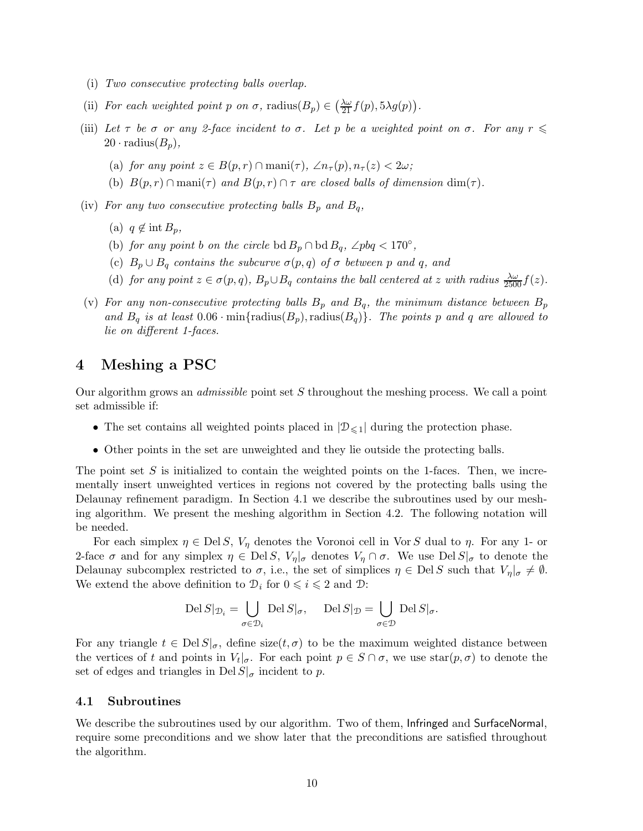- (i) Two consecutive protecting balls overlap.
- (ii) For each weighted point p on  $\sigma$ , radius $(B_p) \in \left(\frac{\lambda \omega}{21} f(p), 5\lambda g(p)\right)$ .
- (iii) Let  $\tau$  be  $\sigma$  or any 2-face incident to  $\sigma$ . Let p be a weighted point on  $\sigma$ . For any  $r \leq$  $20 \cdot$  radius $(B_n),$ 
	- (a) for any point  $z \in B(p,r) \cap \text{mani}(\tau)$ ,  $\angle n_{\tau}(p), n_{\tau}(z) < 2\omega$ ;
	- (b)  $B(p,r) \cap \text{mani}(\tau)$  and  $B(p,r) \cap \tau$  are closed balls of dimension  $\dim(\tau)$ .
- (iv) For any two consecutive protecting balls  $B_p$  and  $B_q$ ,
	- (a)  $q \notin \text{int } B_p$ ,
	- (b) for any point b on the circle bd  $B_p \cap \text{bd } B_q$ , ∠pbq < 170°,
	- (c)  $B_p \cup B_q$  contains the subcurve  $\sigma(p,q)$  of  $\sigma$  between p and q, and
	- (d) for any point  $z \in \sigma(p,q)$ ,  $B_p \cup B_q$  contains the ball centered at z with radius  $\frac{\lambda \omega}{2500} f(z)$ .
- (v) For any non-consecutive protecting balls  $B_p$  and  $B_q$ , the minimum distance between  $B_p$ and  $B_q$  is at least  $0.06 \cdot \min\{\text{radius}(B_p), \text{radius}(B_q)\}\$ . The points p and q are allowed to lie on different 1-faces.

# 4 Meshing a PSC

Our algorithm grows an admissible point set S throughout the meshing process. We call a point set admissible if:

- The set contains all weighted points placed in  $|\mathcal{D}_{\leq 1}|$  during the protection phase.
- Other points in the set are unweighted and they lie outside the protecting balls.

The point set  $S$  is initialized to contain the weighted points on the 1-faces. Then, we incrementally insert unweighted vertices in regions not covered by the protecting balls using the Delaunay refinement paradigm. In Section 4.1 we describe the subroutines used by our meshing algorithm. We present the meshing algorithm in Section 4.2. The following notation will be needed.

For each simplex  $\eta \in \text{Del } S$ ,  $V_{\eta}$  denotes the Voronoi cell in Vor S dual to  $\eta$ . For any 1- or 2-face  $\sigma$  and for any simplex  $\eta \in \text{Del } S$ ,  $V_{\eta}|_{\sigma}$  denotes  $V_{\eta} \cap \sigma$ . We use  $\text{Del } S|_{\sigma}$  to denote the Delaunay subcomplex restricted to  $\sigma$ , i.e., the set of simplices  $\eta \in \text{Del } S$  such that  $V_{\eta}|_{\sigma} \neq \emptyset$ . We extend the above definition to  $\mathcal{D}_i$  for  $0 \leq i \leq 2$  and  $\mathcal{D}$ :

$$
\operatorname{Del}S|_{\mathcal{D}_i} = \bigcup_{\sigma \in \mathcal{D}_i} \operatorname{Del}S|_{\sigma}, \quad \operatorname{Del}S|_{\mathcal{D}} = \bigcup_{\sigma \in \mathcal{D}} \operatorname{Del}S|_{\sigma}.
$$

For any triangle  $t \in \text{Del } S|_{\sigma}$ , define size $(t, \sigma)$  to be the maximum weighted distance between the vertices of t and points in  $V_t|_{\sigma}$ . For each point  $p \in S \cap \sigma$ , we use  $star(p, \sigma)$  to denote the set of edges and triangles in Del  $S|_{\sigma}$  incident to p.

### 4.1 Subroutines

We describe the subroutines used by our algorithm. Two of them, Infringed and SurfaceNormal, require some preconditions and we show later that the preconditions are satisfied throughout the algorithm.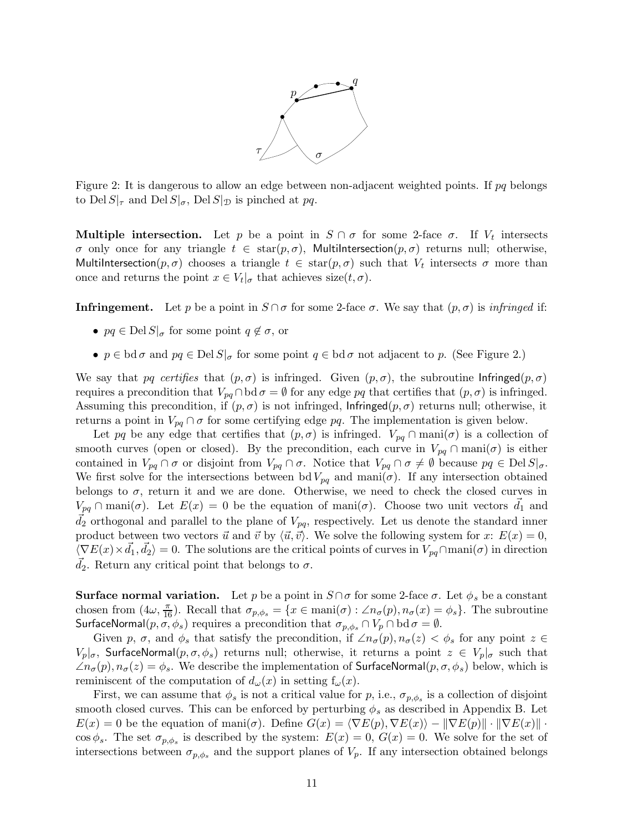

Figure 2: It is dangerous to allow an edge between non-adjacent weighted points. If  $pq$  belongs to Del  $S|_{\tau}$  and Del  $S|_{\sigma}$ , Del  $S|_{\mathcal{D}}$  is pinched at pq.

**Multiple intersection.** Let p be a point in  $S \cap \sigma$  for some 2-face  $\sigma$ . If  $V_t$  intersects σ only once for any triangle  $t \in \text{star}(p, \sigma)$ , MultiIntersection $(p, \sigma)$  returns null; otherwise, MultiIntersection $(p, \sigma)$  chooses a triangle  $t \in \text{star}(p, \sigma)$  such that  $V_t$  intersects  $\sigma$  more than once and returns the point  $x \in V_t|_{\sigma}$  that achieves  $size(t, \sigma)$ .

**Infringement.** Let p be a point in  $S \cap \sigma$  for some 2-face  $\sigma$ . We say that  $(p, \sigma)$  is infringed if:

- $pq \in \text{Del } S|_{\sigma}$  for some point  $q \notin \sigma$ , or
- $p \in \text{bd } \sigma$  and  $pq \in \text{Del } S|_{\sigma}$  for some point  $q \in \text{bd } \sigma$  not adjacent to p. (See Figure 2.)

We say that pq certifies that  $(p, \sigma)$  is infringed. Given  $(p, \sigma)$ , the subroutine Infringed $(p, \sigma)$ requires a precondition that  $V_{pq} \cap \text{bd } \sigma = \emptyset$  for any edge pq that certifies that  $(p, \sigma)$  is infringed. Assuming this precondition, if  $(p, \sigma)$  is not infringed, Infringed $(p, \sigma)$  returns null; otherwise, it returns a point in  $V_{pq} \cap \sigma$  for some certifying edge pq. The implementation is given below.

Let pq be any edge that certifies that  $(p, \sigma)$  is infringed.  $V_{pq} \cap \text{mani}(\sigma)$  is a collection of smooth curves (open or closed). By the precondition, each curve in  $V_{pq} \cap \text{mani}(\sigma)$  is either contained in  $V_{pq} \cap \sigma$  or disjoint from  $V_{pq} \cap \sigma$ . Notice that  $V_{pq} \cap \sigma \neq \emptyset$  because  $pq \in \text{Del } S|_{\sigma}$ . We first solve for the intersections between bd  $V_{pq}$  and mani $(\sigma)$ . If any intersection obtained belongs to  $\sigma$ , return it and we are done. Otherwise, we need to check the closed curves in  $V_{pq} \cap \text{mani}(\sigma)$ . Let  $E(x) = 0$  be the equation of mani $(\sigma)$ . Choose two unit vectors  $\vec{d}_1$  and  $d_2$  orthogonal and parallel to the plane of  $V_{pq}$ , respectively. Let us denote the standard inner product between two vectors  $\vec{u}$  and  $\vec{v}$  by  $\langle \vec{u}, \vec{v} \rangle$ . We solve the following system for x:  $E(x) = 0$ ,  $\langle \nabla E(x) \times \vec{d}_1, \vec{d}_2 \rangle = 0$ . The solutions are the critical points of curves in  $V_{pq} \cap \text{mani}(\sigma)$  in direction  $\overrightarrow{d}_2$ . Return any critical point that belongs to  $\sigma$ .

**Surface normal variation.** Let p be a point in  $S \cap \sigma$  for some 2-face  $\sigma$ . Let  $\phi_s$  be a constant chosen from  $(4\omega, \frac{\pi}{16})$ . Recall that  $\sigma_{p,\phi_s} = \{x \in \text{mani}(\sigma) : \angle n_{\sigma}(p), n_{\sigma}(x) = \phi_s\}$ . The subroutine SurfaceNormal $(p, \sigma, \phi_s)$  requires a precondition that  $\sigma_{p,\phi_s} \cap V_p \cap \text{bd } \sigma = \emptyset$ .

Given p,  $\sigma$ , and  $\phi_s$  that satisfy the precondition, if  $\angle n_{\sigma}(p), n_{\sigma}(z) < \phi_s$  for any point  $z \in \mathcal{L}$  $V_p|_{\sigma}$ , SurfaceNormal $(p, \sigma, \phi_s)$  returns null; otherwise, it returns a point  $z \in V_p|_{\sigma}$  such that  $\angle n_{\sigma}(p), n_{\sigma}(z) = \phi_s$ . We describe the implementation of SurfaceNormal $(p, \sigma, \phi_s)$  below, which is reminiscent of the computation of  $d_{\omega}(x)$  in setting  $f_{\omega}(x)$ .

First, we can assume that  $\phi_s$  is not a critical value for p, i.e.,  $\sigma_{p,\phi_s}$  is a collection of disjoint smooth closed curves. This can be enforced by perturbing  $\phi_s$  as described in Appendix B. Let  $E(x) = 0$  be the equation of mani $(\sigma)$ . Define  $G(x) = \langle \nabla E(p), \nabla E(x) \rangle - ||\nabla E(p)|| \cdot ||\nabla E(x)||$ .  $\cos \phi_s$ . The set  $\sigma_{p,\phi_s}$  is described by the system:  $E(x) = 0$ ,  $G(x) = 0$ . We solve for the set of intersections between  $\sigma_{p,\phi_s}$  and the support planes of  $V_p$ . If any intersection obtained belongs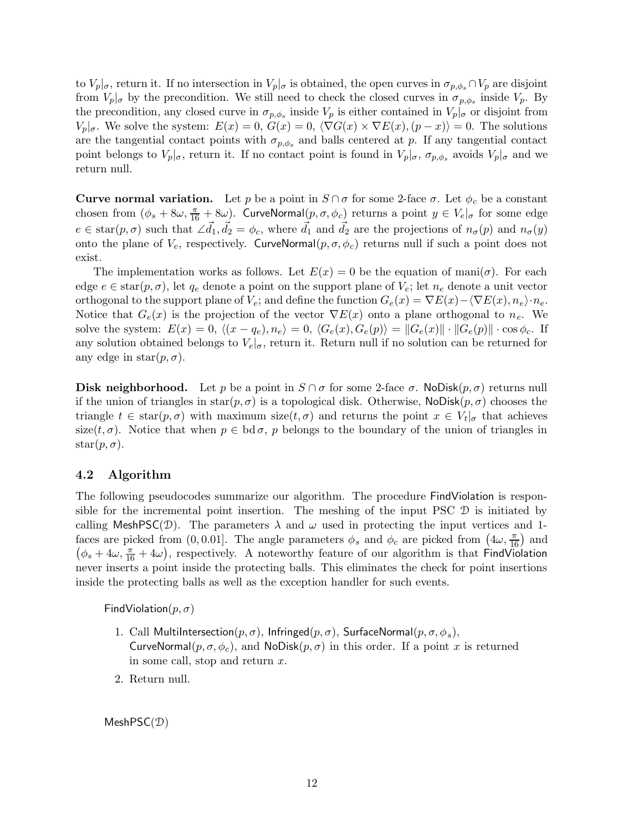to  $V_p|_{\sigma}$ , return it. If no intersection in  $V_p|_{\sigma}$  is obtained, the open curves in  $\sigma_{p,\phi_s} \cap V_p$  are disjoint from  $V_p|_{\sigma}$  by the precondition. We still need to check the closed curves in  $\sigma_{p,\phi_s}$  inside  $V_p$ . By the precondition, any closed curve in  $\sigma_{p,\phi_s}$  inside  $V_p$  is either contained in  $V_p|_{\sigma}$  or disjoint from  $V_p|_{\sigma}$ . We solve the system:  $E(x) = 0$ ,  $G(x) = 0$ ,  $\langle \nabla G(x) \times \nabla E(x), (p - x) \rangle = 0$ . The solutions are the tangential contact points with  $\sigma_{p,\phi_s}$  and balls centered at p. If any tangential contact point belongs to  $V_p|_{\sigma}$ , return it. If no contact point is found in  $V_p|_{\sigma}$ ,  $\sigma_{p,\phi_s}$  avoids  $V_p|_{\sigma}$  and we return null.

**Curve normal variation.** Let p be a point in  $S \cap \sigma$  for some 2-face  $\sigma$ . Let  $\phi_c$  be a constant chosen from  $(\phi_s + 8\omega, \frac{\pi}{16} + 8\omega)$ . CurveNormal $(p, \sigma, \phi_c)$  returns a point  $y \in V_e|_{\sigma}$  for some edge  $e \in \text{star}(p, \sigma)$  such that  $\angle \vec{d}_1, \vec{d}_2 = \phi_c$ , where  $\vec{d}_1$  and  $\vec{d}_2$  are the projections of  $n_\sigma(p)$  and  $n_\sigma(y)$ onto the plane of  $V_e$ , respectively. CurveNormal $(p, \sigma, \phi_c)$  returns null if such a point does not exist.

The implementation works as follows. Let  $E(x) = 0$  be the equation of mani $(\sigma)$ . For each edge  $e \in \text{star}(p, \sigma)$ , let  $q_e$  denote a point on the support plane of  $V_e$ ; let  $n_e$  denote a unit vector orthogonal to the support plane of  $V_e$ ; and define the function  $G_e(x) = \nabla E(x) - \langle \nabla E(x), n_e \rangle \cdot n_e$ . Notice that  $G_e(x)$  is the projection of the vector  $\nabla E(x)$  onto a plane orthogonal to  $n_e$ . We solve the system:  $E(x) = 0$ ,  $\langle (x - q_e), n_e \rangle = 0$ ,  $\langle G_e(x), G_e(p) \rangle = ||G_e(x)|| \cdot ||G_e(p)|| \cdot \cos \phi_c$ . If any solution obtained belongs to  $V_e|_{\sigma}$ , return it. Return null if no solution can be returned for any edge in star $(p, \sigma)$ .

**Disk neighborhood.** Let p be a point in  $S \cap \sigma$  for some 2-face  $\sigma$ . NoDisk $(p, \sigma)$  returns null if the union of triangles in  $star(p, \sigma)$  is a topological disk. Otherwise, NoDisk $(p, \sigma)$  chooses the triangle  $t \in \text{star}(p, \sigma)$  with maximum size $(t, \sigma)$  and returns the point  $x \in V_t|_{\sigma}$  that achieves size(t,  $\sigma$ ). Notice that when  $p \in \text{bd } \sigma$ , p belongs to the boundary of the union of triangles in  $star(p, \sigma)$ .

## 4.2 Algorithm

The following pseudocodes summarize our algorithm. The procedure FindViolation is responsible for the incremental point insertion. The meshing of the input PSC D is initiated by calling MeshPSC( $\mathcal{D}$ ). The parameters  $\lambda$  and  $\omega$  used in protecting the input vertices and 1faces are picked from  $(0, 0.01]$ . The angle parameters  $\phi_s$  and  $\phi_c$  are picked from  $(4\omega, \frac{\pi}{16})$  and  $(\phi_s + 4\omega, \frac{\pi}{16} + 4\omega)$ , respectively. A noteworthy feature of our algorithm is that FindViolation never inserts a point inside the protecting balls. This eliminates the check for point insertions inside the protecting balls as well as the exception handler for such events.

FindViolation $(p, \sigma)$ 

- 1. Call MultiIntersection $(p, \sigma)$ , Infringed $(p, \sigma)$ , SurfaceNormal $(p, \sigma, \phi_s)$ , CurveNormal $(p, \sigma, \phi_c)$ , and NoDisk $(p, \sigma)$  in this order. If a point x is returned in some call, stop and return  $x$ .
- 2. Return null.

MeshPSC(D)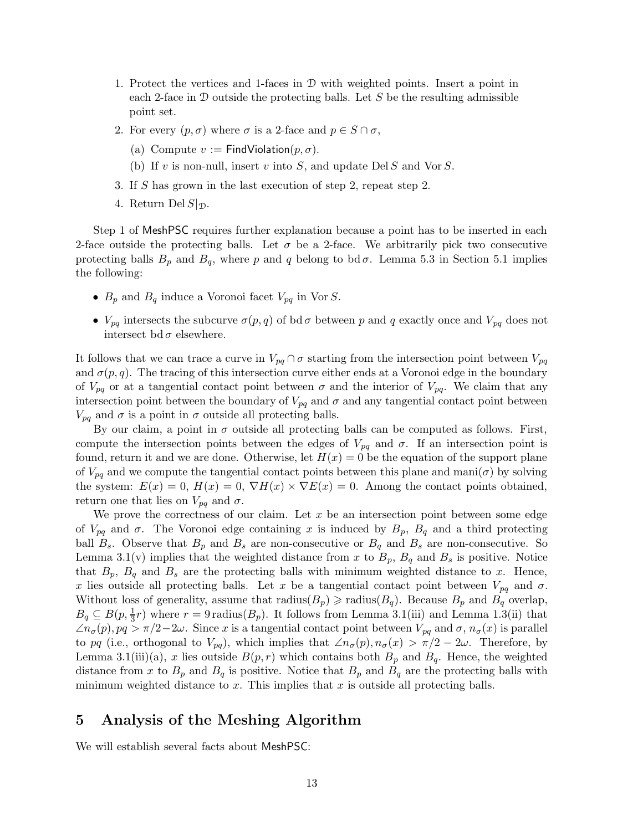- 1. Protect the vertices and 1-faces in D with weighted points. Insert a point in each 2-face in  $D$  outside the protecting balls. Let  $S$  be the resulting admissible point set.
- 2. For every  $(p, \sigma)$  where  $\sigma$  is a 2-face and  $p \in S \cap \sigma$ ,
	- (a) Compute  $v :=$  FindViolation $(p, \sigma)$ .
	- (b) If v is non-null, insert v into S, and update Del S and Vor S.
- 3. If S has grown in the last execution of step 2, repeat step 2.
- 4. Return Del  $S|_{\mathcal{D}}$ .

Step 1 of MeshPSC requires further explanation because a point has to be inserted in each 2-face outside the protecting balls. Let  $\sigma$  be a 2-face. We arbitrarily pick two consecutive protecting balls  $B_p$  and  $B_q$ , where p and q belong to bd  $\sigma$ . Lemma 5.3 in Section 5.1 implies the following:

- $B_p$  and  $B_q$  induce a Voronoi facet  $V_{pq}$  in Vor S.
- $V_{pq}$  intersects the subcurve  $\sigma(p,q)$  of bd $\sigma$  between p and q exactly once and  $V_{pq}$  does not intersect bd $\sigma$  elsewhere.

It follows that we can trace a curve in  $V_{pq} \cap \sigma$  starting from the intersection point between  $V_{pq}$ and  $\sigma(p,q)$ . The tracing of this intersection curve either ends at a Voronoi edge in the boundary of  $V_{pq}$  or at a tangential contact point between  $\sigma$  and the interior of  $V_{pq}$ . We claim that any intersection point between the boundary of  $V_{pq}$  and  $\sigma$  and any tangential contact point between  $V_{pq}$  and  $\sigma$  is a point in  $\sigma$  outside all protecting balls.

By our claim, a point in  $\sigma$  outside all protecting balls can be computed as follows. First, compute the intersection points between the edges of  $V_{pq}$  and  $\sigma$ . If an intersection point is found, return it and we are done. Otherwise, let  $H(x) = 0$  be the equation of the support plane of  $V_{pq}$  and we compute the tangential contact points between this plane and mani $(\sigma)$  by solving the system:  $E(x) = 0$ ,  $H(x) = 0$ ,  $\nabla H(x) \times \nabla E(x) = 0$ . Among the contact points obtained, return one that lies on  $V_{pq}$  and  $\sigma$ .

We prove the correctness of our claim. Let  $x$  be an intersection point between some edge of  $V_{pq}$  and  $\sigma$ . The Voronoi edge containing x is induced by  $B_p$ ,  $B_q$  and a third protecting ball  $B_s$ . Observe that  $B_p$  and  $B_s$  are non-consecutive or  $B_q$  and  $B_s$  are non-consecutive. So Lemma 3.1(v) implies that the weighted distance from x to  $B_p$ ,  $B_q$  and  $B_s$  is positive. Notice that  $B_p$ ,  $B_q$  and  $B_s$  are the protecting balls with minimum weighted distance to x. Hence, x lies outside all protecting balls. Let x be a tangential contact point between  $V_{pq}$  and  $\sigma$ . Without loss of generality, assume that  $\text{radius}(B_p) \geq \text{radius}(B_q)$ . Because  $B_p$  and  $B_q$  overlap,  $B_q \subseteq B(p, \frac{1}{3}r)$  where  $r = 9$  radius( $B_p$ ). It follows from Lemma 3.1(iii) and Lemma 1.3(ii) that  $\angle n_{\sigma}(p), pq > \pi/2-2\omega$ . Since x is a tangential contact point between  $V_{pq}$  and  $\sigma$ ,  $n_{\sigma}(x)$  is parallel to pq (i.e., orthogonal to  $V_{pq}$ ), which implies that  $\angle n_{\sigma}(p), n_{\sigma}(x) > \pi/2 - 2\omega$ . Therefore, by Lemma 3.1(iii)(a), x lies outside  $B(p,r)$  which contains both  $B_p$  and  $B_q$ . Hence, the weighted distance from x to  $B_p$  and  $B_q$  is positive. Notice that  $B_p$  and  $B_q$  are the protecting balls with minimum weighted distance to  $x$ . This implies that  $x$  is outside all protecting balls.

# 5 Analysis of the Meshing Algorithm

We will establish several facts about MeshPSC: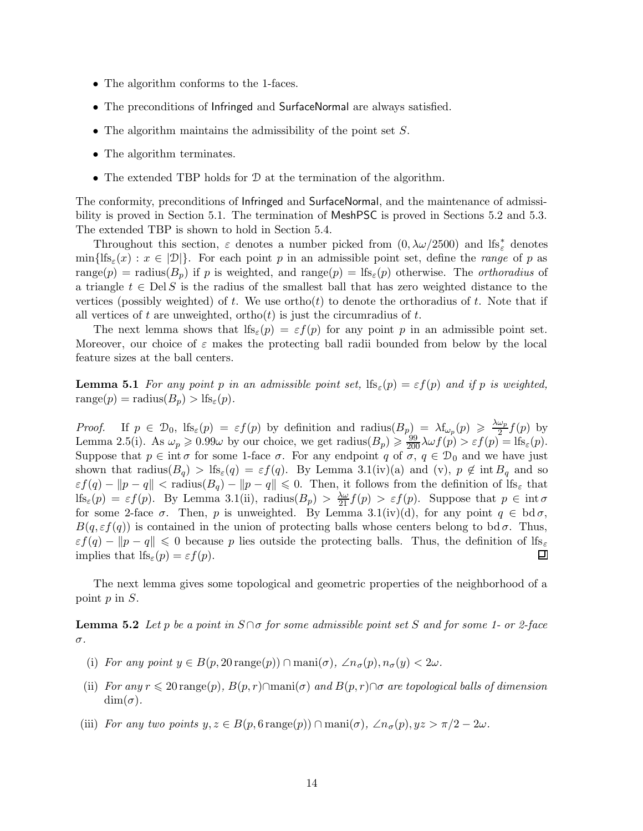- The algorithm conforms to the 1-faces.
- The preconditions of Infringed and SurfaceNormal are always satisfied.
- The algorithm maintains the admissibility of the point set  $S$ .
- The algorithm terminates.
- The extended TBP holds for <sup>D</sup> at the termination of the algorithm.

The conformity, preconditions of Infringed and SurfaceNormal, and the maintenance of admissibility is proved in Section 5.1. The termination of MeshPSC is proved in Sections 5.2 and 5.3. The extended TBP is shown to hold in Section 5.4.

Throughout this section,  $\varepsilon$  denotes a number picked from  $(0, \lambda \omega/2500)$  and lfs<sup>\*</sup><sub>ε</sub> denotes  $\min\{ \text{lfs}_{\varepsilon}(x) : x \in |\mathcal{D}| \}.$  For each point p in an admissible point set, define the range of p as range(p) = radius( $B_p$ ) if p is weighted, and range(p) = lfs<sub> $\varepsilon$ </sub>(p) otherwise. The *orthoradius* of a triangle  $t \in \text{Del } S$  is the radius of the smallest ball that has zero weighted distance to the vertices (possibly weighted) of t. We use ortho(t) to denote the orthoradius of t. Note that if all vertices of t are unweighted, ortho $(t)$  is just the circumradius of t.

The next lemma shows that  $\text{lf}_\varepsilon(p) = \varepsilon f(p)$  for any point p in an admissible point set. Moreover, our choice of  $\varepsilon$  makes the protecting ball radii bounded from below by the local feature sizes at the ball centers.

**Lemma 5.1** For any point p in an admissible point set,  $\text{lf}_\varepsilon(p) = \varepsilon f(p)$  and if p is weighted, range $(p)$  = radius $(B_p)$  > lfs<sub> $\varepsilon$ </sub> $(p)$ .

Proof. If  $p \in \mathcal{D}_0$ ,  $\text{lf}_\varepsilon(p) = \varepsilon f(p)$  by definition and radius  $(B_p) = \lambda f_{\omega_p}(p) \geq \frac{\lambda \omega_p}{2}$  $\frac{\omega_p}{2} f(p)$  by Lemma 2.5(i). As  $\omega_p \geq 0.99\omega$  by our choice, we get radius $(B_p) \geq \frac{99}{200} \lambda \omega f(p) > \varepsilon f(p) = \text{lfs}_{\varepsilon}(p)$ . Suppose that  $p \in \text{int } \sigma$  for some 1-face  $\sigma$ . For any endpoint q of  $\sigma$ ,  $q \in \mathcal{D}_0$  and we have just shown that radius( $B_q$ ) > lfs<sub> $\varepsilon$ </sub>(q) =  $\varepsilon f(q)$ . By Lemma 3.1(iv)(a) and (v),  $p \notin \text{int } B_q$  and so  $\varepsilon f(q) - ||p - q|| < \text{radius}(B_q) - ||p - q|| \leq 0.$  Then, it follows from the definition of  $\text{lf}_{\mathcal{S}_{\varepsilon}}$  that If  $s_{\varepsilon}(p) = \varepsilon f(p)$ . By Lemma 3.1(ii), radius $(B_p) > \frac{\lambda \omega}{21} f(p) > \varepsilon f(p)$ . Suppose that  $p \in \text{int } \sigma$ for some 2-face  $\sigma$ . Then, p is unweighted. By Lemma 3.1(iv)(d), for any point  $q \in \text{bd } \sigma$ ,  $B(q, \varepsilon f(q))$  is contained in the union of protecting balls whose centers belong to bd $\sigma$ . Thus,  $\varepsilon f(q) - ||p - q|| \leq 0$  because p lies outside the protecting balls. Thus, the definition of lfs<sub> $\varepsilon$ </sub> implies that lfs<sub> $\varepsilon$ </sub> (p) =  $\varepsilon f(p)$ . implies that  $\text{lf}_{\mathcal{E}}(p) = \varepsilon f(p)$ .

The next lemma gives some topological and geometric properties of the neighborhood of a point p in S.

**Lemma 5.2** Let p be a point in  $S \cap \sigma$  for some admissible point set S and for some 1- or 2-face σ.

- (i) For any point  $y \in B(p, 20 \text{ range}(p)) \cap \text{mani}(\sigma)$ ,  $\angle n_{\sigma}(p), n_{\sigma}(y) < 2\omega$ .
- (ii) For any  $r \leq 20$  range(p),  $B(p, r) \cap \text{mani}(\sigma)$  and  $B(p, r) \cap \sigma$  are topological balls of dimension  $\dim(\sigma)$ .
- (iii) For any two points  $y, z \in B(p, 6 \text{ range}(p)) \cap \text{mani}(\sigma)$ ,  $\angle n_{\sigma}(p), yz > \pi/2 2\omega$ .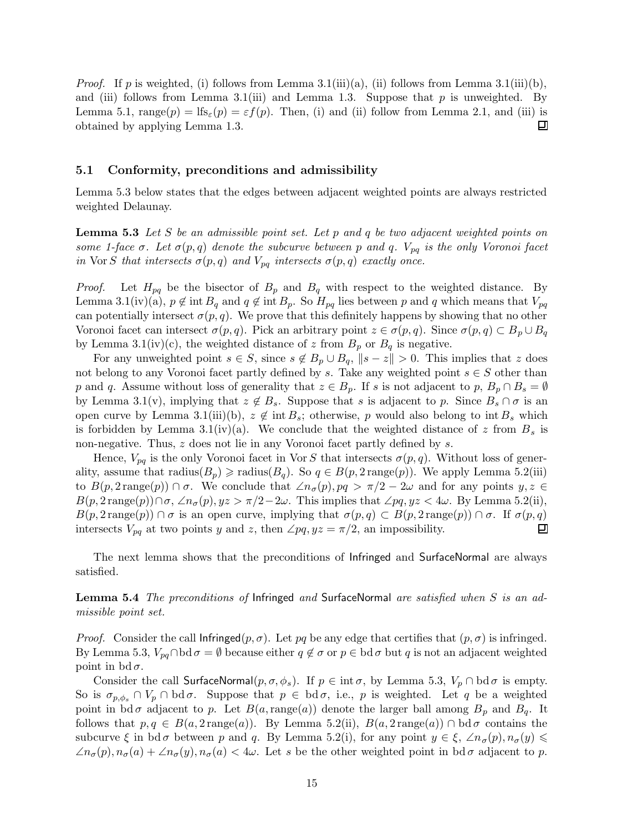*Proof.* If p is weighted, (i) follows from Lemma 3.1(iii)(a), (ii) follows from Lemma 3.1(iii)(b), and (iii) follows from Lemma 3.1(iii) and Lemma 1.3. Suppose that  $p$  is unweighted. By Lemma 5.1,  $\text{range}(p) = \text{lf}_s(p) = \varepsilon f(p)$ . Then, (i) and (ii) follow from Lemma 2.1, and (iii) is obtained by applying Lemma 1.3. 囙

### 5.1 Conformity, preconditions and admissibility

Lemma 5.3 below states that the edges between adjacent weighted points are always restricted weighted Delaunay.

**Lemma 5.3** Let S be an admissible point set. Let p and q be two adjacent weighted points on some 1-face  $\sigma$ . Let  $\sigma(p,q)$  denote the subcurve between p and q.  $V_{pq}$  is the only Voronoi facet in Vor S that intersects  $\sigma(p,q)$  and  $V_{pq}$  intersects  $\sigma(p,q)$  exactly once.

*Proof.* Let  $H_{pq}$  be the bisector of  $B_p$  and  $B_q$  with respect to the weighted distance. By Lemma 3.1(iv)(a),  $p \notin \text{int } B_q$  and  $q \notin \text{int } B_p$ . So  $H_{pq}$  lies between p and q which means that  $V_{pq}$ can potentially intersect  $\sigma(p,q)$ . We prove that this definitely happens by showing that no other Voronoi facet can intersect  $\sigma(p,q)$ . Pick an arbitrary point  $z \in \sigma(p,q)$ . Since  $\sigma(p,q) \subset B_p \cup B_q$ by Lemma 3.1(iv)(c), the weighted distance of z from  $B_p$  or  $B_q$  is negative.

For any unweighted point  $s \in S$ , since  $s \notin B_p \cup B_q$ ,  $\|s - z\| > 0$ . This implies that z does not belong to any Voronoi facet partly defined by s. Take any weighted point  $s \in S$  other than p and q. Assume without loss of generality that  $z \in B_n$ . If s is not adjacent to p,  $B_n \cap B_s = \emptyset$ by Lemma 3.1(v), implying that  $z \notin B_s$ . Suppose that s is adjacent to p. Since  $B_s \cap \sigma$  is an open curve by Lemma 3.1(iii)(b),  $z \notin \text{int } B_s$ ; otherwise, p would also belong to int  $B_s$  which is forbidden by Lemma 3.1(iv)(a). We conclude that the weighted distance of z from  $B_s$  is non-negative. Thus, z does not lie in any Voronoi facet partly defined by s.

Hence,  $V_{pq}$  is the only Voronoi facet in Vor S that intersects  $\sigma(p,q)$ . Without loss of generality, assume that  $\text{radius}(B_p) \geq \text{radius}(B_q)$ . So  $q \in B(p, 2 \text{ range}(p))$ . We apply Lemma 5.2(iii) to  $B(p, 2 \text{ range}(p)) \cap \sigma$ . We conclude that  $\angle n_{\sigma}(p), pq > \pi/2 - 2\omega$  and for any points  $y, z \in$  $B(p, 2 \text{ range}(p)) \cap \sigma$ ,  $\angle n_{\sigma}(p)$ ,  $yz > \pi/2 - 2\omega$ . This implies that  $\angle pq$ ,  $yz < 4\omega$ . By Lemma 5.2(ii),  $B(p, 2 \text{ range}(p)) \cap \sigma$  is an open curve, implying that  $\sigma(p, q) \subset B(p, 2 \text{ range}(p)) \cap \sigma$ . If  $\sigma(p, q)$  intersects  $V_{pq}$  at two points y and z, then  $\angle pa, uz = \pi/2$ , an impossibility. intersects  $V_{pq}$  at two points y and z, then  $\angle pq, yz = \pi/2$ , an impossibility.

The next lemma shows that the preconditions of Infringed and SurfaceNormal are always satisfied.

Lemma 5.4 The preconditions of Infringed and SurfaceNormal are satisfied when S is an admissible point set.

*Proof.* Consider the call  $\text{Infringed}(p, \sigma)$ . Let pq be any edge that certifies that  $(p, \sigma)$  is infringed. By Lemma 5.3,  $V_{pq} \cap \text{bd } \sigma = \emptyset$  because either  $q \notin \sigma$  or  $p \in \text{bd } \sigma$  but q is not an adjacent weighted point in bd $\sigma$ .

Consider the call SurfaceNormal $(p, \sigma, \phi_s)$ . If  $p \in \text{int } \sigma$ , by Lemma 5.3,  $V_p \cap \text{bd } \sigma$  is empty. So is  $\sigma_{p,\phi_s} \cap V_p \cap \text{bd } \sigma$ . Suppose that  $p \in \text{bd } \sigma$ , i.e., p is weighted. Let q be a weighted point in bd  $\sigma$  adjacent to p. Let  $B(a,\text{range}(a))$  denote the larger ball among  $B_p$  and  $B_q$ . It follows that  $p, q \in B(a, 2 \text{ range}(a))$ . By Lemma 5.2(ii),  $B(a, 2 \text{ range}(a)) \cap \text{bd } \sigma$  contains the subcurve  $\xi$  in bd  $\sigma$  between p and q. By Lemma 5.2(i), for any point  $y \in \xi$ ,  $\angle n_{\sigma}(p), n_{\sigma}(y) \leq$  $\angle n_{\sigma}(p), n_{\sigma}(a) + \angle n_{\sigma}(y), n_{\sigma}(a) < 4\omega$ . Let s be the other weighted point in bd  $\sigma$  adjacent to p.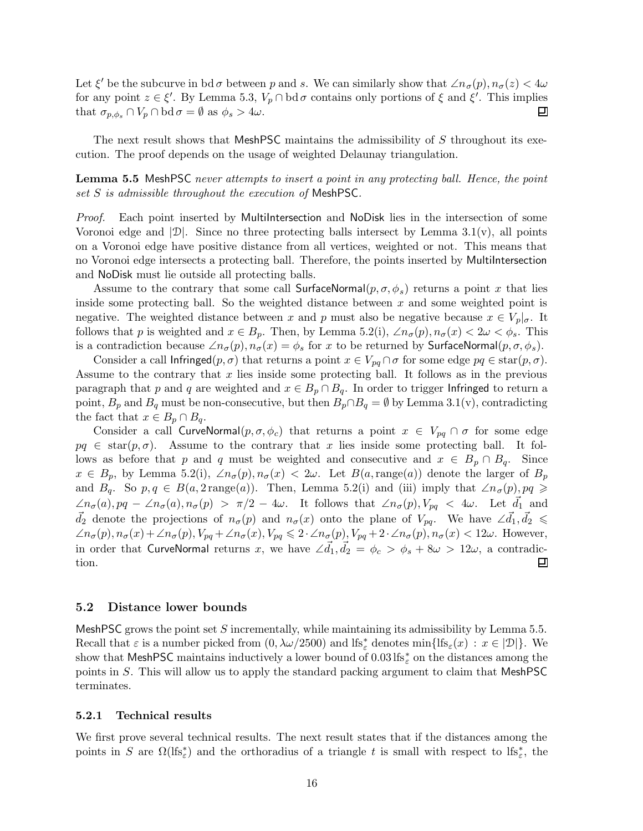Let  $\xi'$  be the subcurve in bd  $\sigma$  between p and s. We can similarly show that  $\angle n_{\sigma}(p), n_{\sigma}(z) < 4\omega$ for any point  $z \in \xi'$ . By Lemma 5.3,  $V_p \cap \text{bd } \sigma$  contains only portions of  $\xi$  and  $\xi'$ . This implies that  $\sigma_{p,\phi_s} \cap V_p \cap \text{bd } \sigma = \emptyset$  as  $\phi_s > 4\omega$ . 囙

The next result shows that MeshPSC maintains the admissibility of S throughout its execution. The proof depends on the usage of weighted Delaunay triangulation.

Lemma 5.5 MeshPSC never attempts to insert a point in any protecting ball. Hence, the point set S is admissible throughout the execution of MeshPSC.

Proof. Each point inserted by MultiIntersection and NoDisk lies in the intersection of some Voronoi edge and  $|\mathcal{D}|$ . Since no three protecting balls intersect by Lemma 3.1(v), all points on a Voronoi edge have positive distance from all vertices, weighted or not. This means that no Voronoi edge intersects a protecting ball. Therefore, the points inserted by MultiIntersection and NoDisk must lie outside all protecting balls.

Assume to the contrary that some call SurfaceNormal $(p, \sigma, \phi_s)$  returns a point x that lies inside some protecting ball. So the weighted distance between  $x$  and some weighted point is negative. The weighted distance between x and p must also be negative because  $x \in V_p|_{\sigma}$ . It follows that p is weighted and  $x \in B_p$ . Then, by Lemma 5.2(i),  $\angle n_{\sigma}(p), n_{\sigma}(x) < 2\omega < \phi_s$ . This is a contradiction because  $\angle n_{\sigma}(p), n_{\sigma}(x) = \phi_s$  for x to be returned by SurfaceNormal $(p, \sigma, \phi_s)$ .

Consider a call Infringed $(p, \sigma)$  that returns a point  $x \in V_{pq} \cap \sigma$  for some edge  $pq \in \text{star}(p, \sigma)$ . Assume to the contrary that  $x$  lies inside some protecting ball. It follows as in the previous paragraph that p and q are weighted and  $x \in B_p \cap B_q$ . In order to trigger Infringed to return a point,  $B_p$  and  $B_q$  must be non-consecutive, but then  $B_p \cap B_q = \emptyset$  by Lemma 3.1(v), contradicting the fact that  $x \in B_p \cap B_q$ .

Consider a call CurveNormal $(p, \sigma, \phi_c)$  that returns a point  $x \in V_{pq} \cap \sigma$  for some edge  $pq \in \text{star}(p, \sigma)$ . Assume to the contrary that x lies inside some protecting ball. It follows as before that p and q must be weighted and consecutive and  $x \in B_p \cap B_q$ . Since  $x \in B_p$ , by Lemma 5.2(i),  $\angle n_{\sigma}(p), n_{\sigma}(x) < 2\omega$ . Let  $B(a, \text{range}(a))$  denote the larger of  $B_p$ and  $B_q$ . So  $p, q \in B(a, 2 \text{range}(a))$ . Then, Lemma 5.2(i) and (iii) imply that  $\angle n_{\sigma}(p), pq \geqslant 1$  $\angle n_{\sigma}(a), pq - \angle n_{\sigma}(a), n_{\sigma}(p) > \pi/2 - 4\omega$ . It follows that  $\angle n_{\sigma}(p), V_{pq} < 4\omega$ . Let  $\vec{d}_1$  and  $\vec{d}_2$  denote the projections of  $n_{\sigma}(p)$  and  $n_{\sigma}(x)$  onto the plane of  $V_{pq}$ . We have  $\angle \vec{d}_1, \vec{d}_2 \leq$  $\angle n_{\sigma}(p), n_{\sigma}(x) + \angle n_{\sigma}(p), V_{pq} + \angle n_{\sigma}(x), V_{pq} \leq 2 \cdot \angle n_{\sigma}(p), V_{pq} + 2 \cdot \angle n_{\sigma}(p), n_{\sigma}(x) < 12\omega$ . However, in order that CurveNormal returns x, we have  $\angle\vec{d}_1,\vec{d}_2\,=\,\phi_c\,>\,\phi_s+8\omega\,>\,12\omega,$  a contradiction. Ξ

#### 5.2 Distance lower bounds

MeshPSC grows the point set S incrementally, while maintaining its admissibility by Lemma  $5.5$ . Recall that  $\varepsilon$  is a number picked from  $(0, \lambda \omega/2500)$  and  $\text{lfs}_{\varepsilon}^*$  denotes  $\min\{\text{lfs}_{\varepsilon}(x) : x \in |\mathcal{D}|\}$ . We show that MeshPSC maintains inductively a lower bound of 0.03 lfs<sup>\*</sup><sub>ε</sub> on the distances among the points in S. This will allow us to apply the standard packing argument to claim that MeshPSC terminates.

#### 5.2.1 Technical results

We first prove several technical results. The next result states that if the distances among the points in S are  $\Omega(\text{If}_\varepsilon^*)$  and the orthoradius of a triangle t is small with respect to  $\text{If}_\varepsilon^*$ , the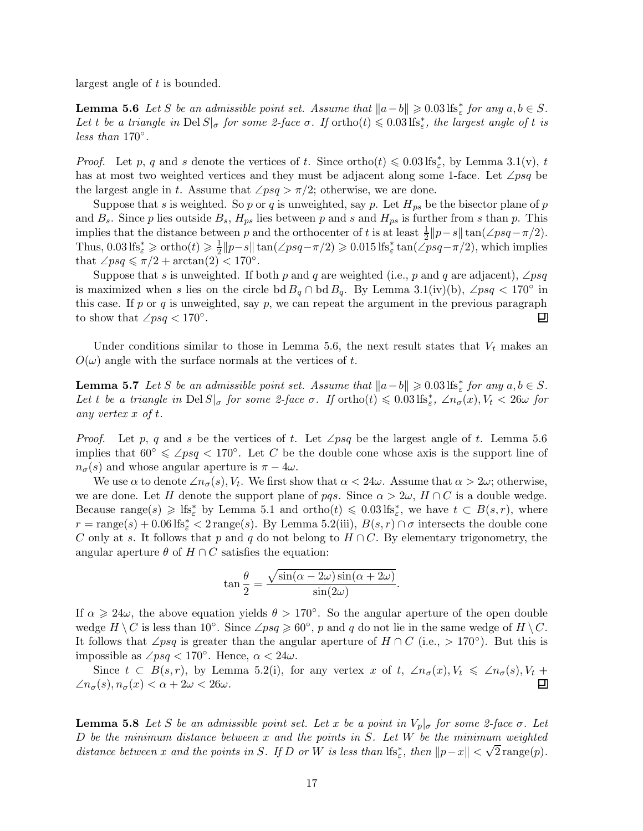largest angle of t is bounded.

**Lemma 5.6** Let S be an admissible point set. Assume that  $||a-b|| \geq 0.03 \text{ lfs}_{\varepsilon}^*$  for any  $a, b \in S$ . Let t be a triangle in  $\text{Del } S|_{\sigma}$  for some 2-face  $\sigma$ . If  $\text{ortho}(t) \leqslant 0.03 \text{ lfs}_{\varepsilon}^*$ , the largest angle of t is less than 170◦ .

*Proof.* Let p, q and s denote the vertices of t. Since ortho $(t) \leq 0.03 \text{ lfs}_{\varepsilon}^*$ , by Lemma 3.1(v), t has at most two weighted vertices and they must be adjacent along some 1-face. Let  $\angle psq$  be the largest angle in t. Assume that  $\angle psq > \pi/2$ ; otherwise, we are done.

Suppose that s is weighted. So p or q is unweighted, say p. Let  $H_{ps}$  be the bisector plane of p and  $B_s$ . Since p lies outside  $B_s$ ,  $H_{ps}$  lies between p and s and  $H_{ps}$  is further from s than p. This implies that the distance between p and the orthocenter of t is at least  $\frac{1}{2}||p-s|| \tan(\angle psq - \pi/2)$ . Thus,  $0.03 \text{ lfs}^*_{\varepsilon} \geq \text{ortho}(t) \geq \frac{1}{2}$  $\frac{1}{2}||p-s|| \tan(\angle psq - \pi/2) \geq 0.015 \text{ lfs}_{\varepsilon}^* \tan(\angle psq - \pi/2)$ , which implies that  $\angle psq \leq \pi/2 + \arctan(2) < 170^{\circ}$ .

Suppose that s is unweighted. If both p and q are weighted (i.e., p and q are adjacent), ∠psq is maximized when s lies on the circle bd  $B_q \cap$  bd  $B_q$ . By Lemma 3.1(iv)(b), ∠psq < 170° in this case. If p or q is unweighted, say p, we can repeat the argument in the previous paragraph to show that  $\angle psq < 170^\circ$ . 回

Under conditions similar to those in Lemma 5.6, the next result states that  $V_t$  makes an  $O(\omega)$  angle with the surface normals at the vertices of t.

**Lemma 5.7** Let S be an admissible point set. Assume that  $||a-b|| \geqslant 0.03 \text{ lfs}_{\varepsilon}^*$  for any  $a, b \in S$ . Let t be a triangle in Del  $S|_{\sigma}$  for some 2-face  $\sigma$ . If  $ortho(t) \leqslant 0.03$  lfs<sup>\*</sup><sub>ε</sub>,  $\angle n_{\sigma}(x)$ ,  $V_t < 26\omega$  for any vertex x of t.

*Proof.* Let p, q and s be the vertices of t. Let  $\angle psq$  be the largest angle of t. Lemma 5.6 implies that  $60° \leq \angle psq < 170°$ . Let C be the double cone whose axis is the support line of  $n_{\sigma}(s)$  and whose angular aperture is  $\pi - 4\omega$ .

We use  $\alpha$  to denote  $\angle n_{\sigma}(s)$ ,  $V_t$ . We first show that  $\alpha < 24\omega$ . Assume that  $\alpha > 2\omega$ ; otherwise, we are done. Let H denote the support plane of pqs. Since  $\alpha > 2\omega$ ,  $H \cap C$  is a double wedge. Because range(s)  $\geqslant$  lfs<sup>\*</sup><sub>ε</sub> by Lemma 5.1 and ortho(t)  $\leqslant$  0.03 lfs<sup>\*</sup><sub>ε</sub>, we have  $t \subset B(s,r)$ , where  $r = \text{range}(s) + 0.06 \text{ lfs}_{\varepsilon}^* < 2 \text{ range}(s)$ . By Lemma 5.2(iii),  $B(s, r) \cap \sigma$  intersects the double cone C only at s. It follows that p and q do not belong to  $H \cap C$ . By elementary trigonometry, the angular aperture  $\theta$  of  $H \cap C$  satisfies the equation:

$$
\tan\frac{\theta}{2} = \frac{\sqrt{\sin(\alpha - 2\omega)\sin(\alpha + 2\omega)}}{\sin(2\omega)}.
$$

If  $\alpha \geq 24\omega$ , the above equation yields  $\theta > 170^{\circ}$ . So the angular aperture of the open double wedge  $H \setminus C$  is less than 10°. Since  $\angle psq \geq 60^\circ$ , p and q do not lie in the same wedge of  $H \setminus C$ . It follows that ∠psq is greater than the angular aperture of  $H \cap C$  (i.e., > 170°). But this is impossible as  $\angle psq < 170^\circ$ . Hence,  $\alpha < 24\omega$ .

Since  $t \subset B(s,r)$ , by Lemma 5.2(i), for any vertex x of t,  $\angle n_{\sigma}(x), V_t \leq \angle n_{\sigma}(s), V_t + \frac{1}{\sigma}(s), n_{\sigma}(x) < \alpha + 2\omega < 26\omega$ .  $\angle n_{\sigma}(s), n_{\sigma}(x) < \alpha + 2\omega < 26\omega.$ 

**Lemma 5.8** Let S be an admissible point set. Let x be a point in  $V_p|_{\sigma}$  for some 2-face  $\sigma$ . Let  $D$  be the minimum distance between  $x$  and the points in  $S$ . Let  $W$  be the minimum weighted distance between x and the points in S. If D or W is less than  $\text{lf}_\varepsilon^*$ , then  $||p-x|| < \sqrt{2} \text{range}(p)$ .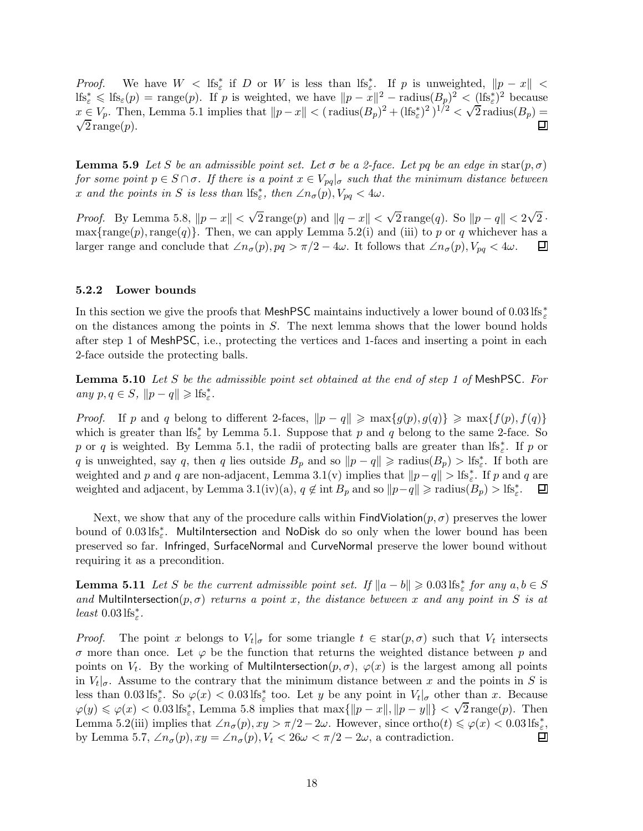*Proof.* We have  $W < \text{If } s^*_{\varepsilon} \text{ if } D \text{ or } W \text{ is less than } \text{If } s^*_{\varepsilon} \text{ if } p \text{ is unweighted, } ||p - x|| <$  $\text{lfs}_{\varepsilon}^* \leqslant \text{lf}_{\varepsilon}(p) = \text{range}(p).$  If p is weighted, we have  $||p - x||^2 - \text{radius}(B_p)^2 < (1 \text{lf}_{\varepsilon}^*)^2$  because  $x \in V_p$ . Then, Lemma 5.1 implies that  $||p - x|| < (r \text{ radius}(B_p)^2 + (lfs_e^*)^2)^{1/2} < \sqrt{2} \text{ radius}(B_p) =$  $\sqrt{2}$  range $(p)$ .

**Lemma 5.9** Let S be an admissible point set. Let  $\sigma$  be a 2-face. Let pq be an edge in star(p,  $\sigma$ ) for some point  $p \in S \cap \sigma$ . If there is a point  $x \in V_{pq}|_{\sigma}$  such that the minimum distance between x and the points in S is less than  $\text{lfs}_{\varepsilon}^*$ , then  $\angle n_{\sigma}(p)$ ,  $V_{pq} < 4\omega$ .

*Proof.* By Lemma 5.8,  $||p - x|| < \sqrt{2} \text{range}(p)$  and  $||q - x|| < \sqrt{2} \text{range}(q)$ . So  $||p - q|| < 2\sqrt{2}$ . max{range(p), range(q)}. Then, we can apply Lemma 5.2(i) and (iii) to p or q whichever has a larger range and conclude that  $\angle n_{\sigma}(p)$ ,  $pq > \pi/2 - 4\omega$ . It follows that  $\angle n_{\sigma}(p)$ ,  $V_{pq} < 4\omega$ .  $\Box$ larger range and conclude that  $\angle n_{\sigma}(p), pq > \pi/2 - 4\omega$ . It follows that  $\angle n_{\sigma}(p), V_{pq} < 4\omega$ .

#### 5.2.2 Lower bounds

In this section we give the proofs that MeshPSC maintains inductively a lower bound of  $0.03 \text{ lfs}^*_{\varepsilon}$ on the distances among the points in S. The next lemma shows that the lower bound holds after step 1 of MeshPSC, i.e., protecting the vertices and 1-faces and inserting a point in each 2-face outside the protecting balls.

**Lemma 5.10** Let S be the admissible point set obtained at the end of step 1 of MeshPSC. For any  $p, q \in S$ ,  $||p - q|| \geqslant \text{lfs}_{\varepsilon}^*$ .

*Proof.* If p and q belong to different 2-faces,  $\|p - q\| \ge \max\{g(p), g(q)\} \ge \max\{f(p), f(q)\}$ which is greater than  $\text{lf}_\varepsilon^*$  by Lemma 5.1. Suppose that p and q belong to the same 2-face. So p or q is weighted. By Lemma 5.1, the radii of protecting balls are greater than lfs<sup>\*</sup><sub>ε</sub>. If p or q is unweighted, say q, then q lies outside  $B_p$  and so  $||p - q|| \geq \text{radius}(B_p) > \text{lfs}_{\varepsilon}^*$ . If both are weighted and p and q are non-adjacent, Lemma 3.1(v) implies that  $||p-q|| >$  lfs<sub> $\varepsilon$ </sub>. If p and q are weighted and adjacent, by Lemma 3.1(iv)(a),  $q \notin \text{int } B_p$  and so  $||p-q|| \geq \text{radius}(B_p) > \text{lfs}_{\varepsilon}^*$ . 囙

Next, we show that any of the procedure calls within  $FindV$ iolation $(p, \sigma)$  preserves the lower bound of  $0.03 \text{ lfs}_{\varepsilon}^*$ . MultiIntersection and NoDisk do so only when the lower bound has been preserved so far. Infringed, SurfaceNormal and CurveNormal preserve the lower bound without requiring it as a precondition.

**Lemma 5.11** Let S be the current admissible point set. If  $||a - b|| \ge 0.03 \text{ lfs}_{\varepsilon}^*$  for any  $a, b \in S$ and MultiIntersection $(p, \sigma)$  returns a point x, the distance between x and any point in S is at least  $0.03 \text{ lfs}^*_{\varepsilon}$ .

*Proof.* The point x belongs to  $V_t|_{\sigma}$  for some triangle  $t \in \text{star}(p, \sigma)$  such that  $V_t$  intersects σ more than once. Let ϕ be the function that returns the weighted distance between p and points on  $V_t$ . By the working of MultiIntersection $(p, \sigma)$ ,  $\varphi(x)$  is the largest among all points in  $V_t|_{\sigma}$ . Assume to the contrary that the minimum distance between x and the points in S is less than  $0.03 \text{ lfs}_{\varepsilon}^*$ . So  $\varphi(x) < 0.03 \text{ lfs}_{\varepsilon}^*$  too. Let y be any point in  $V_t|_{\sigma}$  other than x. Because  $\varphi(y) \leq \varphi(x) < 0.03$  lfs<sub>ε</sub>, Lemma 5.8 implies that max{ $\|p - x\|, \|p - y\|\} < \sqrt{2}$  range(p). Then Lemma 5.2(iii) implies that  $\angle n_{\sigma}(p), xy > \pi/2 - 2\omega$ . However, since ortho $(t) \le \varphi(x) < 0.03 \text{ lfs}_{\varepsilon}^*$ , by Lemma 5.7,  $\angle n_{\sigma}(p), xy = \angle n_{\sigma}(p), V_t < 26\omega < \pi/2 - 2\omega$ , a contradiction.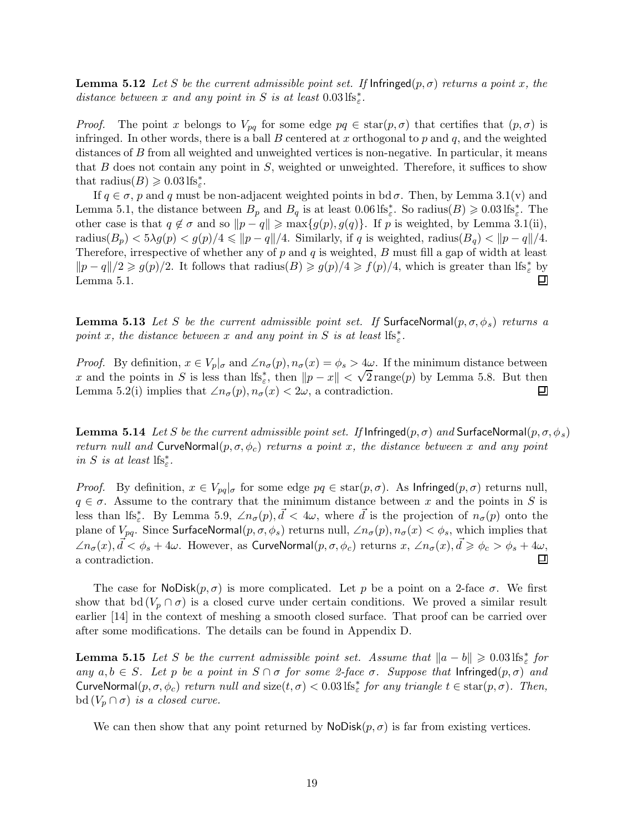**Lemma 5.12** Let S be the current admissible point set. If  $\text{Infininged}(p, \sigma)$  returns a point x, the distance between x and any point in S is at least  $0.03 \text{ lfs}_{\varepsilon}^*$ .

*Proof.* The point x belongs to  $V_{pq}$  for some edge  $pq \in \text{star}(p, \sigma)$  that certifies that  $(p, \sigma)$  is infringed. In other words, there is a ball  $B$  centered at  $x$  orthogonal to  $p$  and  $q$ , and the weighted distances of B from all weighted and unweighted vertices is non-negative. In particular, it means that  $B$  does not contain any point in  $S$ , weighted or unweighted. Therefore, it suffices to show that radius( $B$ )  $\geqslant 0.03$  lfs<sup>\*</sup><sub>ε</sub>.

If  $q \in \sigma$ , p and q must be non-adjacent weighted points in bd $\sigma$ . Then, by Lemma 3.1(v) and Lemma 5.1, the distance between  $B_p$  and  $B_q$  is at least 0.06 lfs<sup>\*</sup><sub>ε</sub>. So radius(B)  $\geq 0.03$  lfs<sup>\*</sup><sub>ε</sub>. The other case is that  $q \notin \sigma$  and so  $||p - q|| \ge \max\{g(p), g(q)\}\)$ . If p is weighted, by Lemma 3.1(ii), radius $(B_p) < 5\lambda g(p) < g(p)/4 \leq \|p - q\|/4$ . Similarly, if q is weighted, radius $(B_q) < \|p - q\|/4$ . Therefore, irrespective of whether any of  $p$  and  $q$  is weighted,  $B$  must fill a gap of width at least  $||p - q||/2 \geq g(p)/2$ . It follows that radius(B)  $\geq g(p)/4 \geq f(p)/4$ , which is greater than lfs<sup>\*</sup><sub>ε</sub> by Lemma 5.1. Ξ

**Lemma 5.13** Let S be the current admissible point set. If SurfaceNormal $(p, \sigma, \phi_s)$  returns a point x, the distance between x and any point in S is at least  $lfs_{\varepsilon}^*$ .

*Proof.* By definition,  $x \in V_p|_{\sigma}$  and  $\angle n_{\sigma}(p), n_{\sigma}(x) = \phi_s > 4\omega$ . If the minimum distance between x and the points in S is less than lfs<sup>\*</sup><sub>ε</sub>, then  $||p - x|| < \sqrt{2}$  range(p) by Lemma 5.8. But then Lemma 5.2(i) implies that  $\angle n_{\sigma}(p), n_{\sigma}(x) < 2\omega$ , a contradiction. 囙

**Lemma 5.14** Let S be the current admissible point set. If Infringed $(p, \sigma)$  and SurfaceNormal $(p, \sigma, \phi_s)$ return null and CurveNormal $(p, \sigma, \phi_c)$  returns a point x, the distance between x and any point in S is at least  $\text{lfs}^*_\varepsilon.$ 

*Proof.* By definition,  $x \in V_{pq} | \sigma$  for some edge  $pq \in \text{star}(p, \sigma)$ . As Infringed $(p, \sigma)$  returns null,  $q \in \sigma$ . Assume to the contrary that the minimum distance between x and the points in S is less than lfs<sup>\*</sup><sub>ε</sub>. By Lemma 5.9,  $\angle n_{\sigma}(p)$ ,  $\vec{d}$  < 4ω, where  $\vec{d}$  is the projection of  $n_{\sigma}(p)$  onto the plane of  $V_{pq}$ . Since SurfaceNormal $(p, \sigma, \phi_s)$  returns null,  $\angle n_{\sigma}(p), n_{\sigma}(x) < \phi_s$ , which implies that  $\angle n_{\sigma}(x), \vec{d} < \phi_s + 4\omega$ . However, as CurveNormal $(p, \sigma, \phi_c)$  returns  $x, \angle n_{\sigma}(x), \vec{d} \geq \phi_c > \phi_s + 4\omega$ , a contradiction. 口

The case for  $\textsf{NoDisk}(p, \sigma)$  is more complicated. Let p be a point on a 2-face  $\sigma$ . We first show that bd  $(V_p \cap \sigma)$  is a closed curve under certain conditions. We proved a similar result earlier [14] in the context of meshing a smooth closed surface. That proof can be carried over after some modifications. The details can be found in Appendix D.

**Lemma 5.15** Let S be the current admissible point set. Assume that  $||a - b|| \geq 0.03 \text{ lfs}_{\varepsilon}^*$  for any  $a, b \in S$ . Let p be a point in  $S \cap \sigma$  for some 2-face  $\sigma$ . Suppose that Infringed $(p, \sigma)$  and CurveNormal $(p, \sigma, \phi_c)$  return null and size $(t, \sigma) < 0.03$  lfs<sup>\*</sup> for any triangle  $t \in \text{star}(p, \sigma)$ . Then, bd  $(V_p \cap \sigma)$  is a closed curve.

We can then show that any point returned by  $\textsf{NoDisk}(p, \sigma)$  is far from existing vertices.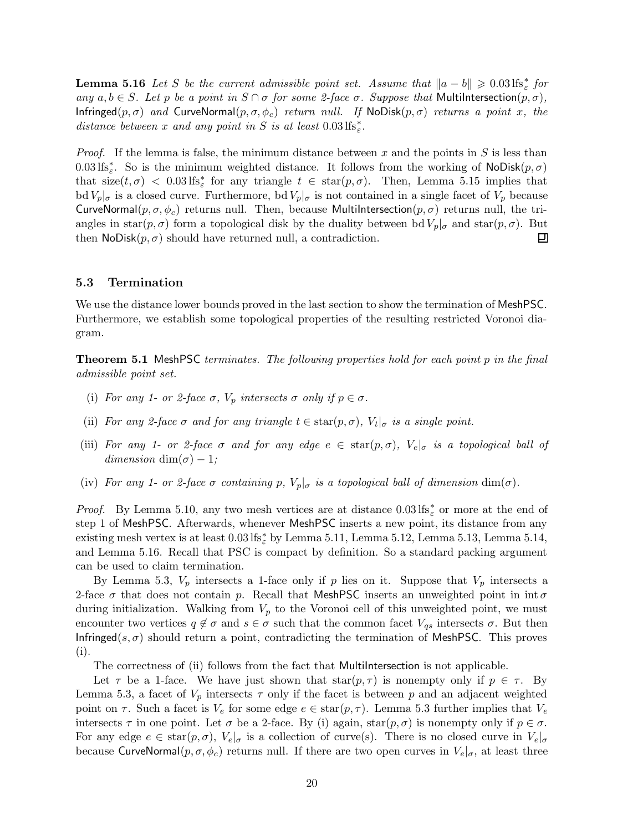**Lemma 5.16** Let S be the current admissible point set. Assume that  $||a - b|| \ge 0.03 \text{ lfs}_{\varepsilon}^*$  for any  $a, b \in S$ . Let p be a point in  $S \cap \sigma$  for some 2-face  $\sigma$ . Suppose that MultiIntersection $(p, \sigma)$ , Infringed( $p, \sigma$ ) and CurveNormal( $p, \sigma, \phi_c$ ) return null. If NoDisk( $p, \sigma$ ) returns a point x, the distance between x and any point in S is at least  $0.03 \text{ lfs}^*_{\varepsilon}$ .

*Proof.* If the lemma is false, the minimum distance between x and the points in S is less than  $0.03 \text{ lfs}_{\varepsilon}^*$ . So is the minimum weighted distance. It follows from the working of NoDisk $(p, \sigma)$ that  $size(t, \sigma)$  < 0.03 lfs<sub> $_{\varepsilon}^*$ </sub> for any triangle  $t \in star(p, \sigma)$ . Then, Lemma 5.15 implies that  $\text{bd } V_p|_{\sigma}$  is a closed curve. Furthermore,  $\text{bd } V_p|_{\sigma}$  is not contained in a single facet of  $V_p$  because CurveNormal( $p, \sigma, \phi_c$ ) returns null. Then, because MultiIntersection( $p, \sigma$ ) returns null, the triangles in star( $p, \sigma$ ) form a topological disk by the duality between bd  $V_p|_{\sigma}$  and star( $p, \sigma$ ). But then NoDisk( $p, \sigma$ ) should have returned null, a contradiction. then  $\text{NoDisk}(p, \sigma)$  should have returned null, a contradiction.

### 5.3 Termination

We use the distance lower bounds proved in the last section to show the termination of MeshPSC. Furthermore, we establish some topological properties of the resulting restricted Voronoi diagram.

**Theorem 5.1 MeshPSC** terminates. The following properties hold for each point p in the final admissible point set.

- (i) For any 1- or 2-face  $\sigma$ ,  $V_p$  intersects  $\sigma$  only if  $p \in \sigma$ .
- (ii) For any 2-face  $\sigma$  and for any triangle  $t \in \text{star}(p, \sigma)$ ,  $V_t|_{\sigma}$  is a single point.
- (iii) For any 1- or 2-face  $\sigma$  and for any edge  $e \in \text{star}(p, \sigma)$ ,  $V_e|_{\sigma}$  is a topological ball of dimension dim( $\sigma$ ) – 1;
- (iv) For any 1- or 2-face  $\sigma$  containing p,  $V_p|_{\sigma}$  is a topological ball of dimension  $\dim(\sigma)$ .

*Proof.* By Lemma 5.10, any two mesh vertices are at distance  $0.03 \text{ lfs}_{\varepsilon}^*$  or more at the end of step 1 of MeshPSC. Afterwards, whenever MeshPSC inserts a new point, its distance from any existing mesh vertex is at least  $0.03 \text{ lfs}^*_\varepsilon$  by Lemma 5.11, Lemma 5.12, Lemma 5.13, Lemma 5.14, and Lemma 5.16. Recall that PSC is compact by definition. So a standard packing argument can be used to claim termination.

By Lemma 5.3,  $V_p$  intersects a 1-face only if p lies on it. Suppose that  $V_p$  intersects a 2-face  $\sigma$  that does not contain p. Recall that MeshPSC inserts an unweighted point in int  $\sigma$ during initialization. Walking from  $V_p$  to the Voronoi cell of this unweighted point, we must encounter two vertices  $q \notin \sigma$  and  $s \in \sigma$  such that the common facet  $V_{qs}$  intersects  $\sigma$ . But then Infringed(s,  $\sigma$ ) should return a point, contradicting the termination of MeshPSC. This proves (i).

The correctness of (ii) follows from the fact that MultiIntersection is not applicable.

Let  $\tau$  be a 1-face. We have just shown that  $star(p, \tau)$  is nonempty only if  $p \in \tau$ . By Lemma 5.3, a facet of  $V_p$  intersects  $\tau$  only if the facet is between p and an adjacent weighted point on  $\tau$ . Such a facet is  $V_e$  for some edge  $e \in \text{star}(p, \tau)$ . Lemma 5.3 further implies that  $V_e$ intersects  $\tau$  in one point. Let  $\sigma$  be a 2-face. By (i) again, star $(p, \sigma)$  is nonempty only if  $p \in \sigma$ . For any edge  $e \in \text{star}(p, \sigma)$ ,  $V_e|_{\sigma}$  is a collection of curve(s). There is no closed curve in  $V_e|_{\sigma}$ because CurveNormal $(p, \sigma, \phi_c)$  returns null. If there are two open curves in  $V_e|_{\sigma}$ , at least three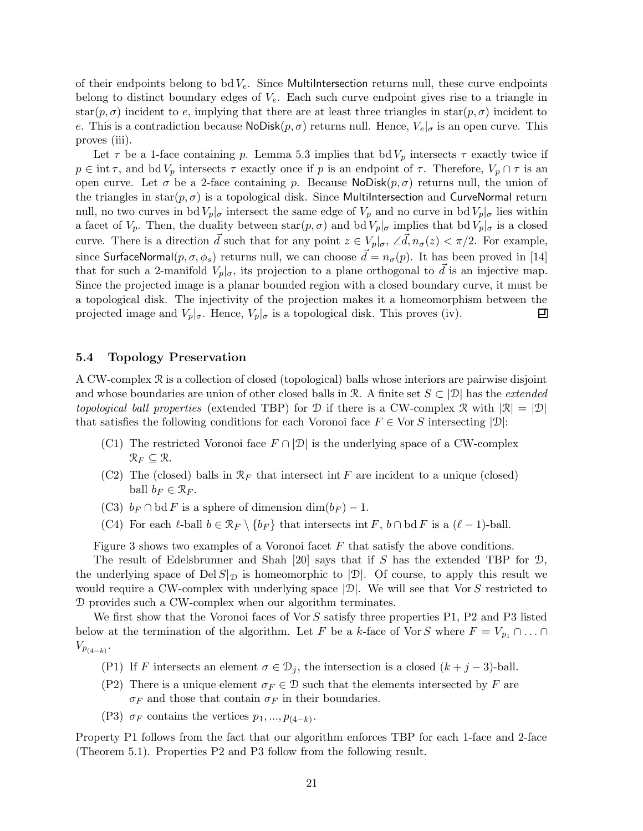of their endpoints belong to bd  $V_e$ . Since MultiIntersection returns null, these curve endpoints belong to distinct boundary edges of  $V_e$ . Each such curve endpoint gives rise to a triangle in star $(p, \sigma)$  incident to e, implying that there are at least three triangles in star $(p, \sigma)$  incident to e. This is a contradiction because  $\text{NoDisk}(p, \sigma)$  returns null. Hence,  $V_e|_{\sigma}$  is an open curve. This proves (iii).

Let  $\tau$  be a 1-face containing p. Lemma 5.3 implies that bd  $V_p$  intersects  $\tau$  exactly twice if  $p \in \text{int } \tau$ , and  $\text{bd } V_p$  intersects  $\tau$  exactly once if p is an endpoint of  $\tau$ . Therefore,  $V_p \cap \tau$  is an open curve. Let  $\sigma$  be a 2-face containing p. Because NoDisk $(p, \sigma)$  returns null, the union of the triangles in star $(p, \sigma)$  is a topological disk. Since MultiIntersection and CurveNormal return null, no two curves in bd  $V_p|_{\sigma}$  intersect the same edge of  $V_p$  and no curve in bd  $V_p|_{\sigma}$  lies within a facet of  $V_p$ . Then, the duality between  $star(p, \sigma)$  and bd  $V_p|_{\sigma}$  implies that bd  $V_p|_{\sigma}$  is a closed curve. There is a direction  $\vec{d}$  such that for any point  $z \in V_p|_{\sigma}$ ,  $\angle \vec{d}$ ,  $n_{\sigma}(z) < \pi/2$ . For example, since SurfaceNormal $(p, \sigma, \phi_s)$  returns null, we can choose  $\vec{d} = n_{\sigma}(p)$ . It has been proved in [14] that for such a 2-manifold  $V_p|_{\sigma}$ , its projection to a plane orthogonal to  $\vec{d}$  is an injective map. Since the projected image is a planar bounded region with a closed boundary curve, it must be a topological disk. The injectivity of the projection makes it a homeomorphism between the projected image and  $V_p|_{\sigma}$ . Hence,  $V_p|_{\sigma}$  is a topological disk. This proves (iv). Ξ

### 5.4 Topology Preservation

A CW-complex R is a collection of closed (topological) balls whose interiors are pairwise disjoint and whose boundaries are union of other closed balls in R. A finite set  $S \subset |\mathcal{D}|$  has the *extended* topological ball properties (extended TBP) for D if there is a CW-complex R with  $|\mathcal{R}| = |\mathcal{D}|$ that satisfies the following conditions for each Voronoi face  $F \in \text{Vor } S$  intersecting  $|\mathcal{D}|$ :

- (C1) The restricted Voronoi face  $F \cap |\mathcal{D}|$  is the underlying space of a CW-complex  $\mathcal{R}_F \subseteq \mathcal{R}$ .
- (C2) The (closed) balls in  $\mathcal{R}_F$  that intersect int F are incident to a unique (closed) ball  $b_F \in \mathcal{R}_F$ .
- (C3)  $b_F \cap \text{bd } F$  is a sphere of dimension  $\dim(b_F) 1$ .
- (C4) For each  $\ell$ -ball  $b \in \mathcal{R}_F \setminus \{b_F\}$  that intersects int F,  $b \cap \text{bd } F$  is a  $(\ell 1)$ -ball.

Figure 3 shows two examples of a Voronoi facet F that satisfy the above conditions.

The result of Edelsbrunner and Shah [20] says that if S has the extended TBP for  $\mathcal{D}$ , the underlying space of  $\text{Del }S|_{\mathcal{D}}$  is homeomorphic to  $|\mathcal{D}|$ . Of course, to apply this result we would require a CW-complex with underlying space  $|\mathcal{D}|$ . We will see that Vor S restricted to D provides such a CW-complex when our algorithm terminates.

We first show that the Voronoi faces of Vor S satisfy three properties P1, P2 and P3 listed below at the termination of the algorithm. Let F be a k-face of Vor S where  $F = V_{p_1} \cap \ldots \cap$  $V_{p_{(4-k)}}$ .

- (P1) If F intersects an element  $\sigma \in \mathcal{D}_j$ , the intersection is a closed  $(k+j-3)$ -ball.
- (P2) There is a unique element  $\sigma_F \in \mathcal{D}$  such that the elements intersected by F are  $\sigma_F$  and those that contain  $\sigma_F$  in their boundaries.
- (P3)  $\sigma_F$  contains the vertices  $p_1, ..., p_{(4-k)}$ .

Property P1 follows from the fact that our algorithm enforces TBP for each 1-face and 2-face (Theorem 5.1). Properties P2 and P3 follow from the following result.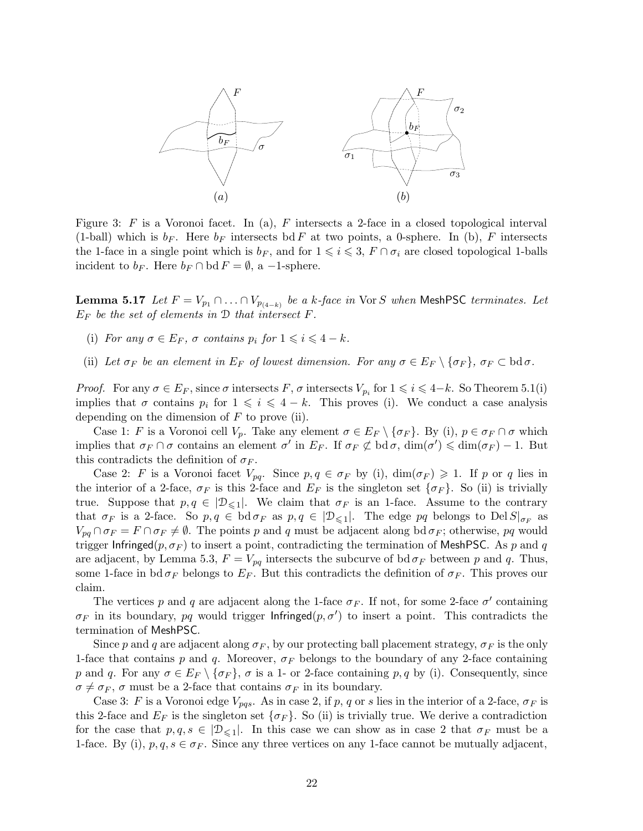

Figure 3: F is a Voronoi facet. In (a), F intersects a 2-face in a closed topological interval (1-ball) which is  $b_F$ . Here  $b_F$  intersects bd F at two points, a 0-sphere. In (b), F intersects the 1-face in a single point which is  $b_F$ , and for  $1 \leq i \leq 3$ ,  $F \cap \sigma_i$  are closed topological 1-balls incident to  $b_F$ . Here  $b_F \cap \text{bd } F = \emptyset$ , a -1-sphere.

**Lemma 5.17** Let  $F = V_{p_1} \cap ... \cap V_{p_{(4-k)}}$  be a k-face in Vor S when MeshPSC terminates. Let  $E_F$  be the set of elements in  $\mathcal D$  that intersect  $F$ .

- (i) For any  $\sigma \in E_F$ ,  $\sigma$  contains  $p_i$  for  $1 \leq i \leq 4 k$ .
- (ii) Let  $\sigma_F$  be an element in  $E_F$  of lowest dimension. For any  $\sigma \in E_F \setminus {\sigma_F}$ ,  $\sigma_F \subset \text{bd } \sigma$ .

*Proof.* For any  $\sigma \in E_F$ , since  $\sigma$  intersects  $F$ ,  $\sigma$  intersects  $V_{p_i}$  for  $1 \leq i \leq 4-k$ . So Theorem 5.1(i) implies that  $\sigma$  contains  $p_i$  for  $1 \leq i \leq 4 - k$ . This proves (i). We conduct a case analysis depending on the dimension of  $F$  to prove (ii).

Case 1: F is a Voronoi cell  $V_p$ . Take any element  $\sigma \in E_F \setminus {\{\sigma_F\}}$ . By (i),  $p \in {\sigma_F} \cap {\sigma}$  which implies that  $\sigma_F \cap \sigma$  contains an element  $\sigma'$  in  $E_F$ . If  $\sigma_F \not\subset \text{bd } \sigma$ ,  $\dim(\sigma') \leq \dim(\sigma_F) - 1$ . But this contradicts the definition of  $\sigma_F$ .

Case 2: F is a Voronoi facet  $V_{pq}$ . Since  $p, q \in \sigma_F$  by (i),  $\dim(\sigma_F) \geq 1$ . If p or q lies in the interior of a 2-face,  $\sigma_F$  is this 2-face and  $E_F$  is the singleton set  $\{\sigma_F\}$ . So (ii) is trivially true. Suppose that  $p, q \in |\mathcal{D}_{\leq 1}|$ . We claim that  $\sigma_F$  is an 1-face. Assume to the contrary that  $\sigma_F$  is a 2-face. So  $p, q \in \text{bd } \sigma_F$  as  $p, q \in |\mathcal{D}_{\leq 1}|$ . The edge  $pq$  belongs to  $\text{Del } S|_{\sigma_F}$  as  $V_{pq} \cap \sigma_F = F \cap \sigma_F \neq \emptyset$ . The points p and q must be adjacent along bd  $\sigma_F$ ; otherwise, pq would trigger Infringed( $p, \sigma_F$ ) to insert a point, contradicting the termination of MeshPSC. As p and q are adjacent, by Lemma 5.3,  $F = V_{pq}$  intersects the subcurve of bd $\sigma_F$  between p and q. Thus, some 1-face in bd  $\sigma_F$  belongs to  $E_F$ . But this contradicts the definition of  $\sigma_F$ . This proves our claim.

The vertices p and q are adjacent along the 1-face  $\sigma_F$ . If not, for some 2-face  $\sigma'$  containing  $\sigma_F$  in its boundary, pq would trigger Infringed $(p, \sigma')$  to insert a point. This contradicts the termination of MeshPSC.

Since p and q are adjacent along  $\sigma_F$ , by our protecting ball placement strategy,  $\sigma_F$  is the only 1-face that contains p and q. Moreover,  $\sigma_F$  belongs to the boundary of any 2-face containing p and q. For any  $\sigma \in E_F \setminus {\sigma_F}$ ,  $\sigma$  is a 1- or 2-face containing p, q by (i). Consequently, since  $\sigma \neq \sigma_F$ ,  $\sigma$  must be a 2-face that contains  $\sigma_F$  in its boundary.

Case 3: F is a Voronoi edge  $V_{pqs}$ . As in case 2, if p, q or s lies in the interior of a 2-face,  $\sigma_F$  is this 2-face and  $E_F$  is the singleton set  $\{\sigma_F\}$ . So (ii) is trivially true. We derive a contradiction for the case that  $p, q, s \in |\mathcal{D}_{\leq 1}|$ . In this case we can show as in case 2 that  $\sigma_F$  must be a 1-face. By (i),  $p, q, s \in \sigma_F$ . Since any three vertices on any 1-face cannot be mutually adjacent,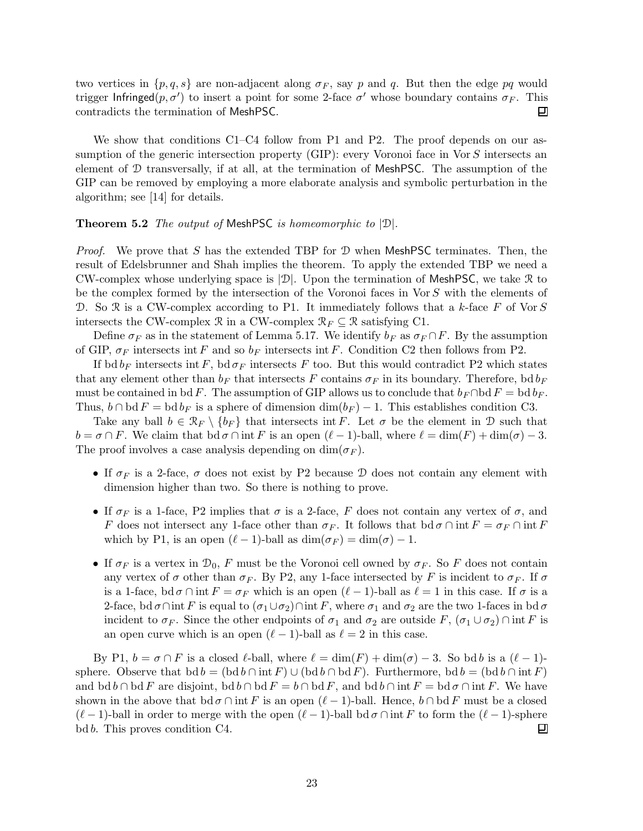two vertices in  $\{p, q, s\}$  are non-adjacent along  $\sigma_F$ , say p and q. But then the edge pq would trigger Infringed $(p, \sigma')$  to insert a point for some 2-face  $\sigma'$  whose boundary contains  $\sigma_F$ . This contradicts the termination of MeshPSC. 口

We show that conditions C1–C4 follow from P1 and P2. The proof depends on our assumption of the generic intersection property (GIP): every Voronoi face in Vor S intersects an element of D transversally, if at all, at the termination of MeshPSC. The assumption of the GIP can be removed by employing a more elaborate analysis and symbolic perturbation in the algorithm; see [14] for details.

### **Theorem 5.2** The output of MeshPSC is homeomorphic to  $|\mathcal{D}|$ .

*Proof.* We prove that S has the extended TBP for  $D$  when MeshPSC terminates. Then, the result of Edelsbrunner and Shah implies the theorem. To apply the extended TBP we need a CW-complex whose underlying space is  $|\mathcal{D}|$ . Upon the termination of MeshPSC, we take R to be the complex formed by the intersection of the Voronoi faces in Vor S with the elements of D. So R is a CW-complex according to P1. It immediately follows that a k-face F of Vor S intersects the CW-complex  $\mathcal{R}$  in a CW-complex  $\mathcal{R}_F \subseteq \mathcal{R}$  satisfying C1.

Define  $\sigma_F$  as in the statement of Lemma 5.17. We identify  $b_F$  as  $\sigma_F \cap F$ . By the assumption of GIP,  $\sigma_F$  intersects int F and so  $b_F$  intersects int F. Condition C2 then follows from P2.

If bd  $b_F$  intersects int F, bd  $\sigma_F$  intersects F too. But this would contradict P2 which states that any element other than  $b_F$  that intersects F contains  $\sigma_F$  in its boundary. Therefore, bd  $b_F$ must be contained in bdF. The assumption of GIP allows us to conclude that  $b_F \cap \text{bd } F = \text{bd } b_F$ . Thus,  $b \cap \text{bd } F = \text{bd } b_F$  is a sphere of dimension  $\dim(b_F) - 1$ . This establishes condition C3.

Take any ball  $b \in \mathcal{R}_F \setminus \{b_F\}$  that intersects int F. Let  $\sigma$  be the element in D such that  $b = \sigma \cap F$ . We claim that  $\text{bd } \sigma \cap \text{int } F$  is an open  $(\ell - 1)$ -ball, where  $\ell = \dim(F) + \dim(\sigma) - 3$ . The proof involves a case analysis depending on  $\dim(\sigma_F)$ .

- If  $\sigma_F$  is a 2-face,  $\sigma$  does not exist by P2 because D does not contain any element with dimension higher than two. So there is nothing to prove.
- If  $\sigma_F$  is a 1-face, P2 implies that  $\sigma$  is a 2-face, F does not contain any vertex of  $\sigma$ , and F does not intersect any 1-face other than  $\sigma_F$ . It follows that  $\mathrm{bd} \sigma \cap \mathrm{int} F = \sigma_F \cap \mathrm{int} F$ which by P1, is an open  $(\ell - 1)$ -ball as  $\dim(\sigma_F) = \dim(\sigma) - 1$ .
- If  $\sigma_F$  is a vertex in  $\mathcal{D}_0$ , F must be the Voronoi cell owned by  $\sigma_F$ . So F does not contain any vertex of  $\sigma$  other than  $\sigma_F$ . By P2, any 1-face intersected by F is incident to  $\sigma_F$ . If  $\sigma$ is a 1-face,  $\mathrm{bd}\,\sigma\cap\mathrm{int}\,F = \sigma_F$  which is an open  $(\ell - 1)$ -ball as  $\ell = 1$  in this case. If  $\sigma$  is a 2-face, bd  $\sigma \cap \text{int } F$  is equal to  $(\sigma_1 \cup \sigma_2) \cap \text{int } F$ , where  $\sigma_1$  and  $\sigma_2$  are the two 1-faces in bd  $\sigma$ incident to  $\sigma_F$ . Since the other endpoints of  $\sigma_1$  and  $\sigma_2$  are outside F,  $(\sigma_1 \cup \sigma_2) \cap \text{int } F$  is an open curve which is an open  $(\ell - 1)$ -ball as  $\ell = 2$  in this case.

By P1,  $b = \sigma \cap F$  is a closed  $\ell$ -ball, where  $\ell = \dim(F) + \dim(\sigma) - 3$ . So bd b is a  $(\ell - 1)$ sphere. Observe that  $\text{bd } b = (\text{bd } b \cap \text{int } F) \cup (\text{bd } b \cap \text{bd } F)$ . Furthermore,  $\text{bd } b = (\text{bd } b \cap \text{int } F)$ and  $\mathrm{bd} b \cap \mathrm{bd} F$  are disjoint,  $\mathrm{bd} b \cap \mathrm{bd} F = b \cap \mathrm{bd} F$ , and  $\mathrm{bd} b \cap \mathrm{int} F = \mathrm{bd} \sigma \cap \mathrm{int} F$ . We have shown in the above that  $\mathrm{bd}\,\sigma \cap \mathrm{int}\, F$  is an open  $(\ell - 1)$ -ball. Hence,  $b \cap \mathrm{bd}\, F$  must be a closed  $(\ell - 1)$ -ball in order to merge with the open  $(\ell - 1)$ -ball bd  $\sigma \cap \text{int } F$  to form the  $(\ell - 1)$ -sphere bd *b*. This proves condition C4. bd b. This proves condition C4.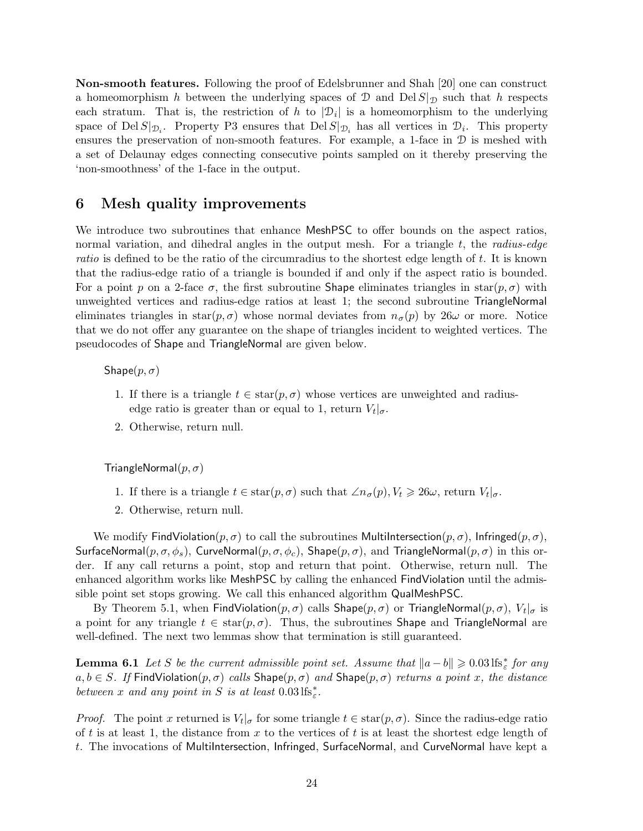Non-smooth features. Following the proof of Edelsbrunner and Shah [20] one can construct a homeomorphism h between the underlying spaces of  $\mathcal D$  and  $\text{Del }S|_{\mathcal D}$  such that h respects each stratum. That is, the restriction of h to  $|\mathcal{D}_i|$  is a homeomorphism to the underlying space of Del  $S|_{\mathcal{D}_i}$ . Property P3 ensures that Del  $S|_{\mathcal{D}_i}$  has all vertices in  $\mathcal{D}_i$ . This property ensures the preservation of non-smooth features. For example, a 1-face in  $\mathcal D$  is meshed with a set of Delaunay edges connecting consecutive points sampled on it thereby preserving the 'non-smoothness' of the 1-face in the output.

# 6 Mesh quality improvements

We introduce two subroutines that enhance MeshPSC to offer bounds on the aspect ratios, normal variation, and dihedral angles in the output mesh. For a triangle  $t$ , the *radius-edge* ratio is defined to be the ratio of the circumradius to the shortest edge length of t. It is known that the radius-edge ratio of a triangle is bounded if and only if the aspect ratio is bounded. For a point p on a 2-face  $\sigma$ , the first subroutine Shape eliminates triangles in star $(p, \sigma)$  with unweighted vertices and radius-edge ratios at least 1; the second subroutine TriangleNormal eliminates triangles in  $star(p, \sigma)$  whose normal deviates from  $n_{\sigma}(p)$  by  $26\omega$  or more. Notice that we do not offer any guarantee on the shape of triangles incident to weighted vertices. The pseudocodes of Shape and TriangleNormal are given below.

Shape $(p, \sigma)$ 

- 1. If there is a triangle  $t \in \text{star}(p, \sigma)$  whose vertices are unweighted and radiusedge ratio is greater than or equal to 1, return  $V_t|_{\sigma}$ .
- 2. Otherwise, return null.

TriangleNormal $(p, \sigma)$ 

- 1. If there is a triangle  $t \in \text{star}(p, \sigma)$  such that  $\angle n_{\sigma}(p), V_t \geq 26\omega$ , return  $V_t|_{\sigma}$ .
- 2. Otherwise, return null.

We modify FindViolation( $p, \sigma$ ) to call the subroutines Multilntersection( $p, \sigma$ ), Infringed( $p, \sigma$ ), SurfaceNormal $(p, \sigma, \phi_s)$ , CurveNormal $(p, \sigma, \phi_c)$ , Shape $(p, \sigma)$ , and TriangleNormal $(p, \sigma)$  in this order. If any call returns a point, stop and return that point. Otherwise, return null. The enhanced algorithm works like MeshPSC by calling the enhanced FindViolation until the admissible point set stops growing. We call this enhanced algorithm QualMeshPSC.

By Theorem 5.1, when  $\mathsf{FindViolation}(p, \sigma)$  calls  $\mathsf{Shape}(p, \sigma)$  or  $\mathsf{TriangleNormal}(p, \sigma)$ ,  $V_t|_{\sigma}$  is a point for any triangle  $t \in \text{star}(p, \sigma)$ . Thus, the subroutines Shape and TriangleNormal are well-defined. The next two lemmas show that termination is still guaranteed.

**Lemma 6.1** Let S be the current admissible point set. Assume that  $||a-b|| \geq 0.03 \text{ lfs}_{\varepsilon}^*$  for any  $a, b \in S$ . If FindViolation $(p, \sigma)$  calls Shape $(p, \sigma)$  and Shape $(p, \sigma)$  returns a point x, the distance between x and any point in S is at least  $0.03 \text{ lfs}^*_{\varepsilon}$ .

*Proof.* The point x returned is  $V_t|_{\sigma}$  for some triangle  $t \in \text{star}(p, \sigma)$ . Since the radius-edge ratio of t is at least 1, the distance from x to the vertices of t is at least the shortest edge length of t. The invocations of MultiIntersection, Infringed, SurfaceNormal, and CurveNormal have kept a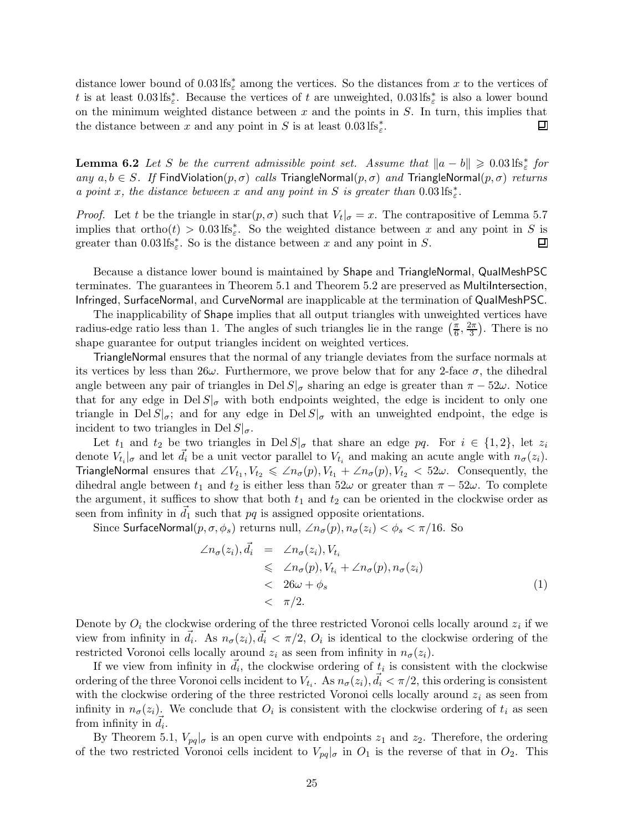distance lower bound of  $0.03 \text{ lfs}^*_{\varepsilon}$  among the vertices. So the distances from x to the vertices of t is at least  $0.03 \text{ lfs}^*_{\varepsilon}$ . Because the vertices of t are unweighted,  $0.03 \text{ lfs}^*_{\varepsilon}$  is also a lower bound on the minimum weighted distance between  $x$  and the points in  $S$ . In turn, this implies that the distance between x and any point in S is at least  $0.03 \text{ lfs}_{\varepsilon}^*$ . 回

**Lemma 6.2** Let S be the current admissible point set. Assume that  $||a - b|| \geq 0.03 \text{ lfs}_{\varepsilon}^*$  for any  $a, b \in S$ . If FindViolation $(p, \sigma)$  calls TriangleNormal $(p, \sigma)$  and TriangleNormal $(p, \sigma)$  returns a point x, the distance between x and any point in S is greater than  $0.03 \text{ lfs}_{\varepsilon}^*$ .

*Proof.* Let t be the triangle in star $(p, \sigma)$  such that  $V_t|_{\sigma} = x$ . The contrapositive of Lemma 5.7 implies that  $ortho(t) > 0.03$  lfs<sup>\*</sup><sub>s</sub>. So the weighted distance between x and any point in S is greater than  $0.03 \text{ lfs}_{\varepsilon}^*$ . So is the distance between x and any point in S. 囙

Because a distance lower bound is maintained by Shape and TriangleNormal, QualMeshPSC terminates. The guarantees in Theorem 5.1 and Theorem 5.2 are preserved as MultiIntersection, Infringed, SurfaceNormal, and CurveNormal are inapplicable at the termination of QualMeshPSC.

The inapplicability of Shape implies that all output triangles with unweighted vertices have radius-edge ratio less than 1. The angles of such triangles lie in the range  $(\frac{\pi}{6})$  $\frac{\pi}{6}, \frac{2\pi}{3}$  $\frac{2\pi}{3}$ ). There is no shape guarantee for output triangles incident on weighted vertices.

TriangleNormal ensures that the normal of any triangle deviates from the surface normals at its vertices by less than  $26\omega$ . Furthermore, we prove below that for any 2-face  $\sigma$ , the dihedral angle between any pair of triangles in Del  $S|_{\sigma}$  sharing an edge is greater than  $\pi - 52\omega$ . Notice that for any edge in  $\text{Del } S|_{\sigma}$  with both endpoints weighted, the edge is incident to only one triangle in Del  $S|_{\sigma}$ ; and for any edge in Del  $S|_{\sigma}$  with an unweighted endpoint, the edge is incident to two triangles in Del  $S|_{\sigma}$ .

Let  $t_1$  and  $t_2$  be two triangles in Del  $S|_{\sigma}$  that share an edge pq. For  $i \in \{1,2\}$ , let  $z_i$ denote  $V_{t_i}|_{\sigma}$  and let  $\vec{d}_i$  be a unit vector parallel to  $V_{t_i}$  and making an acute angle with  $n_{\sigma}(z_i)$ . TriangleNormal ensures that  $\angle V_{t_1}, V_{t_2} \le \angle n_\sigma(p), V_{t_1} + \angle n_\sigma(p), V_{t_2} < 52\omega$ . Consequently, the dihedral angle between  $t_1$  and  $t_2$  is either less than  $52\omega$  or greater than  $\pi - 52\omega$ . To complete the argument, it suffices to show that both  $t_1$  and  $t_2$  can be oriented in the clockwise order as seen from infinity in  $d_1$  such that pq is assigned opposite orientations.

Since SurfaceNormal $(p, \sigma, \phi_s)$  returns null,  $\angle n_\sigma(p), n_\sigma(z_i) < \phi_s < \pi/16$ . So

$$
\angle n_{\sigma}(z_i), \vec{d}_i = \angle n_{\sigma}(z_i), V_{t_i} \n\leq \angle n_{\sigma}(p), V_{t_i} + \angle n_{\sigma}(p), n_{\sigma}(z_i) \n< 26\omega + \phi_s \n\leq \pi/2.
$$
\n(1)

Denote by  $O_i$  the clockwise ordering of the three restricted Voronoi cells locally around  $z_i$  if we view from infinity in  $\vec{d}_i$ . As  $n_{\sigma}(z_i), \vec{d}_i < \pi/2$ ,  $O_i$  is identical to the clockwise ordering of the restricted Voronoi cells locally around  $z_i$  as seen from infinity in  $n_{\sigma}(z_i)$ .

If we view from infinity in  $\vec{d}_i$ , the clockwise ordering of  $t_i$  is consistent with the clockwise ordering of the three Voronoi cells incident to  $V_{t_i}$ . As  $n_{\sigma}(z_i)$ ,  $\vec{d}_i < \pi/2$ , this ordering is consistent with the clockwise ordering of the three restricted Voronoi cells locally around  $z_i$  as seen from infinity in  $n_{\sigma}(z_i)$ . We conclude that  $O_i$  is consistent with the clockwise ordering of  $t_i$  as seen from infinity in  $\vec{d}_i$ .

By Theorem 5.1,  $V_{pq}|_{\sigma}$  is an open curve with endpoints  $z_1$  and  $z_2$ . Therefore, the ordering of the two restricted Voronoi cells incident to  $V_{pq}|_{\sigma}$  in  $O_1$  is the reverse of that in  $O_2$ . This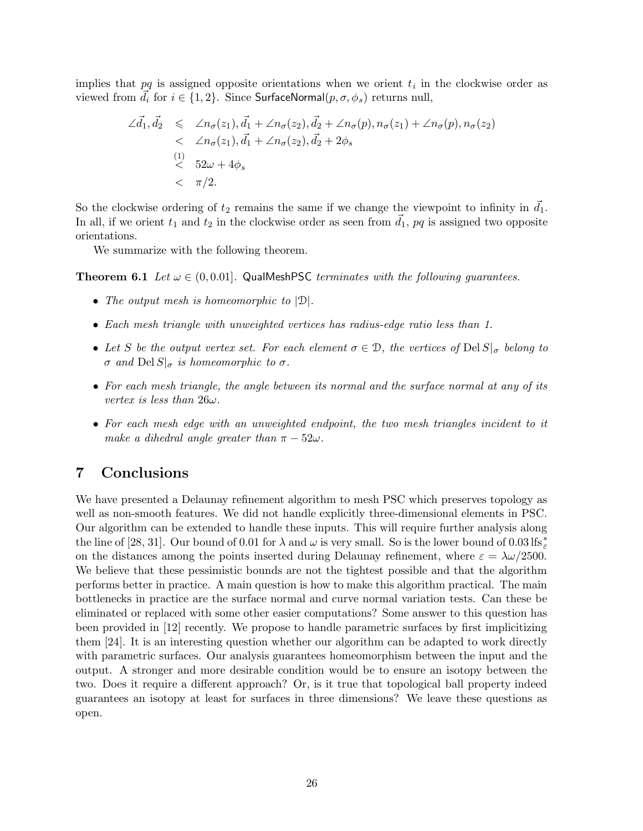implies that  $pq$  is assigned opposite orientations when we orient  $t_i$  in the clockwise order as viewed from  $\vec{d}_i$  for  $i \in \{1,2\}$ . Since SurfaceNormal $(p, \sigma, \phi_s)$  returns null,

$$
\angle \vec{d}_1, \vec{d}_2 \leq \angle n_{\sigma}(z_1), \vec{d}_1 + \angle n_{\sigma}(z_2), \vec{d}_2 + \angle n_{\sigma}(p), n_{\sigma}(z_1) + \angle n_{\sigma}(p), n_{\sigma}(z_2)
$$
\n
$$
< \angle n_{\sigma}(z_1), \vec{d}_1 + \angle n_{\sigma}(z_2), \vec{d}_2 + 2\phi_s
$$
\n(1)  
\n(2)  
\n(3)  
\n(4)  
\n(52*ω* + 4*φ<sub>s</sub>*  
\n(52*ω* + 4*φ<sub>s</sub>*  
\n(6)  
\n(7)*1*

So the clockwise ordering of  $t_2$  remains the same if we change the viewpoint to infinity in  $\vec{d}_1$ . In all, if we orient  $t_1$  and  $t_2$  in the clockwise order as seen from  $\overline{d}_1$ ,  $pq$  is assigned two opposite orientations.

We summarize with the following theorem.

**Theorem 6.1** Let  $\omega \in (0, 0.01]$ . QualMeshPSC terminates with the following guarantees.

- The output mesh is homeomorphic to  $|\mathcal{D}|$ .
- Each mesh triangle with unweighted vertices has radius-edge ratio less than 1.
- Let S be the output vertex set. For each element  $\sigma \in \mathcal{D}$ , the vertices of Del  $S|_{\sigma}$  belong to σ and Del  $S|_{\sigma}$  is homeomorphic to σ.
- For each mesh triangle, the angle between its normal and the surface normal at any of its vertex is less than  $26\omega$ .
- For each mesh edge with an unweighted endpoint, the two mesh triangles incident to it make a dihedral angle greater than  $\pi - 52\omega$ .

# 7 Conclusions

We have presented a Delaunay refinement algorithm to mesh PSC which preserves topology as well as non-smooth features. We did not handle explicitly three-dimensional elements in PSC. Our algorithm can be extended to handle these inputs. This will require further analysis along the line of [28, 31]. Our bound of 0.01 for  $\lambda$  and  $\omega$  is very small. So is the lower bound of 0.03 lfs<sup>\*</sup> on the distances among the points inserted during Delaunay refinement, where  $\varepsilon = \lambda \omega / 2500$ . We believe that these pessimistic bounds are not the tightest possible and that the algorithm performs better in practice. A main question is how to make this algorithm practical. The main bottlenecks in practice are the surface normal and curve normal variation tests. Can these be eliminated or replaced with some other easier computations? Some answer to this question has been provided in [12] recently. We propose to handle parametric surfaces by first implicitizing them [24]. It is an interesting question whether our algorithm can be adapted to work directly with parametric surfaces. Our analysis guarantees homeomorphism between the input and the output. A stronger and more desirable condition would be to ensure an isotopy between the two. Does it require a different approach? Or, is it true that topological ball property indeed guarantees an isotopy at least for surfaces in three dimensions? We leave these questions as open.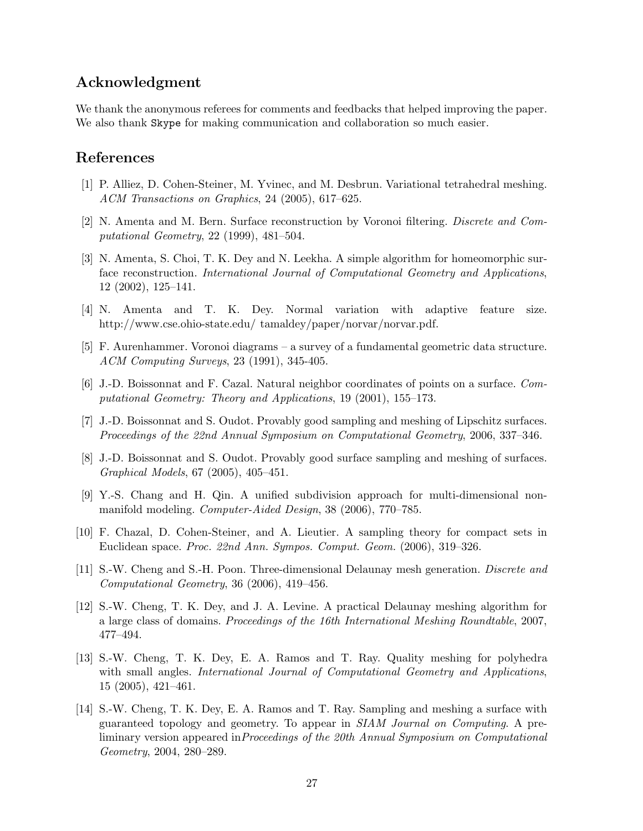# Acknowledgment

We thank the anonymous referees for comments and feedbacks that helped improving the paper. We also thank Skype for making communication and collaboration so much easier.

# References

- [1] P. Alliez, D. Cohen-Steiner, M. Yvinec, and M. Desbrun. Variational tetrahedral meshing. ACM Transactions on Graphics, 24 (2005), 617–625.
- [2] N. Amenta and M. Bern. Surface reconstruction by Voronoi filtering. Discrete and Computational Geometry, 22 (1999), 481–504.
- [3] N. Amenta, S. Choi, T. K. Dey and N. Leekha. A simple algorithm for homeomorphic surface reconstruction. International Journal of Computational Geometry and Applications, 12 (2002), 125–141.
- [4] N. Amenta and T. K. Dey. Normal variation with adaptive feature size. http://www.cse.ohio-state.edu/ tamaldey/paper/norvar/norvar.pdf.
- [5] F. Aurenhammer. Voronoi diagrams a survey of a fundamental geometric data structure. ACM Computing Surveys, 23 (1991), 345-405.
- [6] J.-D. Boissonnat and F. Cazal. Natural neighbor coordinates of points on a surface. Computational Geometry: Theory and Applications, 19 (2001), 155–173.
- [7] J.-D. Boissonnat and S. Oudot. Provably good sampling and meshing of Lipschitz surfaces. Proceedings of the 22nd Annual Symposium on Computational Geometry, 2006, 337–346.
- [8] J.-D. Boissonnat and S. Oudot. Provably good surface sampling and meshing of surfaces. Graphical Models, 67 (2005), 405–451.
- [9] Y.-S. Chang and H. Qin. A unified subdivision approach for multi-dimensional nonmanifold modeling. Computer-Aided Design, 38 (2006), 770–785.
- [10] F. Chazal, D. Cohen-Steiner, and A. Lieutier. A sampling theory for compact sets in Euclidean space. Proc. 22nd Ann. Sympos. Comput. Geom. (2006), 319–326.
- [11] S.-W. Cheng and S.-H. Poon. Three-dimensional Delaunay mesh generation. Discrete and Computational Geometry, 36 (2006), 419–456.
- [12] S.-W. Cheng, T. K. Dey, and J. A. Levine. A practical Delaunay meshing algorithm for a large class of domains. Proceedings of the 16th International Meshing Roundtable, 2007, 477–494.
- [13] S.-W. Cheng, T. K. Dey, E. A. Ramos and T. Ray. Quality meshing for polyhedra with small angles. *International Journal of Computational Geometry and Applications*, 15 (2005), 421–461.
- [14] S.-W. Cheng, T. K. Dey, E. A. Ramos and T. Ray. Sampling and meshing a surface with guaranteed topology and geometry. To appear in SIAM Journal on Computing. A preliminary version appeared inProceedings of the 20th Annual Symposium on Computational Geometry, 2004, 280–289.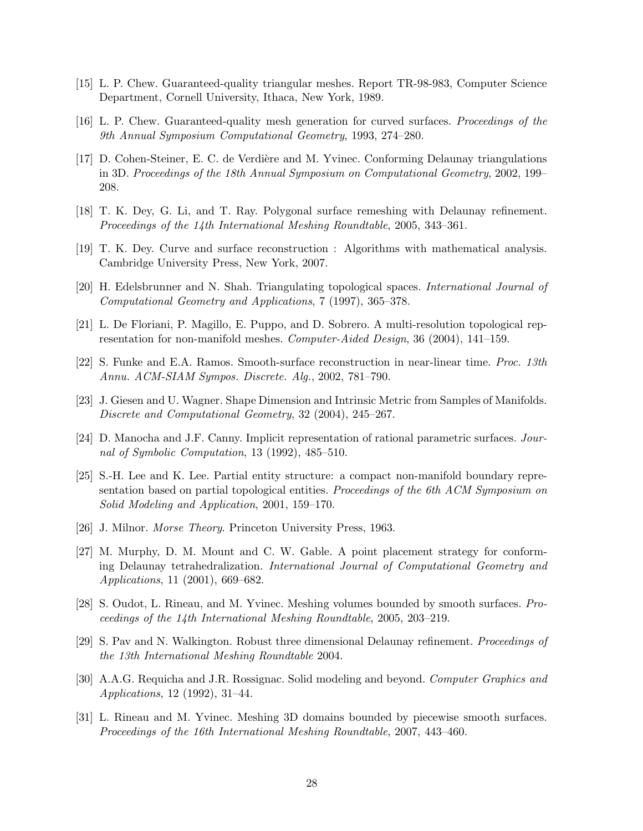- [15] L. P. Chew. Guaranteed-quality triangular meshes. Report TR-98-983, Computer Science Department, Cornell University, Ithaca, New York, 1989.
- [16] L. P. Chew. Guaranteed-quality mesh generation for curved surfaces. Proceedings of the 9th Annual Symposium Computational Geometry, 1993, 274–280.
- [17] D. Cohen-Steiner, E. C. de Verdière and M. Yvinec. Conforming Delaunay triangulations in 3D. Proceedings of the 18th Annual Symposium on Computational Geometry, 2002, 199– 208.
- [18] T. K. Dey, G. Li, and T. Ray. Polygonal surface remeshing with Delaunay refinement. Proceedings of the 14th International Meshing Roundtable, 2005, 343–361.
- [19] T. K. Dey. Curve and surface reconstruction : Algorithms with mathematical analysis. Cambridge University Press, New York, 2007.
- [20] H. Edelsbrunner and N. Shah. Triangulating topological spaces. International Journal of Computational Geometry and Applications, 7 (1997), 365–378.
- [21] L. De Floriani, P. Magillo, E. Puppo, and D. Sobrero. A multi-resolution topological representation for non-manifold meshes. Computer-Aided Design, 36 (2004), 141–159.
- [22] S. Funke and E.A. Ramos. Smooth-surface reconstruction in near-linear time. Proc. 13th Annu. ACM-SIAM Sympos. Discrete. Alg., 2002, 781–790.
- [23] J. Giesen and U. Wagner. Shape Dimension and Intrinsic Metric from Samples of Manifolds. Discrete and Computational Geometry, 32 (2004), 245–267.
- [24] D. Manocha and J.F. Canny. Implicit representation of rational parametric surfaces. Journal of Symbolic Computation, 13 (1992), 485–510.
- [25] S.-H. Lee and K. Lee. Partial entity structure: a compact non-manifold boundary representation based on partial topological entities. Proceedings of the 6th ACM Symposium on Solid Modeling and Application, 2001, 159–170.
- [26] J. Milnor. Morse Theory. Princeton University Press, 1963.
- [27] M. Murphy, D. M. Mount and C. W. Gable. A point placement strategy for conforming Delaunay tetrahedralization. International Journal of Computational Geometry and Applications, 11 (2001), 669–682.
- [28] S. Oudot, L. Rineau, and M. Yvinec. Meshing volumes bounded by smooth surfaces. Proceedings of the 14th International Meshing Roundtable, 2005, 203–219.
- [29] S. Pav and N. Walkington. Robust three dimensional Delaunay refinement. Proceedings of the 13th International Meshing Roundtable 2004.
- [30] A.A.G. Requicha and J.R. Rossignac. Solid modeling and beyond. Computer Graphics and Applications, 12 (1992), 31–44.
- [31] L. Rineau and M. Yvinec. Meshing 3D domains bounded by piecewise smooth surfaces. Proceedings of the 16th International Meshing Roundtable, 2007, 443–460.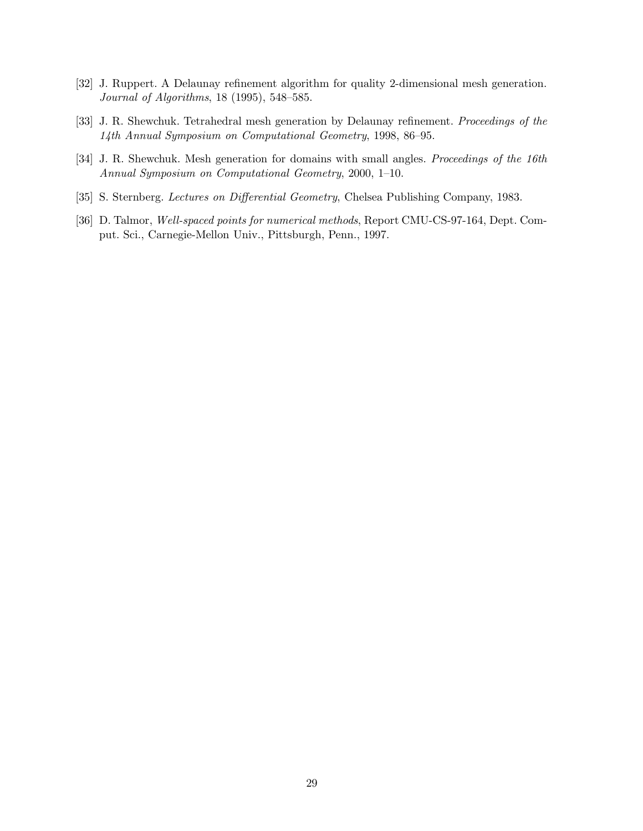- [32] J. Ruppert. A Delaunay refinement algorithm for quality 2-dimensional mesh generation. Journal of Algorithms, 18 (1995), 548–585.
- [33] J. R. Shewchuk. Tetrahedral mesh generation by Delaunay refinement. Proceedings of the 14th Annual Symposium on Computational Geometry, 1998, 86–95.
- [34] J. R. Shewchuk. Mesh generation for domains with small angles. Proceedings of the 16th Annual Symposium on Computational Geometry, 2000, 1–10.
- [35] S. Sternberg. Lectures on Differential Geometry, Chelsea Publishing Company, 1983.
- [36] D. Talmor, Well-spaced points for numerical methods, Report CMU-CS-97-164, Dept. Comput. Sci., Carnegie-Mellon Univ., Pittsburgh, Penn., 1997.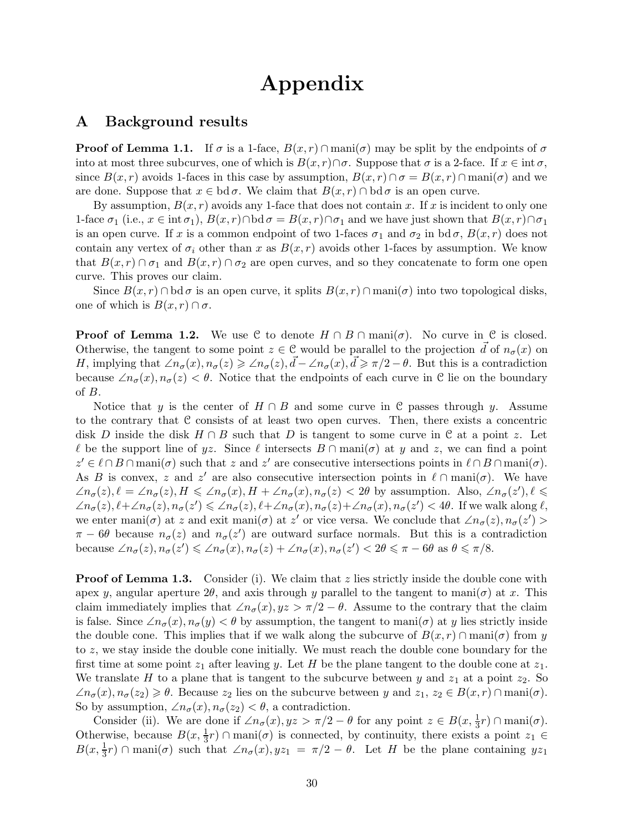# Appendix

# A Background results

**Proof of Lemma 1.1.** If  $\sigma$  is a 1-face,  $B(x, r) \cap \text{mani}(\sigma)$  may be split by the endpoints of  $\sigma$ into at most three subcurves, one of which is  $B(x, r) \cap \sigma$ . Suppose that  $\sigma$  is a 2-face. If  $x \in \text{int } \sigma$ , since  $B(x, r)$  avoids 1-faces in this case by assumption,  $B(x, r) \cap \sigma = B(x, r) \cap \text{mani}(\sigma)$  and we are done. Suppose that  $x \in \text{bd } \sigma$ . We claim that  $B(x, r) \cap \text{bd } \sigma$  is an open curve.

By assumption,  $B(x, r)$  avoids any 1-face that does not contain x. If x is incident to only one 1-face  $\sigma_1$  (i.e.,  $x \in \text{int } \sigma_1$ ),  $B(x,r) \cap \text{bd } \sigma = B(x,r) \cap \sigma_1$  and we have just shown that  $B(x,r) \cap \sigma_1$ is an open curve. If x is a common endpoint of two 1-faces  $\sigma_1$  and  $\sigma_2$  in bd $\sigma$ ,  $B(x,r)$  does not contain any vertex of  $\sigma_i$  other than x as  $B(x, r)$  avoids other 1-faces by assumption. We know that  $B(x, r) \cap \sigma_1$  and  $B(x, r) \cap \sigma_2$  are open curves, and so they concatenate to form one open curve. This proves our claim.

Since  $B(x, r) \cap \text{bd } \sigma$  is an open curve, it splits  $B(x, r) \cap \text{man}(\sigma)$  into two topological disks, one of which is  $B(x, r) \cap \sigma$ .

**Proof of Lemma 1.2.** We use C to denote  $H \cap B \cap \text{mani}(\sigma)$ . No curve in C is closed. Otherwise, the tangent to some point  $z \in \mathcal{C}$  would be parallel to the projection  $\vec{d}$  of  $n_{\sigma}(x)$  on H, implying that  $\angle n_{\sigma}(x), n_{\sigma}(z) \geq \angle n_{\sigma}(z), \vec{d} - \angle n_{\sigma}(x), \vec{d} \geq \pi/2 - \theta$ . But this is a contradiction because  $\angle n_{\sigma}(x), n_{\sigma}(z) < \theta$ . Notice that the endpoints of each curve in C lie on the boundary of B.

Notice that y is the center of  $H \cap B$  and some curve in C passes through y. Assume to the contrary that C consists of at least two open curves. Then, there exists a concentric disk D inside the disk  $H \cap B$  such that D is tangent to some curve in C at a point z. Let  $\ell$  be the support line of yz. Since  $\ell$  intersects  $B \cap \text{mani}(\sigma)$  at y and z, we can find a point  $z' \in \ell \cap B \cap \text{mani}(\sigma)$  such that z and z' are consecutive intersections points in  $\ell \cap B \cap \text{mani}(\sigma)$ . As B is convex, z and z' are also consecutive intersection points in  $\ell \cap \text{mani}(\sigma)$ . We have  $\angle n_{\sigma}(z), \ell = \angle n_{\sigma}(z), H \leq \angle n_{\sigma}(x), H + \angle n_{\sigma}(x), n_{\sigma}(z) < 2\theta$  by assumption. Also,  $\angle n_{\sigma}(z'), \ell \leq$  $\angle n_{\sigma}(z), \ell + \angle n_{\sigma}(z), n_{\sigma}(z') \leq \angle n_{\sigma}(z), \ell + \angle n_{\sigma}(x), n_{\sigma}(z) + \angle n_{\sigma}(x), n_{\sigma}(z') < 4\theta$ . If we walk along  $\ell$ , we enter mani $(\sigma)$  at z and exit mani $(\sigma)$  at z' or vice versa. We conclude that  $\angle n_{\sigma}(z), n_{\sigma}(z')$  $\pi - 6\theta$  because  $n_{\sigma}(z)$  and  $n_{\sigma}(z')$  are outward surface normals. But this is a contradiction because  $\angle n_{\sigma}(z), n_{\sigma}(z') \leq \angle n_{\sigma}(x), n_{\sigma}(z) + \angle n_{\sigma}(x), n_{\sigma}(z') < 2\theta \leq \pi - 6\theta$  as  $\theta \leq \pi/8$ .

**Proof of Lemma 1.3.** Consider (i). We claim that z lies strictly inside the double cone with apex y, angular aperture  $2\theta$ , and axis through y parallel to the tangent to mani $(\sigma)$  at x. This claim immediately implies that  $\angle n_{\sigma}(x), yz > \pi/2 - \theta$ . Assume to the contrary that the claim is false. Since  $\angle n_{\sigma}(x), n_{\sigma}(y) < \theta$  by assumption, the tangent to mani $(\sigma)$  at y lies strictly inside the double cone. This implies that if we walk along the subcurve of  $B(x, r) \cap \text{mani}(\sigma)$  from y to z, we stay inside the double cone initially. We must reach the double cone boundary for the first time at some point  $z_1$  after leaving y. Let H be the plane tangent to the double cone at  $z_1$ . We translate H to a plane that is tangent to the subcurve between y and  $z_1$  at a point  $z_2$ . So  $\angle n_{\sigma}(x), n_{\sigma}(z_2) \geq \theta$ . Because  $z_2$  lies on the subcurve between y and  $z_1, z_2 \in B(x,r) \cap \text{mani}(\sigma)$ . So by assumption,  $\angle n_{\sigma}(x), n_{\sigma}(z_2) < \theta$ , a contradiction.

Consider (ii). We are done if  $\angle n_{\sigma}(x), yz > \pi/2 - \theta$  for any point  $z \in B(x, \frac{1}{3}r) \cap \text{mani}(\sigma)$ . Otherwise, because  $B(x, \frac{1}{3}r) \cap \text{mani}(\sigma)$  is connected, by continuity, there exists a point  $z_1 \in$  $B(x, \frac{1}{3}r) \cap \text{mani}(\sigma)$  such that  $\angle n_{\sigma}(x), yz_1 = \pi/2 - \theta$ . Let H be the plane containing  $yz_1$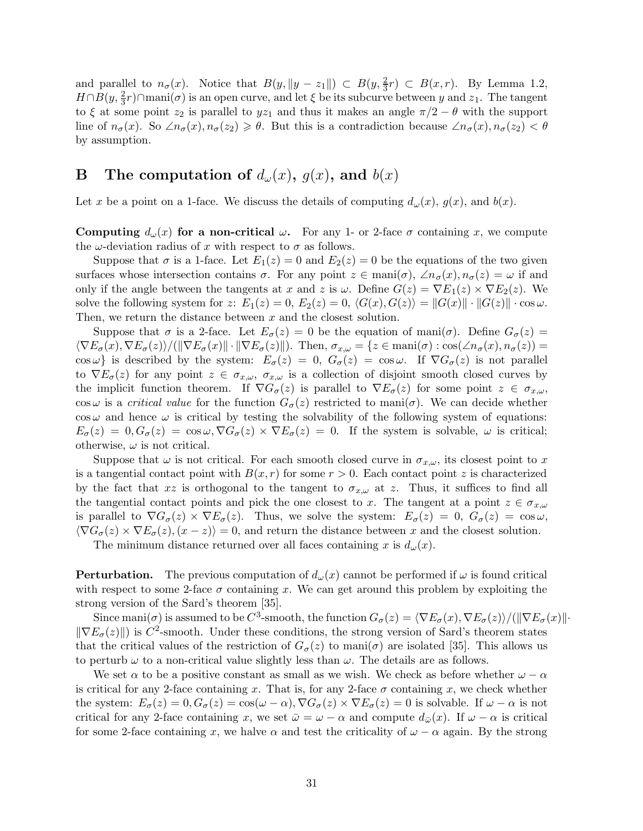and parallel to  $n_{\sigma}(x)$ . Notice that  $B(y, ||y - z_1||) \subset B(y, \frac{2}{3})$  $\frac{2}{3}r$   $\subset B(x,r)$ . By Lemma 1.2,  $H \cap B(y, \frac{2}{3})$  $\frac{2}{3}r$ )∩mani( $\sigma$ ) is an open curve, and let  $\xi$  be its subcurve between y and  $z_1$ . The tangent to  $\xi$  at some point  $z_2$  is parallel to  $yz_1$  and thus it makes an angle  $\pi/2 - \theta$  with the support line of  $n_{\sigma}(x)$ . So  $\angle n_{\sigma}(x), n_{\sigma}(z) \geq \theta$ . But this is a contradiction because  $\angle n_{\sigma}(x), n_{\sigma}(z) < \theta$ by assumption.

# **B** The computation of  $d_{\omega}(x)$ ,  $g(x)$ , and  $b(x)$

Let x be a point on a 1-face. We discuss the details of computing  $d_{\omega}(x)$ ,  $g(x)$ , and  $b(x)$ .

**Computing**  $d_{\omega}(x)$  for a non-critical  $\omega$ . For any 1- or 2-face  $\sigma$  containing x, we compute the  $\omega$ -deviation radius of x with respect to  $\sigma$  as follows.

Suppose that  $\sigma$  is a 1-face. Let  $E_1(z) = 0$  and  $E_2(z) = 0$  be the equations of the two given surfaces whose intersection contains  $\sigma$ . For any point  $z \in \text{man}(\sigma)$ ,  $\angle n_{\sigma}(z), n_{\sigma}(z) = \omega$  if and only if the angle between the tangents at x and z is  $\omega$ . Define  $G(z) = \nabla E_1(z) \times \nabla E_2(z)$ . We solve the following system for z:  $E_1(z) = 0$ ,  $E_2(z) = 0$ ,  $\langle G(x), G(z) \rangle = ||G(x)|| \cdot ||G(z)|| \cdot \cos \omega$ . Then, we return the distance between x and the closest solution.

Suppose that  $\sigma$  is a 2-face. Let  $E_{\sigma}(z) = 0$  be the equation of mani $(\sigma)$ . Define  $G_{\sigma}(z) =$  $\langle \nabla E_{\sigma}(x), \nabla E_{\sigma}(z) \rangle / (\|\nabla E_{\sigma}(x)\| \cdot \|\nabla E_{\sigma}(z)\|)$ . Then,  $\sigma_{x,\omega} = \{z \in \text{mani}(\sigma) : \cos(\angle n_{\sigma}(x), n_{\sigma}(z)) = 0\}$ cos  $\omega$ } is described by the system:  $E_{\sigma}(z) = 0$ ,  $G_{\sigma}(z) = \cos \omega$ . If  $\nabla G_{\sigma}(z)$  is not parallel to  $\nabla E_{\sigma}(z)$  for any point  $z \in \sigma_{x,\omega}$ ,  $\sigma_{x,\omega}$  is a collection of disjoint smooth closed curves by the implicit function theorem. If  $\nabla G_{\sigma}(z)$  is parallel to  $\nabla E_{\sigma}(z)$  for some point  $z \in \sigma_{x,\omega}$ , cos  $\omega$  is a *critical value* for the function  $G_{\sigma}(z)$  restricted to mani $(\sigma)$ . We can decide whether  $\cos \omega$  and hence  $\omega$  is critical by testing the solvability of the following system of equations:  $E_{\sigma}(z) = 0, G_{\sigma}(z) = \cos \omega, \nabla G_{\sigma}(z) \times \nabla E_{\sigma}(z) = 0$ . If the system is solvable,  $\omega$  is critical; otherwise,  $\omega$  is not critical.

Suppose that  $\omega$  is not critical. For each smooth closed curve in  $\sigma_{x,\omega}$ , its closest point to x is a tangential contact point with  $B(x, r)$  for some  $r > 0$ . Each contact point z is characterized by the fact that  $xz$  is orthogonal to the tangent to  $\sigma_{x,\omega}$  at z. Thus, it suffices to find all the tangential contact points and pick the one closest to x. The tangent at a point  $z \in \sigma_{x,\omega}$ is parallel to  $\nabla G_{\sigma}(z) \times \nabla E_{\sigma}(z)$ . Thus, we solve the system:  $E_{\sigma}(z) = 0$ ,  $G_{\sigma}(z) = \cos \omega$ ,  $\langle \nabla G_{\sigma}(z) \times \nabla E_{\sigma}(z), (x - z) \rangle = 0$ , and return the distance between x and the closest solution.

The minimum distance returned over all faces containing x is  $d_{\omega}(x)$ .

**Perturbation.** The previous computation of  $d_{\omega}(x)$  cannot be performed if  $\omega$  is found critical with respect to some 2-face  $\sigma$  containing x. We can get around this problem by exploiting the strong version of the Sard's theorem [35].

Since mani $(\sigma)$  is assumed to be  $C^3$ -smooth, the function  $G_{\sigma}(z) = \langle \nabla E_{\sigma}(x), \nabla E_{\sigma}(z) \rangle / (\|\nabla E_{\sigma}(x)\| \cdot$  $\|\nabla E_{\sigma}(z)\|$  is  $C^2$ -smooth. Under these conditions, the strong version of Sard's theorem states that the critical values of the restriction of  $G_{\sigma}(z)$  to mani $(\sigma)$  are isolated [35]. This allows us to perturb  $\omega$  to a non-critical value slightly less than  $\omega$ . The details are as follows.

We set  $\alpha$  to be a positive constant as small as we wish. We check as before whether  $\omega - \alpha$ is critical for any 2-face containing x. That is, for any 2-face  $\sigma$  containing x, we check whether the system:  $E_{\sigma}(z) = 0, G_{\sigma}(z) = \cos(\omega - \alpha), \nabla G_{\sigma}(z) \times \nabla E_{\sigma}(z) = 0$  is solvable. If  $\omega - \alpha$  is not critical for any 2-face containing x, we set  $\bar{\omega} = \omega - \alpha$  and compute  $d_{\bar{\omega}}(x)$ . If  $\omega - \alpha$  is critical for some 2-face containing x, we halve  $\alpha$  and test the criticality of  $\omega - \alpha$  again. By the strong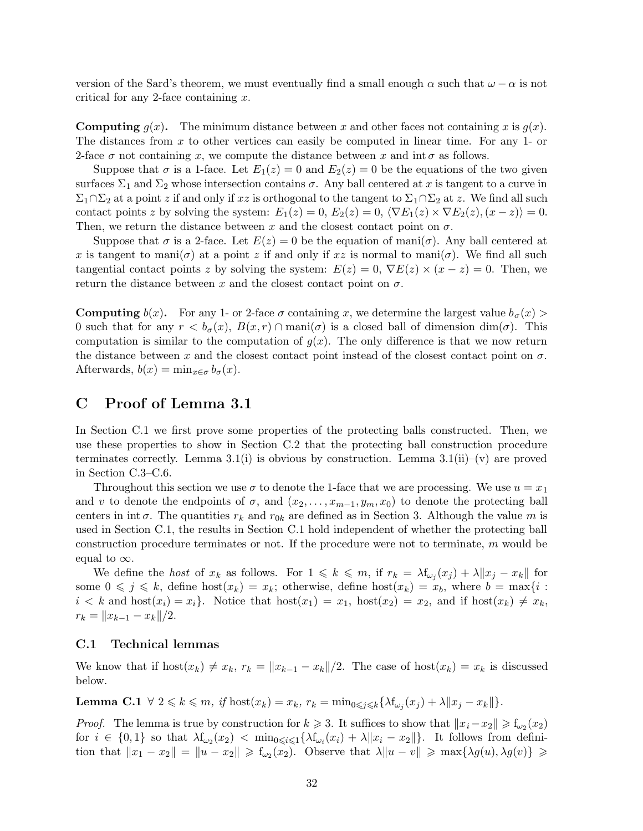version of the Sard's theorem, we must eventually find a small enough  $\alpha$  such that  $\omega - \alpha$  is not critical for any 2-face containing  $x$ .

**Computing**  $g(x)$ . The minimum distance between x and other faces not containing x is  $g(x)$ . The distances from x to other vertices can easily be computed in linear time. For any 1- or 2-face  $\sigma$  not containing x, we compute the distance between x and int  $\sigma$  as follows.

Suppose that  $\sigma$  is a 1-face. Let  $E_1(z) = 0$  and  $E_2(z) = 0$  be the equations of the two given surfaces  $\Sigma_1$  and  $\Sigma_2$  whose intersection contains  $\sigma$ . Any ball centered at x is tangent to a curve in  $\Sigma_1 \cap \Sigma_2$  at a point z if and only if xz is orthogonal to the tangent to  $\Sigma_1 \cap \Sigma_2$  at z. We find all such contact points z by solving the system:  $E_1(z) = 0$ ,  $E_2(z) = 0$ ,  $\langle \nabla E_1(z) \times \nabla E_2(z)$ ,  $(x - z) \rangle = 0$ . Then, we return the distance between x and the closest contact point on  $\sigma$ .

Suppose that  $\sigma$  is a 2-face. Let  $E(z) = 0$  be the equation of mani $(\sigma)$ . Any ball centered at x is tangent to mani $(\sigma)$  at a point z if and only if xz is normal to mani $(\sigma)$ . We find all such tangential contact points z by solving the system:  $E(z) = 0$ ,  $\nabla E(z) \times (x - z) = 0$ . Then, we return the distance between x and the closest contact point on  $\sigma$ .

**Computing**  $b(x)$ . For any 1- or 2-face  $\sigma$  containing x, we determine the largest value  $b_{\sigma}(x)$ 0 such that for any  $r < b_{\sigma}(x)$ ,  $B(x,r) \cap \text{mani}(\sigma)$  is a closed ball of dimension  $\dim(\sigma)$ . This computation is similar to the computation of  $g(x)$ . The only difference is that we now return the distance between x and the closest contact point instead of the closest contact point on  $\sigma$ . Afterwards,  $b(x) = \min_{x \in \sigma} b_{\sigma}(x)$ .

# C Proof of Lemma 3.1

In Section C.1 we first prove some properties of the protecting balls constructed. Then, we use these properties to show in Section C.2 that the protecting ball construction procedure terminates correctly. Lemma 3.1(i) is obvious by construction. Lemma 3.1(ii)–(v) are proved in Section C.3–C.6.

Throughout this section we use  $\sigma$  to denote the 1-face that we are processing. We use  $u = x_1$ and v to denote the endpoints of  $\sigma$ , and  $(x_2, \ldots, x_{m-1}, y_m, x_0)$  to denote the protecting ball centers in int  $\sigma$ . The quantities  $r_k$  and  $r_{0k}$  are defined as in Section 3. Although the value m is used in Section C.1, the results in Section C.1 hold independent of whether the protecting ball construction procedure terminates or not. If the procedure were not to terminate, m would be equal to  $\infty$ .

We define the *host* of  $x_k$  as follows. For  $1 \leq k \leq m$ , if  $r_k = \lambda f_{\omega_j}(x_j) + \lambda ||x_j - x_k||$  for some  $0 \leqslant j \leqslant k$ , define host $(x_k) = x_k$ ; otherwise, define host $(x_k) = x_b$ , where  $b = \max\{i :$  $i < k$  and  $host(x_i) = x_i$ . Notice that  $host(x_1) = x_1$ ,  $host(x_2) = x_2$ , and if  $host(x_k) \neq x_k$ ,  $r_k = ||x_{k-1} - x_k||/2.$ 

### C.1 Technical lemmas

We know that if host $(x_k) \neq x_k$ ,  $r_k = ||x_{k-1} - x_k||/2$ . The case of host $(x_k) = x_k$  is discussed below.

**Lemma C.1**  $\forall$  2  $\leq k \leq m$ , if  $\text{host}(x_k) = x_k$ ,  $r_k = \min_{0 \leq j \leq k} \{ \lambda f_{\omega_j}(x_j) + \lambda ||x_j - x_k|| \}.$ 

*Proof.* The lemma is true by construction for  $k \geq 3$ . It suffices to show that  $||x_i - x_2|| \geq f_{\omega_2}(x_2)$ for  $i \in \{0,1\}$  so that  $\lambda f_{\omega_2}(x_2) < \min_{0 \leq i \leq 1} {\lambda f_{\omega_i}(x_i) + \lambda ||x_i - x_2||}$ . It follows from definition that  $||x_1 - x_2|| = ||u - x_2|| \ge f_{\omega_2}(x_2)$ . Observe that  $\lambda ||u - v|| \ge \max{\{\lambda g(u), \lambda g(v)\}} \ge$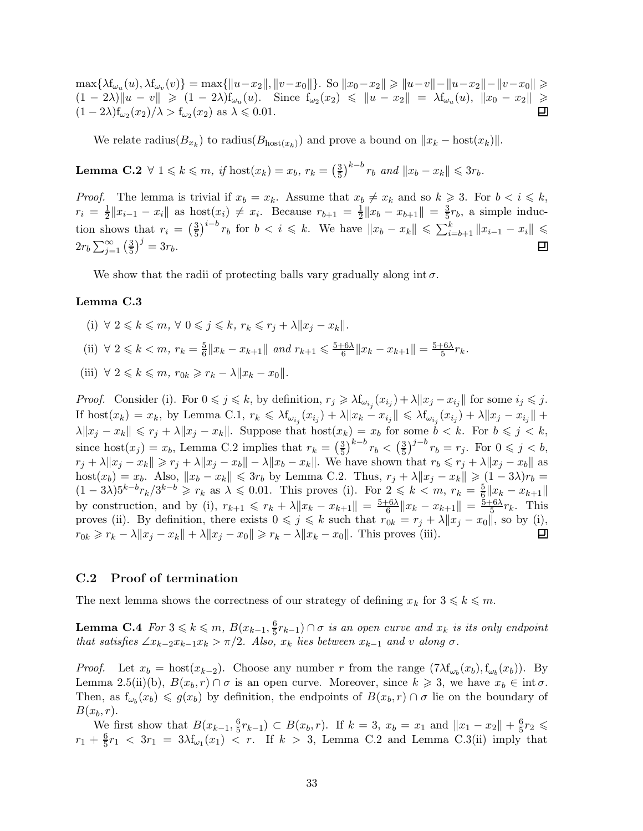$\max\{\lambda f_{\omega_u}(u),\lambda f_{\omega_v}(v)\} = \max\{\|u-x_2\|,\|v-x_0\|\}.$  So  $\|x_0-x_2\|\geqslant \|u-v\|-\|u-x_2\|-\|v-x_0\|\geqslant$  $(1 - 2\lambda) \|u - v\| \geq (1 - 2\lambda) f_{\omega_u}(u)$ . Since  $f_{\omega_2}(x_2) \leq \|u - x_2\| = \lambda f_{\omega_u}(u)$ ,  $\|x_0 - x_2\| \geq$  $(1-2\lambda)f_{\omega_2}(x_2)/\lambda > f_{\omega_2}(x_2)$  as  $\lambda \leqslant 0.01$ .

We relate radius( $B_{x_k}$ ) to radius( $B_{\text{host}(x_k)}$ ) and prove a bound on  $||x_k - \text{host}(x_k)||$ .

**Lemma C.2**  $\forall$  1  $\leq k \leq m$ , if  $\text{host}(x_k) = x_b$ ,  $r_k = \left(\frac{3}{5}\right)$  $(\frac{3}{5})^{k-b} r_b$  and  $||x_b - x_k|| \leq 3r_b$ .

*Proof.* The lemma is trivial if  $x_b = x_k$ . Assume that  $x_b \neq x_k$  and so  $k \geq 3$ . For  $b < i \leq k$ ,  $r_i = \frac{1}{2}$  $\frac{1}{2} \|x_{i-1} - x_i\|$  as  $\text{host}(x_i) \neq x_i$ . Because  $r_{b+1} = \frac{1}{2}$  $\frac{1}{2} \|x_b - x_{b+1}\| = \frac{3}{5}$  $\frac{3}{5}r_b$ , a simple induc- $\frac{3}{5}$ )<sup>*i*-*b*</sup>  $r_b$  for  $b < i \leq k$ . We have  $||x_b - x_k|| \leq \sum_{i=b+1}^{k} ||x_{i-1} - x_i|| \leq$ tion shows that  $r_i = \left(\frac{3}{5}\right)$  $(\frac{3}{5})^j = 3r_b.$  $2r_b\sum_{j=1}^{\infty}\left(\frac{3}{5}\right)$ 口

We show that the radii of protecting balls vary gradually along int  $\sigma$ .

#### Lemma C.3

(i)  $\forall 2 \leq k \leq m$ ,  $\forall 0 \leq j \leq k$ ,  $r_k \leq r_j + \lambda ||x_j - x_k||$ . (ii)  $\forall 2 \leq k < m, r_k = \frac{5}{6}$  $\frac{5}{6}||x_k - x_{k+1}||$  and  $r_{k+1} \leqslant \frac{5+6\lambda}{6}$  $\frac{-6\lambda}{6}$  $||x_k - x_{k+1}|| = \frac{5+6\lambda}{5}$  $\frac{-6\lambda}{5}r_k$ . (iii)  $\forall 2 \leq k \leq m$ ,  $r_{0k} \geq r_k - \lambda ||x_k - x_0||$ .

*Proof.* Consider (i). For  $0 \leq j \leq k$ , by definition,  $r_j \geq \lambda f_{\omega_{i_j}}(x_{i_j}) + \lambda ||x_j - x_{i_j}||$  for some  $i_j \leq j$ . If  $\text{host}(x_k) = x_k$ , by Lemma C.1,  $r_k \leq \lambda f_{\omega_{i_j}}(x_{i_j}) + \lambda ||x_k - x_{i_j}|| \leq \lambda f_{\omega_{i_j}}(x_{i_j}) + \lambda ||x_j - x_{i_j}|| +$  $\lambda \|x_j - x_k\| \leqslant r_j + \lambda \|x_j - x_k\|$ . Suppose that  $\text{host}(x_k) = x_b$  for some  $b < k$ . For  $b \leqslant j < k$ , since host $(x_j) = x_b$ , Lemma C.2 implies that  $r_k = \left(\frac{3}{5}\right)$  $\left(\frac{3}{5}\right)^{k-b} r_b < \left(\frac{3}{5}\right)$  $(\frac{3}{5})^{j-b} r_b = r_j$ . For  $0 \leq j \leq b$ ,  $r_i + \lambda \|x_i - x_k\| \ge r_i + \lambda \|x_i - x_b\| - \lambda \|x_b - x_k\|$ . We have shown that  $r_b \le r_i + \lambda \|x_i - x_b\|$  as host $(x_b) = x_b$ . Also,  $||x_b - x_k|| \leq 3r_b$  by Lemma C.2. Thus,  $r_j + \lambda ||x_j - x_k|| \geq (1 - 3\lambda)r_b$  $(1-3\lambda)5^{k-b}r_k/3^{k-b} \geq r_k$  as  $\lambda \leqslant 0.01$ . This proves (i). For  $2 \leqslant k \leqslant m$ ,  $r_k = \frac{5}{6}$  $\frac{5}{6} \| x_k - x_{k+1} \|$ by construction, and by (i),  $r_{k+1} \leq r_k + \lambda \|x_k - x_{k+1}\| = \frac{5+6\lambda}{6}$  $\frac{-6\lambda}{6} \| x_k - x_{k+1} \| = \frac{5+6\lambda}{5}$  $rac{-6\lambda}{5}r_k$ . This proves (ii). By definition, there exists  $0 \leq j \leq k$  such that  $r_{0k} = r_j + \lambda ||x_j - x_0||$ , so by (i),  $r_{0k} \geq r_k - \lambda ||x_j - x_k|| + \lambda ||x_j - x_0|| \geq r_k - \lambda ||x_k - x_0||$ . This proves (iii).

### C.2 Proof of termination

The next lemma shows the correctness of our strategy of defining  $x_k$  for  $3 \leq k \leq m$ .

Lemma C.4  $For\ 3 \leqslant k \leqslant m, B(x_{k-1}, \frac{6}{5})$  $(\frac{6}{5}r_{k-1}) \cap \sigma$  is an open curve and  $x_k$  is its only endpoint that satisfies  $\angle x_{k-2}x_{k-1}x_k > \pi/2$ . Also,  $x_k$  lies between  $x_{k-1}$  and v along  $\sigma$ .

*Proof.* Let  $x_b = \text{host}(x_{k-2})$ . Choose any number r from the range  $(7\lambda f_{\omega_b}(x_b), f_{\omega_b}(x_b))$ . By Lemma 2.5(ii)(b),  $B(x_b, r) \cap \sigma$  is an open curve. Moreover, since  $k \geq 3$ , we have  $x_b \in \text{int } \sigma$ . Then, as  $f_{\omega_b}(x_b) \leq g(x_b)$  by definition, the endpoints of  $B(x_b, r) \cap \sigma$  lie on the boundary of  $B(x_b, r)$ .

We first show that  $B(x_{k-1}, \frac{6}{5})$  $(\frac{6}{5}r_{k-1}) \subset B(x_k, r)$ . If  $k = 3$ ,  $x_k = x_1$  and  $||x_1 - x_2|| + \frac{6}{5}$  $rac{6}{5}r_2 \leqslant$  $r_1 + \frac{6}{5}$  $\frac{6}{5}r_1 < 3r_1 = 3\lambda f_{\omega_1}(x_1) < r$ . If  $k > 3$ , Lemma C.2 and Lemma C.3(ii) imply that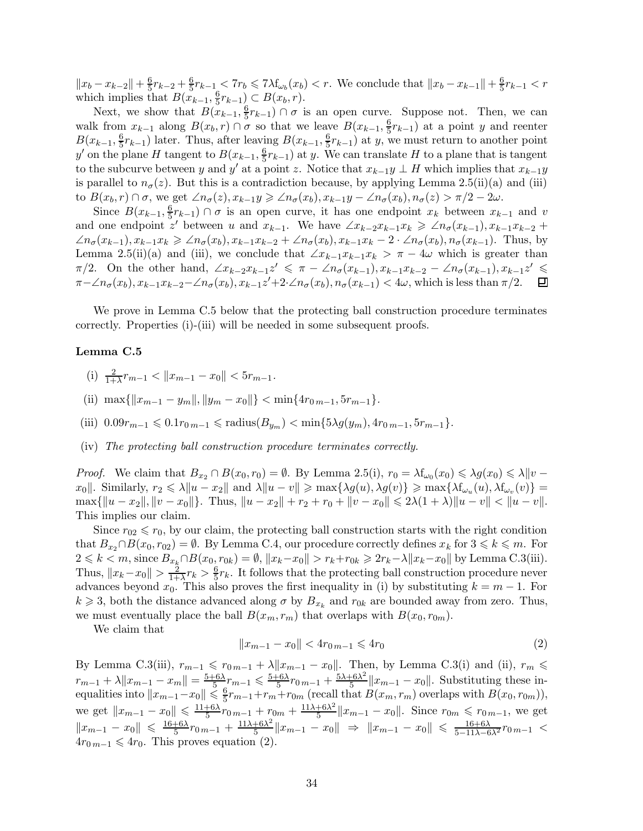$||x_b - x_{k-2}|| + \frac{6}{5}r_{k-2} + \frac{6}{5}r_{k-1} < 7r_b \leq 7\lambda f_{\omega_b}(x_b) < r$ . We conclude that  $||x_b - x_{k-1}|| + \frac{6}{5}r_{k-1} < r$ which implies that  $B(x_{k-1}, \frac{6}{5})$  $(\frac{6}{5}r_{k-1}) \subset B(x_b,r).$ 

Next, we show that  $B(x_{k-1}, \frac{6}{5})$  $(\frac{6}{5}r_{k-1}) \cap \sigma$  is an open curve. Suppose not. Then, we can walk from  $x_{k-1}$  along  $B(x_k, r) \cap \sigma$  so that we leave  $B(x_{k-1}, \frac{6}{5})$  $(\frac{6}{5}r_{k-1})$  at a point y and reenter  $B(x_{k-1}, \frac{6}{5})$  $\frac{6}{5}r_{k-1}$ ) later. Thus, after leaving  $B(x_{k-1}, \frac{6}{5})$  $(\frac{6}{5}r_{k-1})$  at y, we must return to another point y' on the plane H tangent to  $B(x_{k-1}, \frac{6}{5})$  $(\frac{6}{5}r_{k-1})$  at y. We can translate H to a plane that is tangent to the subcurve between y and y' at a point z. Notice that  $x_{k-1}y \perp H$  which implies that  $x_{k-1}y$ is parallel to  $n_{\sigma}(z)$ . But this is a contradiction because, by applying Lemma 2.5(ii)(a) and (iii) to  $B(x_b, r) \cap \sigma$ , we get  $\angle n_{\sigma}(z), x_{k-1}y \geq \angle n_{\sigma}(x_b), x_{k-1}y - \angle n_{\sigma}(x_b), n_{\sigma}(z) > \pi/2 - 2\omega$ .

Since  $B(x_{k-1}, \frac{6}{5})$  $(\frac{6}{5}r_{k-1}) \cap \sigma$  is an open curve, it has one endpoint  $x_k$  between  $x_{k-1}$  and v and one endpoint z' between u and  $x_{k-1}$ . We have  $\angle x_{k-2}x_{k-1}x_k \geq \angle n_{\sigma}(x_{k-1}), x_{k-1}x_{k-2} +$  $\angle n_{\sigma}(x_{k-1}), x_{k-1}x_k \geq \angle n_{\sigma}(x_b), x_{k-1}x_{k-2} + \angle n_{\sigma}(x_b), x_{k-1}x_k - 2 \cdot \angle n_{\sigma}(x_b), n_{\sigma}(x_{k-1}).$  Thus, by Lemma 2.5(ii)(a) and (iii), we conclude that  $\angle x_{k-1}x_{k-1}x_k > \pi - 4\omega$  which is greater than  $\pi/2$ . On the other hand,  $\angle x_{k-2}x_{k-1}z' \leq \pi - \angle n_{\sigma}(x_{k-1}), x_{k-1}x_{k-2} - \angle n_{\sigma}(x_{k-1}), x_{k-1}z' \leq$  $\pi - \angle n_{\sigma}(x_b), x_{k-1}x_{k-2} - \angle n_{\sigma}(x_b), x_{k-1}z' + 2 \cdot \angle n_{\sigma}(x_b), n_{\sigma}(x_{k-1}) < 4\omega$ , which is less than  $\pi/2$ .  $\Box$ 

We prove in Lemma C.5 below that the protecting ball construction procedure terminates correctly. Properties (i)-(iii) will be needed in some subsequent proofs.

### Lemma C.5

- (i)  $\frac{2}{1+\lambda}r_{m-1} < ||x_{m-1} x_0|| < 5r_{m-1}.$
- (ii)  $\max\{\|x_{m-1} y_m\|, \|y_m x_0\|\} < \min\{4r_{0m-1}, 5r_{m-1}\}.$
- (iii)  $0.09r_{m-1} \leq 0.1r_{0m-1} \leq \text{radius}(B_{y_m}) < \min\{5\lambda q(y_m), 4r_{0m-1}, 5r_{m-1}\}.$
- (iv) The protecting ball construction procedure terminates correctly.

*Proof.* We claim that  $B_{x_2} \cap B(x_0, r_0) = \emptyset$ . By Lemma 2.5(i),  $r_0 = \lambda f_{\omega_0}(x_0) \leq \lambda g(x_0) \leq \lambda \|v - v_0\|$  $x_0$ ||. Similarly,  $r_2 \le \lambda \|u - x_2\|$  and  $\lambda \|u - v\| \ge \max{\lambda g(u), \lambda g(v)} \ge \max{\lambda f_{\omega_u}(u), \lambda f_{\omega_v}(v)}$  =  $\max\{\|u - x_2\|, \|v - x_0\|\}.$  Thus,  $\|u - x_2\| + r_2 + r_0 + \|v - x_0\| \leq 2\lambda(1 + \lambda)\|u - v\| < \|u - v\|.$ This implies our claim.

Since  $r_{02} \leq r_0$ , by our claim, the protecting ball construction starts with the right condition that  $B_{x_2} \cap B(x_0, r_{02}) = \emptyset$ . By Lemma C.4, our procedure correctly defines  $x_k$  for  $3 \leq k \leq m$ . For  $2 \le k < m$ , since  $B_{x_k} ∩ B(x_0, r_{0k}) = \emptyset$ ,  $||x_k - x_0|| > r_k + r_{0k} \ge 2r_k - \lambda ||x_k - x_0||$  by Lemma C.3(iii). Thus,  $||x_k - x_0|| > \frac{2}{1+}$  $\frac{2}{1+\lambda}r_k > \frac{6}{5}$  $\frac{6}{5}r_k$ . It follows that the protecting ball construction procedure never advances beyond  $x_0$ . This also proves the first inequality in (i) by substituting  $k = m - 1$ . For  $k \geq 3$ , both the distance advanced along  $\sigma$  by  $B_{x_k}$  and  $r_{0k}$  are bounded away from zero. Thus, we must eventually place the ball  $B(x_m, r_m)$  that overlaps with  $B(x_0, r_{0m})$ .

We claim that

$$
||x_{m-1} - x_0|| < 4r_0_{m-1} \le 4r_0
$$
\n<sup>(2)</sup>

By Lemma C.3(iii),  $r_{m-1} \leqslant r_{0m-1} + \lambda ||x_{m-1} - x_0||$ . Then, by Lemma C.3(i) and (ii),  $r_m \leqslant$  $r_{m-1} + \lambda \|x_{m-1} - x_m\| = \frac{5+6\lambda}{5}$  $\frac{-6\lambda}{5}$  $r_{m-1} \leqslant \frac{5+6\lambda}{5}$  $\frac{-6\lambda}{5}r_{0\,m-1}+\frac{5\lambda+6\lambda^2}{5}$  $\frac{1}{5}$   $||x_{m-1} - x_0||$ . Substituting these inequalities into  $||x_{m-1}-x_0|| \leq \frac{6}{5}r_{m-1}+r_m+r_{0m}$  (recall that  $B(x_m, r_m)$  overlaps with  $B(x_0, r_{0m})$ ), we get  $||x_{m-1} - x_0|| \le \frac{11+6\lambda}{5} r_{0m-1} + r_{0m} + \frac{11\lambda+6\lambda^2}{5}$  $\frac{+6\lambda^2}{5}$  || $x_{m-1} - x_0$ ||. Since  $r_{0m} \le r_{0m-1}$ , we get  $||x_{m-1} - x_0|| \leqslant \frac{16 + 6\lambda}{5} r_{0\,m-1} + \frac{11\lambda + 6\lambda^2}{5}$  $\frac{+6\lambda^2}{5}$ || $x_{m-1} - x_0$ ||  $\Rightarrow$  || $x_{m-1} - x_0$ ||  $\leqslant \frac{16+6\lambda}{5-11\lambda-6\lambda^2} r_{0\,m-1}$  <  $4r_{0\,m-1} \leq 4r_0$ . This proves equation (2).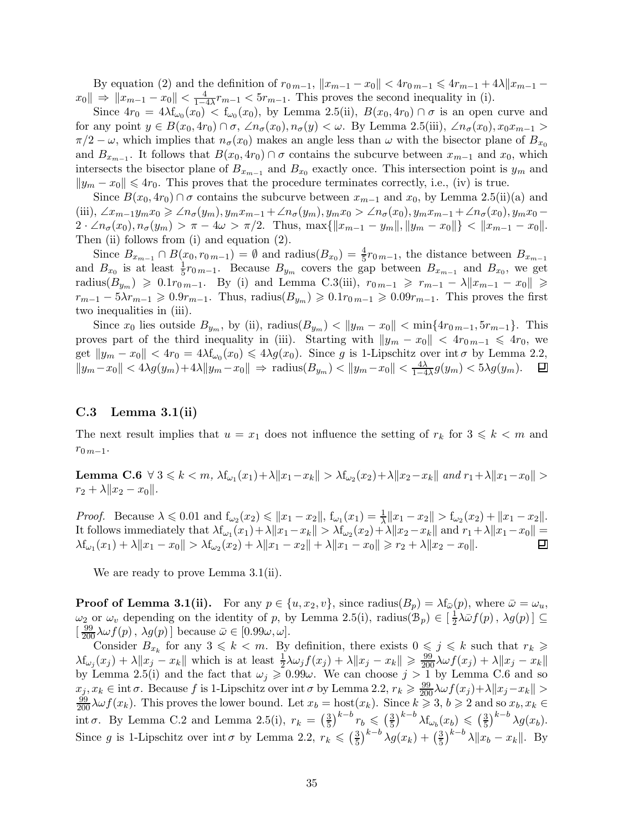By equation (2) and the definition of  $r_{0\,m-1}$ ,  $||x_{m-1} - x_0|| < 4r_{0\,m-1} \le 4r_{m-1} + 4\lambda ||x_{m-1} - x_0||$  $x_0 \| \Rightarrow \|x_{m-1} - x_0\| < \frac{4}{1 - 4}$  $\frac{4}{1-4\lambda}r_{m-1}$  <  $5r_{m-1}$ . This proves the second inequality in (i).

Since  $4r_0 = 4\lambda f_{\omega_0}(x_0) < f_{\omega_0}(x_0)$ , by Lemma 2.5(ii),  $B(x_0, 4r_0) \cap \sigma$  is an open curve and for any point  $y \in B(x_0, 4r_0) \cap \sigma$ ,  $\angle n_{\sigma}(x_0), n_{\sigma}(y) < \omega$ . By Lemma 2.5(iii),  $\angle n_{\sigma}(x_0), x_0 x_{m-1} >$  $\pi/2 - \omega$ , which implies that  $n_{\sigma}(x_0)$  makes an angle less than  $\omega$  with the bisector plane of  $B_{x_0}$ and  $B_{x_{m-1}}$ . It follows that  $B(x_0, 4r_0) \cap \sigma$  contains the subcurve between  $x_{m-1}$  and  $x_0$ , which intersects the bisector plane of  $B_{x_{m-1}}$  and  $B_{x_0}$  exactly once. This intersection point is  $y_m$  and  $||y_m - x_0|| \leq 4r_0$ . This proves that the procedure terminates correctly, i.e., (iv) is true.

Since  $B(x_0, 4r_0) \cap \sigma$  contains the subcurve between  $x_{m-1}$  and  $x_0$ , by Lemma 2.5(ii)(a) and (iii),  $\angle x_{m-1}y_mx_0 \geq \angle n_{\sigma}(y_m), y_mx_{m-1} + \angle n_{\sigma}(y_m), y_mx_0 > \angle n_{\sigma}(x_0), y_mx_{m-1} + \angle n_{\sigma}(x_0), y_mx_0 2 \cdot \angle n_{\sigma}(x_0), n_{\sigma}(y_m) > \pi - 4\omega > \pi/2.$  Thus,  $\max\{\|x_{m-1} - y_m\|, \|y_m - x_0\|\} < \|x_{m-1} - x_0\|.$ Then (ii) follows from (i) and equation  $(2)$ .

Since  $B_{x_{m-1}} \cap B(x_0, r_{0m-1}) = \emptyset$  and radius $(B_{x_0}) = \frac{4}{5}$  $\frac{4}{5}r_{0\,m-1}$ , the distance between  $B_{x_{m-1}}$ and  $B_{x_0}$  is at least  $\frac{1}{5}r_{0,m-1}$ . Because  $B_{y_m}$  covers the gap between  $B_{x_{m-1}}$  and  $B_{x_0}$ , we get radius( $B_{y_m}$ ) ≥ 0.1 $r_{0m-1}$ . By (i) and Lemma C.3(iii),  $r_{0m-1}$  ≥  $r_{m-1} - \lambda ||x_{m-1} - x_0||$  ≥  $r_{m-1} - 5\lambda r_{m-1} \geqslant 0.9r_{m-1}$ . Thus, radius $(B_{y_m}) \geqslant 0.1r_{0m-1} \geqslant 0.09r_{m-1}$ . This proves the first two inequalities in (iii).

Since  $x_0$  lies outside  $B_{y_m}$ , by (ii),  $\text{radius}(B_{y_m}) < ||y_m - x_0|| < \min\{4r_{0m-1}, 5r_{m-1}\}.$  This proves part of the third inequality in (iii). Starting with  $||y_m - x_0|| < 4r_{0m-1} \leq 4r_0$ , we get  $||y_m - x_0|| < 4r_0 = 4\lambda f_{\omega_0}(x_0) \le 4\lambda g(x_0)$ . Since g is 1-Lipschitz over int  $\sigma$  by Lemma 2.2,  $||y_m - x_0|| < 4\lambda g(y_m) + 4\lambda ||y_m - x_0|| \Rightarrow$  radius $(B_{y_m}) < ||y_m - x_0|| < \frac{4\lambda}{1 - 4\lambda} g(y_m) < 5\lambda g(y_m)$ . 回

### $C.3$  Lemma 3.1(ii)

The next result implies that  $u = x_1$  does not influence the setting of  $r_k$  for  $3 \leq k \leq m$  and  $r_{0\,m-1}$ .

Lemma C.6  $\forall 3 \leq k < m$ ,  $\lambda f_{\omega_1}(x_1) + \lambda ||x_1 - x_k|| > \lambda f_{\omega_2}(x_2) + \lambda ||x_2 - x_k||$  and  $r_1 + \lambda ||x_1 - x_0|| >$  $r_2 + \lambda \|x_2 - x_0\|.$ 

Proof. Because  $\lambda \leq 0.01$  and  $f_{\omega_2}(x_2) \leq ||x_1 - x_2||$ ,  $f_{\omega_1}(x_1) = \frac{1}{\lambda} ||x_1 - x_2|| > f_{\omega_2}(x_2) + ||x_1 - x_2||$ . It follows immediately that  $\lambda f_{\omega_1}(x_1) + \lambda ||x_1 - x_k|| > \lambda f_{\omega_2}(x_2) + \lambda ||x_2 - x_k||$  and  $r_1 + \lambda ||x_1 - x_0|| =$  $\lambda f_{\omega_1}(x_1) + \lambda ||x_1 - x_0|| > \lambda f_{\omega_2}(x_2) + \lambda ||x_1 - x_2|| + \lambda ||x_1 - x_0|| \geq r_2 + \lambda ||x_2 - x_0||.$ 

We are ready to prove Lemma 3.1(ii).

**Proof of Lemma 3.1(ii).** For any  $p \in \{u, x_2, v\}$ , since  $\text{radius}(B_p) = \lambda f_{\bar{\omega}}(p)$ , where  $\bar{\omega} = \omega_u$ ,  $\omega_2$  or  $\omega_v$  depending on the identity of p, by Lemma 2.5(i), radius( $\mathcal{B}_p$ )  $\in \left[\frac{1}{2}\right]$  $\frac{1}{2}\lambda \bar{\omega} f(p)$ ,  $\lambda g(p)$ ]  $\subseteq$  $\left[\frac{99}{200}\lambda\omega f(p), \lambda g(p)\right]$  because  $\bar{\omega} \in [0.99\omega, \omega]$ .

Consider  $B_{x_k}$  for any  $3 \leq k < m$ . By definition, there exists  $0 \leq j \leq k$  such that  $r_k \geq$  $\lambda f_{\omega_j}(x_j) + \lambda \|x_j - x_k\|$  which is at least  $\frac{1}{2}\lambda \omega_j f(x_j) + \lambda \|x_j - x_k\| \geqslant \frac{99}{200}\lambda \omega f(x_j) + \lambda \|x_j - x_k\|$ by Lemma 2.5(i) and the fact that  $\omega_j \geq 0.99\omega$ . We can choose  $j > 1$  by Lemma C.6 and so  $x_j, x_k \in \text{int } \sigma.$  Because f is 1-Lipschitz over int  $\sigma$  by Lemma 2.2,  $r_k \geqslant \frac{99}{200} \lambda \omega f(x_j) + \lambda \|x_j - x_k\|$  $\frac{99}{200}\lambda \omega f(x_k)$ . This proves the lower bound. Let  $x_b = \text{host}(x_k)$ . Since  $k \geq 3$ ,  $b \geq 2$  and so  $x_b, x_k \in$ int  $\sigma$ . By Lemma C.2 and Lemma 2.5(i),  $r_k = \left(\frac{3}{5}\right)$  $\left(\frac{3}{5}\right)^{k-b} r_b \leqslant \left(\frac{3}{5}\right)$  $\left(\frac{3}{5}\right)^{k-b}$   $\lambda \mathbf{f}_{\omega_b}(x_b) \leqslant \left(\frac{3}{5}\right)$  $\left(\frac{3}{5}\right)^{k-b}$   $\lambda g(x_b)$ . Since g is 1-Lipschitz over int  $\sigma$  by Lemma 2.2,  $r_k \leqslant \left(\frac{3}{5}\right)$  $\left(\frac{3}{5}\right)^{k-b} \lambda g(x_k) + \left(\frac{3}{5}\right)$  $\frac{3}{5}\big)^{k-b} \lambda \|x_b - x_k\|$ . By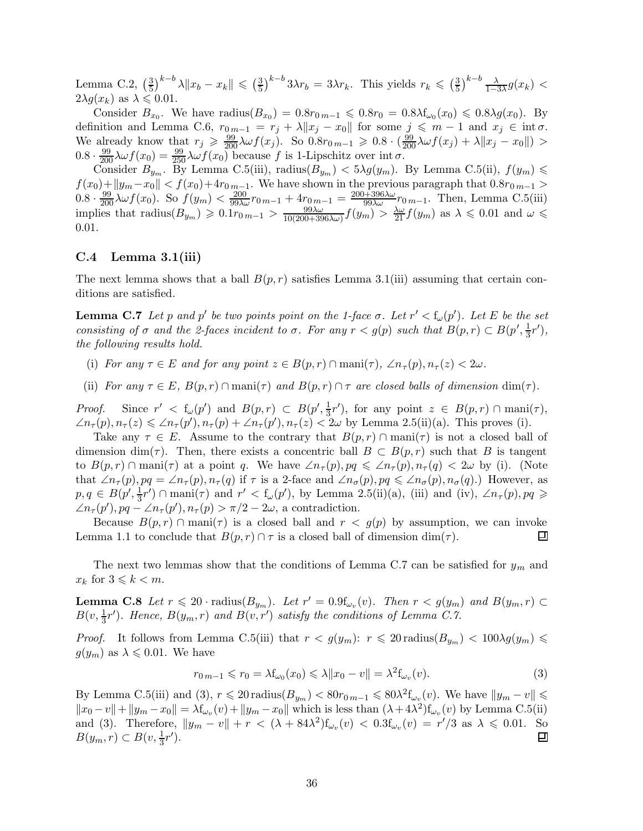Lemma C.2,  $\left(\frac{3}{5}\right)$  $(\frac{3}{5})^{k-b} \lambda \|x_b - x_k\| \leq (\frac{3}{5})^k$  $(\frac{3}{5})^{k-b} 3\lambda r_b = 3\lambda r_k$ . This yields  $r_k \leqslant (\frac{3}{5})^{k-b} 3\lambda r_b$  $\frac{3}{5}\big)^{k-b} \frac{\lambda}{1-3\lambda} g(x_k)$  $2\lambda g(x_k)$  as  $\lambda \leqslant 0.01$ .

Consider  $B_{x_0}$ . We have radius $(B_{x_0}) = 0.8r_{0,m-1} \leq 0.8r_0 = 0.8\lambda f_{\omega_0}(x_0) \leq 0.8\lambda g(x_0)$ . By definition and Lemma C.6,  $r_{0,m-1} = r_j + \lambda \|x_j - x_0\|$  for some  $j \leq m-1$  and  $x_j \in \text{int }\sigma$ . We already know that  $r_j \geqslant \frac{99}{200} \lambda \omega f(x_j)$ . So  $0.8r_{0,m-1} \geqslant 0.8 \cdot \left(\frac{99}{200} \lambda \omega f(x_j) + \lambda \|x_j - x_0\|\right)$  $0.8 \cdot \frac{99}{200} \lambda \omega f(x_0) = \frac{99}{250} \lambda \omega f(x_0)$  because f is 1-Lipschitz over int  $\sigma$ .

Consider  $B_{y_m}$ . By Lemma C.5(iii), radius( $B_{y_m}$ ) <  $5\lambda g(y_m)$ . By Lemma C.5(ii),  $f(y_m)$  $f(x_0)+\|y_m - x_0\| < f(x_0)+4r_{0m-1}$ . We have shown in the previous paragraph that  $0.8r_{0m-1} >$  $0.8 \cdot \frac{99}{200} \lambda \omega f(x_0)$ . So  $f(y_m) < \frac{200}{99\lambda \omega} r_{0m-1} + 4r_{0m-1} = \frac{200+396\lambda \omega}{99\lambda \omega} r_{0m-1}$ . Then, Lemma C.5(iii) implies that radius $(B_{y_m}) \geqslant 0.1r_{0\,m-1} > \frac{99\lambda\omega}{10(200+39)}$  $\frac{99\lambda\omega}{10(200+396\lambda\omega)}f(y_m) > \frac{\lambda\omega}{21}f(y_m)$  as  $\lambda \leq 0.01$  and  $\omega \leq$ 0.01.

### $C.4$  Lemma 3.1(iii)

The next lemma shows that a ball  $B(p, r)$  satisfies Lemma 3.1(iii) assuming that certain conditions are satisfied.

**Lemma C.7** Let p and p' be two points point on the 1-face  $\sigma$ . Let  $r' < f_{\omega}(p')$ . Let E be the set consisting of  $\sigma$  and the 2-faces incident to  $\sigma$ . For any  $r < g(p)$  such that  $B(p,r) \subset B(p', \frac{1}{3})$  $\frac{1}{3}r'$ ), the following results hold.

- (i) For any  $\tau \in E$  and for any point  $z \in B(p,r) \cap \text{mani}(\tau)$ ,  $\angle n_{\tau}(p), n_{\tau}(z) < 2\omega$ .
- (ii) For any  $\tau \in E$ ,  $B(p,r) \cap \text{mani}(\tau)$  and  $B(p,r) \cap \tau$  are closed balls of dimension  $\dim(\tau)$ .

*Proof.* Since  $r' < f_\omega(p')$  and  $B(p,r) \subset B(p', \frac{1}{3})$  $\frac{1}{3}r'$ , for any point  $z \in B(p,r) \cap \text{mani}(\tau)$ ,  $\angle n_{\tau}(p), n_{\tau}(z) \leqslant \angle n_{\tau}(p'), n_{\tau}(p) + \angle n_{\tau}(p'), n_{\tau}(z) < 2\omega$  by Lemma 2.5(ii)(a). This proves (i).

Take any  $\tau \in E$ . Assume to the contrary that  $B(p,r) \cap \text{mani}(\tau)$  is not a closed ball of dimension dim( $\tau$ ). Then, there exists a concentric ball  $B \subset B(p,r)$  such that B is tangent to  $B(p,r) \cap \text{man}(\tau)$  at a point q. We have  $\angle n_{\tau}(p), pq \leq \angle n_{\tau}(p), n_{\tau}(q) < 2\omega$  by (i). (Note that  $\angle n_{\tau}(p), pq = \angle n_{\tau}(p), n_{\tau}(q)$  if  $\tau$  is a 2-face and  $\angle n_{\sigma}(p), pq \leq \angle n_{\sigma}(p), n_{\sigma}(q)$ .) However, as  $p, q \in B(p', \frac{1}{3})$  $\frac{1}{3}r'$ )  $\cap$  mani $(\tau)$  and  $r' < f_\omega(p')$ , by Lemma 2.5(ii)(a), (iii) and (iv),  $\angle n_\tau(p), pq \geq$  $\angle n_{\tau}(p'), pq - \angle n_{\tau}(p'), n_{\tau}(p) > \pi/2 - 2\omega$ , a contradiction.

Because  $B(p,r) \cap \text{mani}(\tau)$  is a closed ball and  $r < g(p)$  by assumption, we can invoke nma 1.1 to conclude that  $B(p,r) \cap \tau$  is a closed ball of dimension dim $(\tau)$ . Lemma 1.1 to conclude that  $B(p, r) \cap \tau$  is a closed ball of dimension dim( $\tau$ ).

The next two lemmas show that the conditions of Lemma C.7 can be satisfied for  $y_m$  and  $x_k$  for  $3 \leqslant k < m$ .

**Lemma C.8** Let  $r \leq 20$  · radius $(B_{y_m})$ . Let  $r' = 0.9f_{\omega_v}(v)$ . Then  $r < g(y_m)$  and  $B(y_m, r) \subset$  $B(v, \frac{1}{3})$  $\frac{1}{3}r'$ ). Hence,  $B(y_m, r)$  and  $B(v, r')$  satisfy the conditions of Lemma C.7.

*Proof.* It follows from Lemma C.5(iii) that  $r < g(y_m)$ :  $r \leq 20$  radius $(B_{y_m}) < 100\lambda g(y_m) \leq$  $g(y_m)$  as  $\lambda \leqslant 0.01$ . We have

$$
r_{0\,m-1} \leqslant r_0 = \lambda f_{\omega_0}(x_0) \leqslant \lambda \|x_0 - v\| = \lambda^2 f_{\omega_v}(v). \tag{3}
$$

By Lemma C.5(iii) and (3),  $r \leq 20$  radius $(B_{y_m}) < 80r_{0m-1} \leq 80\lambda^2 f_{\omega_v}(v)$ . We have  $||y_m - v|| \leq$  $||x_0 - v|| + ||y_m - x_0|| = \lambda f_{\omega_v}(v) + ||y_m - x_0||$  which is less than  $(\lambda + 4\lambda^2) f_{\omega_v}(v)$  by Lemma C.5(ii) and (3). Therefore,  $||y_m - v|| + r < (\lambda + 84\lambda^2) f_{\omega_v}(v) < 0.3 f_{\omega_v}(v) = r'/3$  as  $\lambda \leq 0.01$ . So  $B(y_m, r) \subset B(v, \frac{1}{3})$  $\frac{1}{3}r'$ ). 口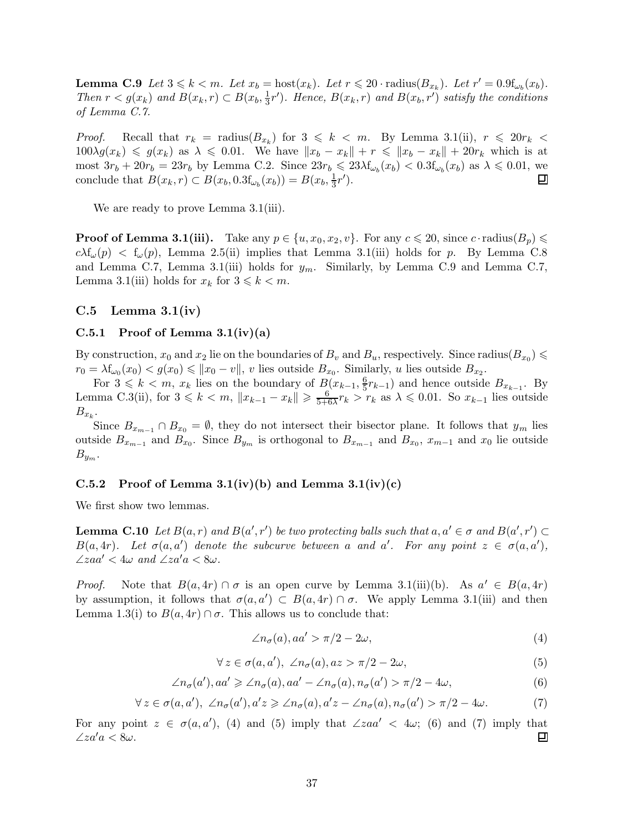**Lemma C.9** Let  $3 \le k < m$ . Let  $x_b = \text{host}(x_k)$ . Let  $r \le 20$  · radius $(B_{x_k})$ . Let  $r' = 0.9f_{\omega_b}(x_b)$ . Then  $r < g(x_k)$  and  $B(x_k, r) \subset B(x_b, \frac{1}{3})$  $\frac{1}{3}r'$ ). Hence,  $B(x_k, r)$  and  $B(x_b, r')$  satisfy the conditions of Lemma C.7.

*Proof.* Recall that  $r_k$  = radius( $B_{x_k}$ ) for  $3 \leq k < m$ . By Lemma 3.1(ii),  $r \leq 20r_k <$  $100\lambda g(x_k) \leq g(x_k)$  as  $\lambda \leq 0.01$ . We have  $||x_b - x_k|| + r \leq ||x_b - x_k|| + 20r_k$  which is at most  $3r_b + 20r_b = 23r_b$  by Lemma C.2. Since  $23r_b \leq 23\lambda f_{\omega_b}(x_b) < 0.3f_{\omega_b}(x_b)$  as  $\lambda \leq 0.01$ , we conclude that  $B(x_k, r) \subset B(x_b, 0.3f_{\omega_b}(x_b)) = B(x_b, \frac{1}{3})$  $\frac{1}{3}r'$ ). ▣

We are ready to prove Lemma 3.1(iii).

**Proof of Lemma 3.1(iii).** Take any  $p \in \{u, x_0, x_2, v\}$ . For any  $c \le 20$ , since c · radius( $B_p$ )  $c\lambda f_{\omega}(p) < f_{\omega}(p)$ , Lemma 2.5(ii) implies that Lemma 3.1(iii) holds for p. By Lemma C.8 and Lemma C.7, Lemma 3.1(iii) holds for  $y_m$ . Similarly, by Lemma C.9 and Lemma C.7, Lemma 3.1(iii) holds for  $x_k$  for  $3 \leq k \leq m$ .

### C.5 Lemma  $3.1(iv)$

#### C.5.1 Proof of Lemma  $3.1(iv)(a)$

By construction,  $x_0$  and  $x_2$  lie on the boundaries of  $B_v$  and  $B_u$ , respectively. Since radius $(B_{x_0}) \leq$  $r_0 = \lambda f_{\omega_0}(x_0) < g(x_0) \le ||x_0 - v||$ , v lies outside  $B_{x_0}$ . Similarly, u lies outside  $B_{x_2}$ .

For  $3 \leq k < m$ ,  $x_k$  lies on the boundary of  $B(x_{k-1}, \frac{6}{5})$  $(\frac{6}{5}r_{k-1})$  and hence outside  $B_{x_{k-1}}$ . By Lemma C.3(ii), for  $3 \le k < m$ ,  $||x_{k-1} - x_k|| \ge \frac{6}{5+6}$  $\frac{6}{5+6\lambda}r_k > r_k$  as  $\lambda \leq 0.01$ . So  $x_{k-1}$  lies outside  $B_{x_k}$ .

Since  $B_{x_{m-1}} \cap B_{x_0} = \emptyset$ , they do not intersect their bisector plane. It follows that  $y_m$  lies outside  $B_{x_{m-1}}$  and  $B_{x_0}$ . Since  $B_{y_m}$  is orthogonal to  $B_{x_{m-1}}$  and  $B_{x_0}$ ,  $x_{m-1}$  and  $x_0$  lie outside  $B_{y_m}$ .

## C.5.2 Proof of Lemma 3.1(iv)(b) and Lemma 3.1(iv)(c)

We first show two lemmas.

**Lemma C.10** Let  $B(a,r)$  and  $B(a',r')$  be two protecting balls such that  $a, a' \in \sigma$  and  $B(a',r') \subset$  $B(a,4r)$ . Let  $\sigma(a,a')$  denote the subcurve between a and a'. For any point  $z \in \sigma(a,a')$ ,  $\angle zaa' < 4\omega$  and  $\angle za'a < 8\omega$ .

*Proof.* Note that  $B(a, 4r) \cap \sigma$  is an open curve by Lemma 3.1(iii)(b). As  $a' \in B(a, 4r)$ by assumption, it follows that  $\sigma(a, a') \subset B(a, 4r) \cap \sigma$ . We apply Lemma 3.1(iii) and then Lemma 1.3(i) to  $B(a, 4r) \cap \sigma$ . This allows us to conclude that:

$$
\angle n_{\sigma}(a), aa' > \pi/2 - 2\omega,
$$
\n(4)

$$
\forall z \in \sigma(a, a'), \ \angle n_{\sigma}(a), az > \pi/2 - 2\omega,
$$
\n
$$
(5)
$$

$$
\angle n_{\sigma}(a'), aa' \geq \angle n_{\sigma}(a), aa' - \angle n_{\sigma}(a), n_{\sigma}(a') > \pi/2 - 4\omega,
$$
\n(6)

$$
\forall z \in \sigma(a, a'), \ \angle n_{\sigma}(a'), a'z \geq \angle n_{\sigma}(a), a'z - \angle n_{\sigma}(a), n_{\sigma}(a') > \pi/2 - 4\omega. \tag{7}
$$

For any point  $z \in \sigma(a, a')$ , (4) and (5) imply that  $\angle zaa' < 4\omega$ ; (6) and (7) imply that  $\angle za'a < 8\omega$ . 囙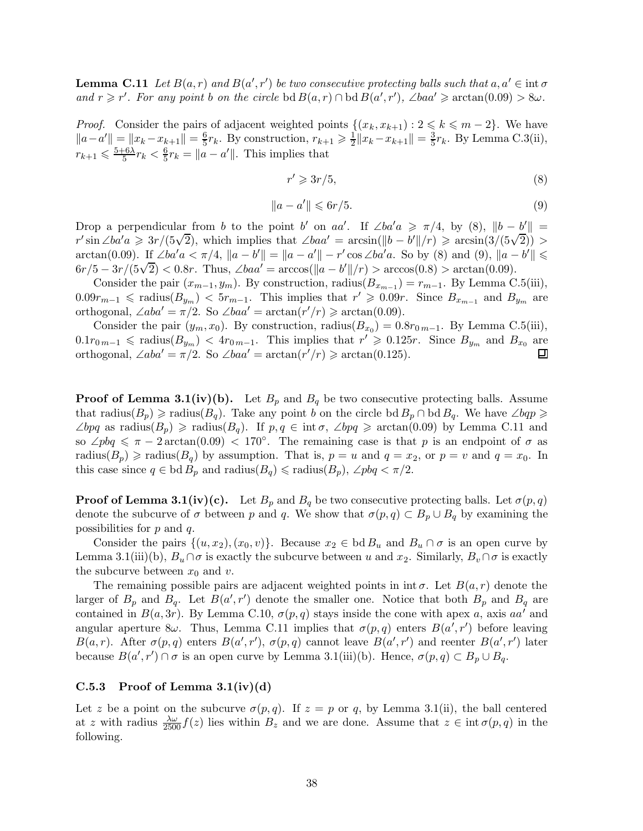**Lemma C.11** Let  $B(a,r)$  and  $B(a',r')$  be two consecutive protecting balls such that  $a, a' \in \text{int } \sigma$ and  $r \geq r'$ . For any point b on the circle bd  $B(a,r) \cap$  bd  $B(a',r')$ ,  $\angle baa' \geq \arctan(0.09) > 8\omega$ .

*Proof.* Consider the pairs of adjacent weighted points  $\{(x_k, x_{k+1}) : 2 \leq k \leq m-2\}$ . We have  $||a-a'|| = ||x_k - x_{k+1}|| = \frac{6}{5}$  $\frac{6}{5}r_k$ . By construction,  $r_{k+1}\geqslant \frac{1}{2}$  $\frac{1}{2}||x_k-x_{k+1}||=\frac{3}{5}$  $\frac{3}{5}r_k$ . By Lemma C.3(ii),  $r_{k+1} \leqslant \frac{5+6\lambda}{5}$  $\frac{-6\lambda}{5}r_k < \frac{6}{5}$  $\frac{6}{5}r_k = ||a - a'||$ . This implies that

$$
r' \geqslant 3r/5,\tag{8}
$$

$$
||a - a'|| \leqslant 6r/5. \tag{9}
$$

Drop a perpendicular from b to the point b' on aa'. If  $\angle ba'a \geq \pi/4$ , by (8),  $||b - b'|| =$  $r' \sin \angle ba' a \geqslant 3r/(5\sqrt{2})$ , which implies that  $\angle baa' = \arcsin(\Vert b - b' \Vert / r) \geqslant \arcsin(3/(5\sqrt{2})) >$ arctan(0.09). If ∠ba'a <  $\pi/4$ ,  $||a - b'|| = ||a - a'|| - r' \cos \angle ba'a$ . So by (8) and (9),  $||a - b'|| \le$  $6r/5 - 3r/(5\sqrt{2}) < 0.8r$ . Thus, ∠baa' = arccos(||a - b'||/r) > arccos(0.8) > arctan(0.09).

Consider the pair  $(x_{m-1}, y_m)$ . By construction, radius $(B_{x_{m-1}}) = r_{m-1}$ . By Lemma C.5(iii),  $0.09r_{m-1}$  ≤ radius( $B_{y_m}$ ) <  $5r_{m-1}$ . This implies that  $r' \geq 0.09r$ . Since  $B_{x_{m-1}}$  and  $B_{y_m}$  are orthogonal,  $\angle aba' = \pi/2$ . So  $\angle baa' = \arctan(r'/r) \ge \arctan(0.09)$ .

Consider the pair  $(y_m, x_0)$ . By construction, radius $(B_{x_0}) = 0.8r_{0m-1}$ . By Lemma C.5(iii),  $0.1r_{0\,m-1} \leqslant \text{radius}(B_{y_m}) < 4r_{0\,m-1}$ . This implies that  $r' \geqslant 0.125r$ . Since  $B_{y_m}$  and  $B_{x_0}$  are orthogonal,  $\angle aba' = \pi/2$ . So  $\angle baa' = \arctan(r'/r) \ge \arctan(0.125)$ . 口

**Proof of Lemma 3.1(iv)(b).** Let  $B_p$  and  $B_q$  be two consecutive protecting balls. Assume that radius( $B_p$ )  $\geq$  radius( $B_q$ ). Take any point b on the circle bd  $B_p \cap$  bd  $B_q$ . We have  $\angle$ bqp  $\geq$  $\angle bpq$  as radius( $B_p$ )  $\geq$  radius( $B_q$ ). If  $p, q \in \text{int }\sigma$ ,  $\angle bpq \geq \arctan(0.09)$  by Lemma C.11 and so ∠pbq  $\leq \pi - 2 \arctan(0.09) < 170^{\circ}$ . The remaining case is that p is an endpoint of  $\sigma$  as radius( $B_p$ )  $\geq$  radius( $B_q$ ) by assumption. That is,  $p = u$  and  $q = x_2$ , or  $p = v$  and  $q = x_0$ . In this case since  $q \in \text{bd } B_p$  and  $\text{radius}(B_q) \leq \text{radius}(B_p)$ ,  $\angle pbq < \pi/2$ .

**Proof of Lemma 3.1(iv)(c).** Let  $B_p$  and  $B_q$  be two consecutive protecting balls. Let  $\sigma(p,q)$ denote the subcurve of  $\sigma$  between p and q. We show that  $\sigma(p,q) \subset B_p \cup B_q$  by examining the possibilities for  $p$  and  $q$ .

Consider the pairs  $\{(u, x_2), (x_0, v)\}\$ . Because  $x_2 \in \text{bd } B_u$  and  $B_u \cap \sigma$  is an open curve by Lemma 3.1(iii)(b),  $B_u \cap \sigma$  is exactly the subcurve between u and  $x_2$ . Similarly,  $B_v \cap \sigma$  is exactly the subcurve between  $x_0$  and  $v$ .

The remaining possible pairs are adjacent weighted points in int  $\sigma$ . Let  $B(a, r)$  denote the larger of  $B_p$  and  $B_q$ . Let  $B(a', r')$  denote the smaller one. Notice that both  $B_p$  and  $B_q$  are contained in  $B(a, 3r)$ . By Lemma C.10,  $\sigma(p, q)$  stays inside the cone with apex a, axis aa' and angular aperture 8 $\omega$ . Thus, Lemma C.11 implies that  $\sigma(p,q)$  enters  $B(a',r')$  before leaving  $B(a,r)$ . After  $\sigma(p,q)$  enters  $B(a',r')$ ,  $\sigma(p,q)$  cannot leave  $B(a',r')$  and reenter  $B(a',r')$  later because  $B(a', r') \cap \sigma$  is an open curve by Lemma 3.1(iii)(b). Hence,  $\sigma(p, q) \subset B_p \cup B_q$ .

### C.5.3 Proof of Lemma  $3.1(iv)(d)$

Let z be a point on the subcurve  $\sigma(p,q)$ . If  $z = p$  or q, by Lemma 3.1(ii), the ball centered at z with radius  $\frac{\lambda \omega}{2500} f(z)$  lies within  $B_z$  and we are done. Assume that  $z \in \text{int } \sigma(p,q)$  in the following.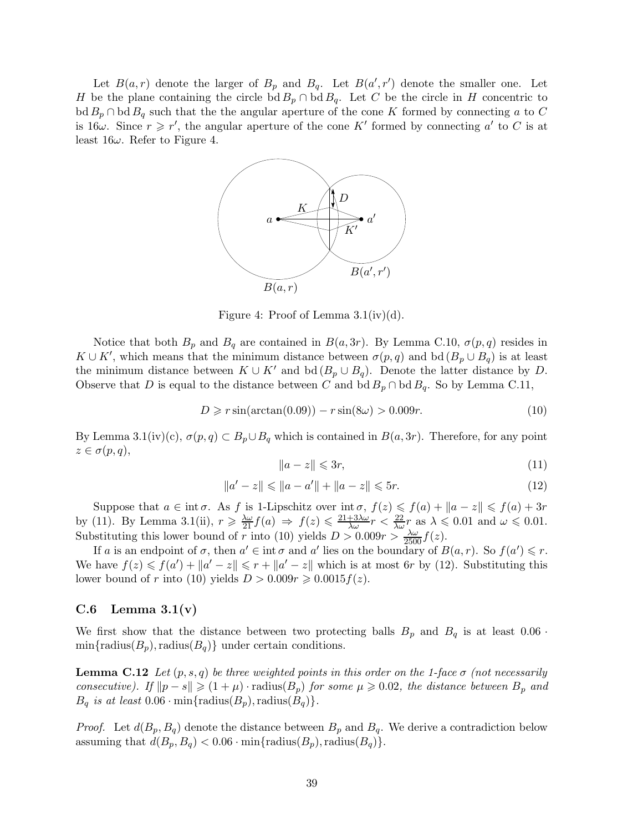Let  $B(a,r)$  denote the larger of  $B_p$  and  $B_q$ . Let  $B(a',r')$  denote the smaller one. Let H be the plane containing the circle bd  $B_p \cap \text{bd } B_q$ . Let C be the circle in H concentric to  $\text{bd } B_p \cap \text{bd } B_q$  such that the the angular aperture of the cone K formed by connecting a to C is  $16\omega$ . Since  $r \geq r'$ , the angular aperture of the cone K' formed by connecting a' to C is at least  $16\omega$ . Refer to Figure 4.



Figure 4: Proof of Lemma  $3.1(iv)(d)$ .

Notice that both  $B_p$  and  $B_q$  are contained in  $B(a, 3r)$ . By Lemma C.10,  $\sigma(p, q)$  resides in  $K \cup K'$ , which means that the minimum distance between  $\sigma(p,q)$  and bd  $(B_p \cup B_q)$  is at least the minimum distance between  $K \cup K'$  and bd  $(B_p \cup B_q)$ . Denote the latter distance by D. Observe that D is equal to the distance between C and  $\text{bd }B_p \cap \text{bd }B_q$ . So by Lemma C.11,

$$
D \ge r \sin(\arctan(0.09)) - r \sin(8\omega) > 0.009r.
$$
 (10)

By Lemma 3.1(iv)(c),  $\sigma(p,q) \subset B_p \cup B_q$  which is contained in  $B(a,3r)$ . Therefore, for any point  $z \in \sigma(p,q)$ ,

$$
||a - z|| \leqslant 3r,\tag{11}
$$

$$
\|a' - z\| \le \|a - a'\| + \|a - z\| \le 5r. \tag{12}
$$

Suppose that  $a \in \text{int } \sigma$ . As f is 1-Lipschitz over  $\text{int } \sigma$ ,  $f(z) \leqslant f(a) + ||a - z|| \leqslant f(a) + 3r$ by (11). By Lemma 3.1(ii),  $r \geq \frac{\lambda \omega}{21} f(a) \Rightarrow f(z) \leq \frac{21+3\lambda \omega}{\lambda \omega} r < \frac{22}{\lambda \omega} r$  as  $\lambda \leq 0.01$  and  $\omega \leq 0.01$ . Substituting this lower bound of r into (10) yields  $D > 0.009r > \frac{\lambda \omega}{2500} f(z)$ .

If a is an endpoint of  $\sigma$ , then  $a' \in \text{int } \sigma$  and  $a'$  lies on the boundary of  $B(a, r)$ . So  $f(a') \leq r$ . We have  $f(z) \leq f(a') + ||a' - z|| \leq r + ||a' - z||$  which is at most 6r by (12). Substituting this lower bound of r into (10) yields  $D > 0.009r \ge 0.0015f(z)$ .

### C.6 Lemma  $3.1(v)$

We first show that the distance between two protecting balls  $B_p$  and  $B_q$  is at least  $0.06 \cdot$  $min\{radius(B_p), radius(B_q) \}$  under certain conditions.

**Lemma C.12** Let  $(p, s, q)$  be three weighted points in this order on the 1-face  $\sigma$  (not necessarily consecutive). If  $||p - s|| \geq (1 + \mu)$  · radius( $B_p$ ) for some  $\mu \geq 0.02$ , the distance between  $B_p$  and  $B_q$  is at least  $0.06 \cdot \min\{\text{radius}(B_p), \text{radius}(B_q)\}.$ 

*Proof.* Let  $d(B_p, B_q)$  denote the distance between  $B_p$  and  $B_q$ . We derive a contradiction below assuming that  $d(B_p, B_q) < 0.06 \cdot \min\{\text{radius}(B_p), \text{radius}(B_q)\}.$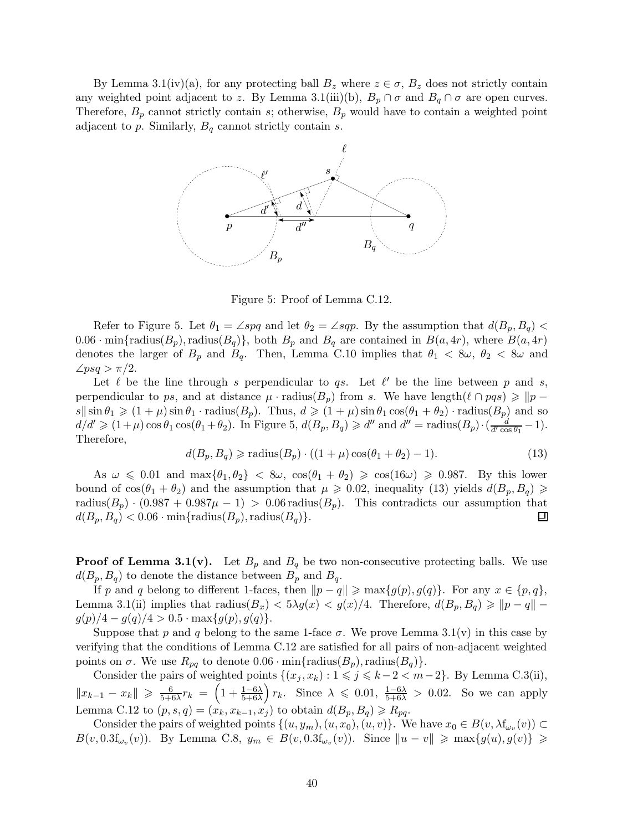By Lemma 3.1(iv)(a), for any protecting ball  $B_z$  where  $z \in \sigma$ ,  $B_z$  does not strictly contain any weighted point adjacent to z. By Lemma 3.1(iii)(b),  $B_p \cap \sigma$  and  $B_q \cap \sigma$  are open curves. Therefore,  $B_p$  cannot strictly contain s; otherwise,  $B_p$  would have to contain a weighted point adjacent to p. Similarly,  $B_q$  cannot strictly contain s.



Figure 5: Proof of Lemma C.12.

Refer to Figure 5. Let  $\theta_1 = \angle spq$  and let  $\theta_2 = \angle sqp$ . By the assumption that  $d(B_p, B_q)$  $0.06 \cdot \min\{\text{radius}(B_p), \text{radius}(B_q)\}\$ , both  $B_p$  and  $B_q$  are contained in  $B(a, 4r)$ , where  $B(a, 4r)$ denotes the larger of  $B_p$  and  $B_q$ . Then, Lemma C.10 implies that  $\theta_1 < 8\omega$ ,  $\theta_2 < 8\omega$  and  $\angle psq > \pi/2$ .

Let  $\ell$  be the line through s perpendicular to qs. Let  $\ell'$  be the line between p and s, perpendicular to ps, and at distance  $\mu \cdot$  radius( $B_p$ ) from s. We have length( $\ell \cap pqs$ )  $\geqslant$   $\|p$  $s\|\sin\theta_1 \geq (1+\mu)\sin\theta_1 \cdot \text{radius}(B_p)$ . Thus,  $d \geq (1+\mu)\sin\theta_1 \cos(\theta_1 + \theta_2) \cdot \text{radius}(B_p)$  and so  $d/d' \geqslant (1+\mu)\cos\theta_1\cos(\theta_1+\theta_2)$ . In Figure 5,  $d(B_p, B_q) \geqslant d''$  and  $d'' = \text{radius}(B_p) \cdot \left(\frac{d}{d' \cos \theta_1}\right)$  $\frac{d}{d' \cos \theta_1} - 1$ . Therefore,

$$
d(B_p, B_q) \geq \text{radius}(B_p) \cdot ((1 + \mu)\cos(\theta_1 + \theta_2) - 1). \tag{13}
$$

As  $\omega \leq 0.01$  and  $\max{\lbrace \theta_1, \theta_2 \rbrace} < 8\omega$ ,  $\cos(\theta_1 + \theta_2) \geq \cos(16\omega) \geq 0.987$ . By this lower bound of  $\cos(\theta_1 + \theta_2)$  and the assumption that  $\mu \geq 0.02$ , inequality (13) yields  $d(B_p, B_q) \geq$ radius( $B_p$ ) · (0.987 + 0.987 $\mu$  - 1) > 0.06 radius( $B_p$ ). This contradicts our assumption that  $d(B_n, B_n) < 0.06 \cdot \min\{\text{radius}(B_n), \text{radius}(B_q)\}\$ .  $d(B_p, B_q) < 0.06 \cdot \min\{\text{radius}(B_p), \text{radius}(B_q)\}.$ 

**Proof of Lemma 3.1(v).** Let  $B_p$  and  $B_q$  be two non-consecutive protecting balls. We use  $d(B_p, B_q)$  to denote the distance between  $B_p$  and  $B_q$ .

If p and q belong to different 1-faces, then  $||p - q|| \ge \max\{g(p), g(q)\}\$ . For any  $x \in \{p, q\}$ , Lemma 3.1(ii) implies that radius( $B_x$ ) <  $5\lambda g(x)$  <  $g(x)/4$ . Therefore,  $d(B_p, B_q) \geq \|p - q\|$  $g(p)/4 - g(q)/4 > 0.5 \cdot \max\{g(p), g(q)\}.$ 

Suppose that p and q belong to the same 1-face  $\sigma$ . We prove Lemma 3.1(v) in this case by verifying that the conditions of Lemma C.12 are satisfied for all pairs of non-adjacent weighted points on  $\sigma$ . We use  $R_{pq}$  to denote  $0.06 \cdot \min\{\text{radius}(B_p), \text{radius}(B_q)\}.$ 

Consider the pairs of weighted points  $\{(x_j, x_k) : 1 \leq j \leq k-2 < m-2\}$ . By Lemma C.3(ii),  $||x_{k-1} - x_k|| \geq \frac{6}{5+i}$  $\frac{6}{5+6\lambda}r_k = \left(1 + \frac{1-6\lambda}{5+6\lambda}\right)$  $\frac{1-6\lambda}{5+6\lambda}$   $r_k$ . Since  $\lambda \leq 0.01$ ,  $\frac{1-6\lambda}{5+6\lambda} > 0.02$ . So we can apply Lemma C.12 to  $(p, s, q) = (x_k, x_{k-1}, x_j)$  to obtain  $d(B_p, B_q) \ge R_{pq}$ .

Consider the pairs of weighted points  $\{(u, y_m), (u, x_0), (u, v)\}$ . We have  $x_0 \in B(v, \lambda f_{\omega_v}(v)) \subset$  $B(v, 0.3f_{\omega_v}(v))$ . By Lemma C.8,  $y_m \in B(v, 0.3f_{\omega_v}(v))$ . Since  $||u - v|| \ge \max\{g(u), g(v)\} \ge$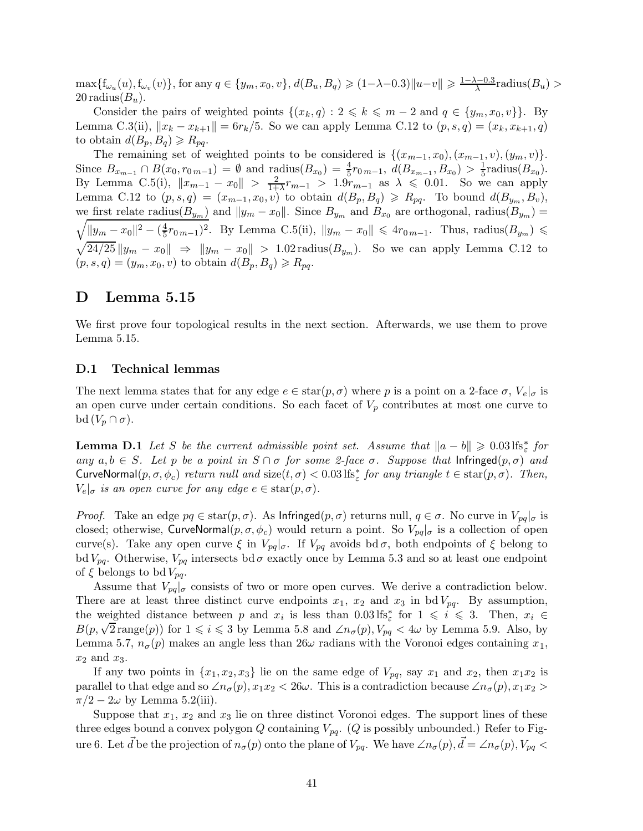$\max\{f_{\omega_u}(u), f_{\omega_v}(v)\}\$ , for any  $q \in \{y_m, x_0, v\}$ ,  $d(B_u, B_q) \geq (1-\lambda-0.3) ||u-v|| \geq \frac{1-\lambda-0.3}{\lambda}$ radius $(B_u)$  $20$  radius $(B_u)$ .

Consider the pairs of weighted points  $\{(x_k, q): 2 \leq k \leq m-2 \text{ and } q \in \{y_m, x_0, v\}\}.$  By Lemma C.3(ii),  $||x_k - x_{k+1}|| = 6r_k/5$ . So we can apply Lemma C.12 to  $(p, s, q) = (x_k, x_{k+1}, q)$ to obtain  $d(B_p, B_q) \ge R_{pq}$ .

The remaining set of weighted points to be considered is  $\{(x_{m-1}, x_0), (x_{m-1}, v), (y_m, v)\}.$ Since  $B_{x_{m-1}} \cap B(x_0, r_{0m-1}) = \emptyset$  and radius $(B_{x_0}) = \frac{4}{5}$  $\frac{4}{5}r_{0\,m-1}, d(B_{x_{m-1}}, B_{x_0}) > \frac{1}{5}$  $\frac{1}{5}$ radius $(B_{x_0}).$ By Lemma C.5(i),  $||x_{m-1} - x_0|| > \frac{2}{1+}$  $\frac{2}{1+\lambda}r_{m-1} > 1.9r_{m-1}$  as  $\lambda \leq 0.01$ . So we can apply Lemma C.12 to  $(p, s, q) = (x_{m-1}, x_0, v)$  to obtain  $d(B_p, B_q) \ge R_{pq}$ . To bound  $d(B_{y_m}, B_v)$ , we first relate radius( $B_{y_m}$ ) and  $||y_m - x_0||$ . Since  $B_{y_m}$  and  $B_{x_0}$  are orthogonal, radius( $B_{y_m}$ ) =  $||y_m - x_0||^2 - (\frac{4}{5})$  $\frac{4}{5}r_{0\,m-1}$ )<sup>2</sup>. By Lemma C.5(ii),  $||y_m - x_0|| \leq 4r_{0\,m-1}$ . Thus, radius( $B_{y_m}$ ) ≤  $\sqrt{24/25} ||y_m - x_0|| \Rightarrow ||y_m - x_0|| > 1.02$  radius $(B_{y_m})$ . So we can apply Lemma C.12 to  $(p, s, q) = (y_m, x_0, v)$  to obtain  $d(B_p, B_q) \ge R_{pq}$ .

# D Lemma 5.15

We first prove four topological results in the next section. Afterwards, we use them to prove Lemma 5.15.

### D.1 Technical lemmas

The next lemma states that for any edge  $e \in \text{star}(p, \sigma)$  where p is a point on a 2-face  $\sigma$ ,  $V_e|_{\sigma}$  is an open curve under certain conditions. So each facet of  $V_p$  contributes at most one curve to bd  $(V_p \cap \sigma)$ .

**Lemma D.1** Let S be the current admissible point set. Assume that  $||a - b|| \ge 0.03 \text{ lfs}_{\varepsilon}^*$  for any  $a, b \in S$ . Let p be a point in  $S \cap \sigma$  for some 2-face  $\sigma$ . Suppose that Infringed $(p, \sigma)$  and CurveNormal $(p, \sigma, \phi_c)$  return null and size $(t, \sigma) < 0.03$  lfs<sup>\*</sup> for any triangle  $t \in \text{star}(p, \sigma)$ . Then,  $V_e|_{\sigma}$  is an open curve for any edge  $e \in \text{star}(p, \sigma)$ .

*Proof.* Take an edge  $pq \in \text{star}(p, \sigma)$ . As Infringed $(p, \sigma)$  returns null,  $q \in \sigma$ . No curve in  $V_{pq}|_{\sigma}$  is closed; otherwise, CurveNormal $(p, \sigma, \phi_c)$  would return a point. So  $V_{pq}|_{\sigma}$  is a collection of open curve(s). Take any open curve  $\xi$  in  $V_{pq}$ , If  $V_{pq}$  avoids bd  $\sigma$ , both endpoints of  $\xi$  belong to bd  $V_{pq}$ . Otherwise,  $V_{pq}$  intersects bd  $\sigma$  exactly once by Lemma 5.3 and so at least one endpoint of  $\xi$  belongs to bd  $V_{pq}$ .

Assume that  $V_{pq}|_{\sigma}$  consists of two or more open curves. We derive a contradiction below. There are at least three distinct curve endpoints  $x_1$ ,  $x_2$  and  $x_3$  in bd  $V_{pq}$ . By assumption, the weighted distance between p and  $x_i$  is less than  $0.03 \text{ lfs}^*_{\varepsilon}$  for  $1 \leq i \leq 3$ . Then,  $x_i \in$  $B(p, \sqrt{2} \text{range}(p))$  for  $1 \le i \le 3$  by Lemma 5.8 and  $\angle n_{\sigma}(p)$ ,  $V_{pq} < 4\omega$  by Lemma 5.9. Also, by Lemma 5.7,  $n_{\sigma}(p)$  makes an angle less than  $26\omega$  radians with the Voronoi edges containing  $x_1$ ,  $x_2$  and  $x_3$ .

If any two points in  $\{x_1, x_2, x_3\}$  lie on the same edge of  $V_{pq}$ , say  $x_1$  and  $x_2$ , then  $x_1x_2$  is parallel to that edge and so  $\angle n_{\sigma}(p), x_1x_2 < 26\omega$ . This is a contradiction because  $\angle n_{\sigma}(p), x_1x_2 >$  $\pi/2 - 2\omega$  by Lemma 5.2(iii).

Suppose that  $x_1, x_2$  and  $x_3$  lie on three distinct Voronoi edges. The support lines of these three edges bound a convex polygon Q containing  $V_{pq}$ . (Q is possibly unbounded.) Refer to Figure 6. Let  $\vec{d}$  be the projection of  $n_{\sigma}(p)$  onto the plane of  $V_{pq}$ . We have  $\angle n_{\sigma}(p), \vec{d} = \angle n_{\sigma}(p), V_{pq} <$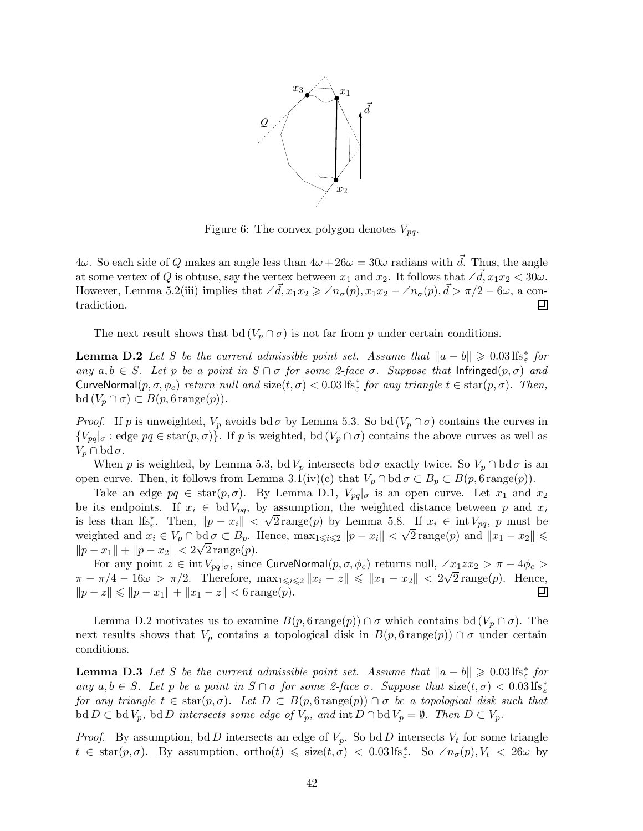

Figure 6: The convex polygon denotes  $V_{pq}$ .

 $4\omega$ . So each side of Q makes an angle less than  $4\omega + 26\omega = 30\omega$  radians with  $\vec{d}$ . Thus, the angle at some vertex of Q is obtuse, say the vertex between  $x_1$  and  $x_2$ . It follows that ∠ $\vec{d}$ ,  $x_1x_2 < 30\omega$ . However, Lemma 5.2(iii) implies that  $\angle \vec{d}$ ,  $x_1x_2 \geq \angle n_\sigma(p)$ ,  $x_1x_2 - \angle n_\sigma(p)$ ,  $\vec{d} > \pi/2 - 6\omega$ , a contradiction.

The next result shows that bd  $(V_p \cap \sigma)$  is not far from p under certain conditions.

**Lemma D.2** Let S be the current admissible point set. Assume that  $||a - b|| \ge 0.03 \text{ lfs}^*_{\varepsilon}$  for any  $a, b \in S$ . Let p be a point in  $S \cap \sigma$  for some 2-face  $\sigma$ . Suppose that Infringed $(p, \sigma)$  and CurveNormal $(p, \sigma, \phi_c)$  return null and size $(t, \sigma) < 0.03$  lfs<sup>\*</sup><sub> $\epsilon$ </sub> for any triangle  $t \in \text{star}(p, \sigma)$ . Then,  $\mathrm{bd}(V_p \cap \sigma) \subset B(p, 6 \mathrm{range}(p)).$ 

*Proof.* If p is unweighted,  $V_p$  avoids bd  $\sigma$  by Lemma 5.3. So bd  $(V_p \cap \sigma)$  contains the curves in  ${V_{pq}}_{\sigma}$ : edge  $pq \in \text{star}(p, \sigma)$ . If p is weighted, bd  $(V_p \cap \sigma)$  contains the above curves as well as  $V_p \cap \text{bd }\sigma.$ 

When p is weighted, by Lemma 5.3, bdV<sub>p</sub> intersects bd  $\sigma$  exactly twice. So  $V_p \cap$  bd  $\sigma$  is an open curve. Then, it follows from Lemma 3.1(iv)(c) that  $V_p \cap \text{bd } \sigma \subset B_p \subset B(p, \text{6 range}(p)).$ 

Take an edge  $pq \in \text{star}(p, \sigma)$ . By Lemma D.1,  $V_{pq}|_{\sigma}$  is an open curve. Let  $x_1$  and  $x_2$ be its endpoints. If  $x_i \in bd V_{pq}$ , by assumption, the weighted distance between p and  $x_i$ is less than lfs<sup>\*</sup><sub>*i*</sub>. Then,  $||p - x_i|| < \sqrt{2}$  range(p) by Lemma 5.8. If  $x_i \in \text{int } V_{pq}$ , p must be weighted and  $x_i \in V_p \cap \text{bd } \sigma \subset B_p$ . Hence,  $\max_{1 \leq i \leq 2} ||p - x_i|| < \sqrt{2} \text{range}(p)$  and  $||x_1 - x_2|| \leq$  $||p - x_1|| + ||p - x_2|| < 2\sqrt{2} \text{ range}(p).$ 

For any point  $z \in \text{int } V_{pq}|_{\sigma}$ , since CurveNormal $(p, \sigma, \phi_c)$  returns null,  $\angle x_1 x_2 > \pi - 4\phi_c >$  $\pi - \pi/4 - 16\omega > \pi/2$ . Therefore,  $\max_{1 \leq i \leq 2} ||x_i - z|| \leq ||x_1 - x_2|| < 2\sqrt{2}$  range(p). Hence,  $||p - z|| \le ||p - x_1|| + ||x_1 - z|| < 6 \text{ range}(p).$ Ξ

Lemma D.2 motivates us to examine  $B(p, 6 \text{ range}(p)) \cap \sigma$  which contains bd  $(V_p \cap \sigma)$ . The next results shows that  $V_p$  contains a topological disk in  $B(p, 6 \text{ range}(p)) \cap \sigma$  under certain conditions.

**Lemma D.3** Let S be the current admissible point set. Assume that  $||a - b|| \ge 0.03 \text{ lfs}_{\varepsilon}^*$  for any  $a, b \in S$ . Let p be a point in  $S \cap \sigma$  for some 2-face  $\sigma$ . Suppose that size $(t, \sigma) < 0.03$  lfs<sup>\*</sup> for any triangle  $t \in \text{star}(p, \sigma)$ . Let  $D \subset B(p, \text{6 range}(p)) \cap \sigma$  be a topological disk such that  $\text{bd } D \subset \text{bd } V_p$ ,  $\text{bd } D$  intersects some edge of  $V_p$ , and  $\text{int } D \cap \text{bd } V_p = \emptyset$ . Then  $D \subset V_p$ .

*Proof.* By assumption, bd D intersects an edge of  $V_p$ . So bd D intersects  $V_t$  for some triangle  $t \in \text{star}(p, \sigma)$ . By assumption, ortho $(t) \leq \text{size}(t, \sigma) < 0.03 \text{ lfs}_{\varepsilon}^*$ . So  $\angle n_{\sigma}(p), V_t < 26\omega$  by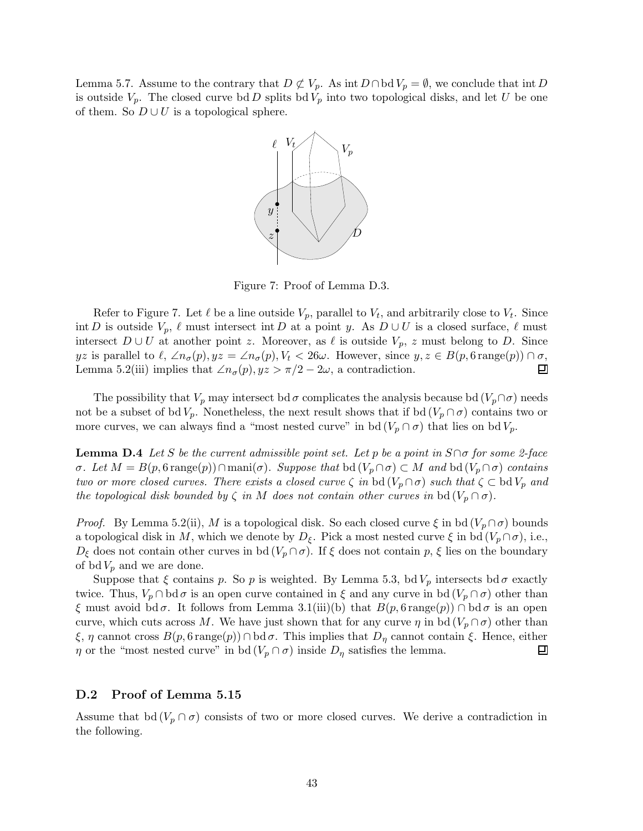Lemma 5.7. Assume to the contrary that  $D \not\subset V_p$ . As int  $D \cap \text{bd } V_p = \emptyset$ , we conclude that int D is outside  $V_p$ . The closed curve bd D splits bd  $V_p$  into two topological disks, and let U be one of them. So  $D \cup U$  is a topological sphere.



Figure 7: Proof of Lemma D.3.

Refer to Figure 7. Let  $\ell$  be a line outside  $V_p$ , parallel to  $V_t$ , and arbitrarily close to  $V_t$ . Since int D is outside  $V_p$ ,  $\ell$  must intersect int D at a point y. As  $D \cup U$  is a closed surface,  $\ell$  must intersect  $D \cup U$  at another point z. Moreover, as  $\ell$  is outside  $V_p$ , z must belong to D. Since yz is parallel to  $\ell$ , ∠ $n_{\sigma}(p)$ ,  $yz = \angle n_{\sigma}(p)$ ,  $V_t < 26\omega$ . However, since  $y, z \in B(p, 6 \text{ range}(p)) \cap \sigma$ ,<br>Lemma 5.2(iii) implies that ∠ $n_{\sigma}(p)$ ,  $yz > \pi/2 - 2\omega$ , a contradiction. Lemma 5.2(iii) implies that  $\angle n_{\sigma}(p), yz > \pi/2 - 2\omega$ , a contradiction.

The possibility that  $V_p$  may intersect bd  $\sigma$  complicates the analysis because bd  $(V_p \cap \sigma)$  needs not be a subset of bd  $V_p$ . Nonetheless, the next result shows that if bd  $(V_p \cap \sigma)$  contains two or more curves, we can always find a "most nested curve" in bd  $(V_p \cap \sigma)$  that lies on bd  $V_p$ .

**Lemma D.4** Let S be the current admissible point set. Let p be a point in  $S \cap \sigma$  for some 2-face  $\sigma$ . Let  $M = B(p, 6$  range(p))∩mani( $\sigma$ ). Suppose that bd ( $V_p \cap \sigma$ ) ⊂ M and bd ( $V_p \cap \sigma$ ) contains two or more closed curves. There exists a closed curve  $\zeta$  in bd  $(V_p \cap \sigma)$  such that  $\zeta \subset \text{bd } V_p$  and the topological disk bounded by  $\zeta$  in M does not contain other curves in bd  $(V_p \cap \sigma)$ .

*Proof.* By Lemma 5.2(ii), M is a topological disk. So each closed curve  $\xi$  in bd  $(V_p \cap \sigma)$  bounds a topological disk in M, which we denote by  $D_{\xi}$ . Pick a most nested curve  $\xi$  in bd  $(V_p \cap \sigma)$ , i.e.,  $D_{\xi}$  does not contain other curves in bd  $(V_p \cap \sigma)$ . If  $\xi$  does not contain p,  $\xi$  lies on the boundary of bd $V_p$  and we are done.

Suppose that  $\xi$  contains p. So p is weighted. By Lemma 5.3, bd  $V_p$  intersects bd  $\sigma$  exactly twice. Thus,  $V_p \cap \text{bd } \sigma$  is an open curve contained in  $\xi$  and any curve in bd  $(V_p \cap \sigma)$  other than ξ must avoid bd σ. It follows from Lemma 3.1(iii)(b) that  $B(p, 6$  range(p)) ∩ bd σ is an open curve, which cuts across M. We have just shown that for any curve  $\eta$  in bd  $(V_p \cap \sigma)$  other than ξ, η cannot cross  $B(p, 6$  range $(p)$ ) ∩ bd σ. This implies that  $D<sub>η</sub>$  cannot contain ξ. Hence, either  $η$  or the "most nested curve" in bd ( $V<sub>p</sub> ∩ σ$ ) inside  $D<sub>n</sub>$  satisfies the lemma.  $\eta$  or the "most nested curve" in bd  $(V_p \cap \sigma)$  inside  $D_\eta$  satisfies the lemma.

### D.2 Proof of Lemma 5.15

Assume that bd ( $V_p \cap \sigma$ ) consists of two or more closed curves. We derive a contradiction in the following.